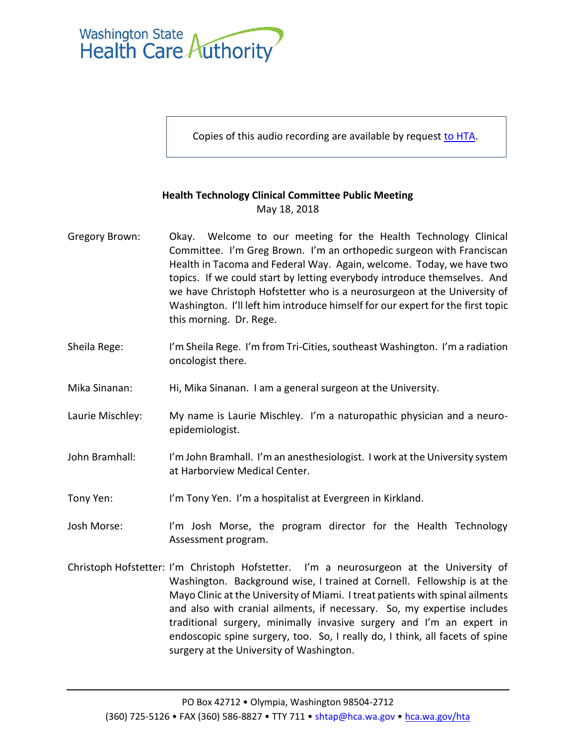

Copies of this audio recording are available by request to [HTA.](mailto:SHTAP@hca.wa.gov)

## **Health Technology Clinical Committee Public Meeting** May 18, 2018

- Gregory Brown: Okay. Welcome to our meeting for the Health Technology Clinical Committee. I'm Greg Brown. I'm an orthopedic surgeon with Franciscan Health in Tacoma and Federal Way. Again, welcome. Today, we have two topics. If we could start by letting everybody introduce themselves. And we have Christoph Hofstetter who is a neurosurgeon at the University of Washington. I'll left him introduce himself for our expert for the first topic this morning. Dr. Rege.
- Sheila Rege: I'm Sheila Rege. I'm from Tri-Cities, southeast Washington. I'm a radiation oncologist there.
- Mika Sinanan: Hi, Mika Sinanan. I am a general surgeon at the University.
- Laurie Mischley: My name is Laurie Mischley. I'm a naturopathic physician and a neuroepidemiologist.
- John Bramhall: I'm John Bramhall. I'm an anesthesiologist. I work at the University system at Harborview Medical Center.
- Tony Yen: I'm Tony Yen. I'm a hospitalist at Evergreen in Kirkland.
- Josh Morse: I'm Josh Morse, the program director for the Health Technology Assessment program.
- Christoph Hofstetter: I'm Christoph Hofstetter. I'm a neurosurgeon at the University of Washington. Background wise, I trained at Cornell. Fellowship is at the Mayo Clinic at the University of Miami. I treat patients with spinal ailments and also with cranial ailments, if necessary. So, my expertise includes traditional surgery, minimally invasive surgery and I'm an expert in endoscopic spine surgery, too. So, I really do, I think, all facets of spine surgery at the University of Washington.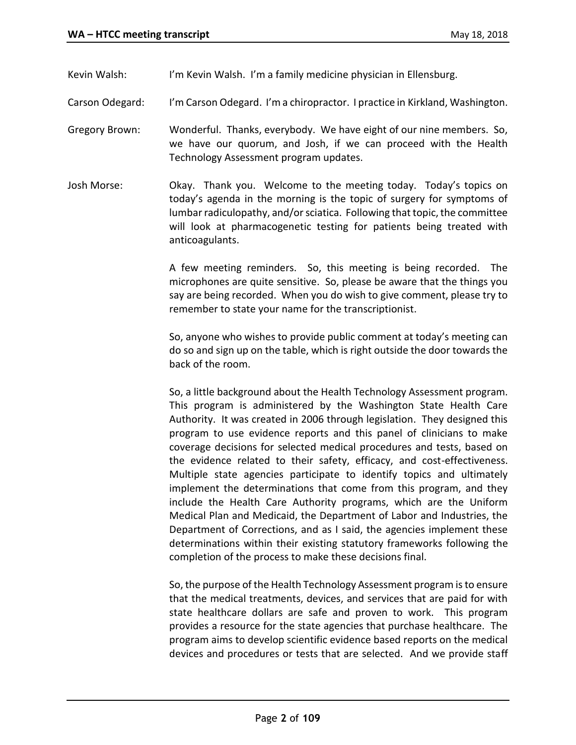Kevin Walsh: I'm Kevin Walsh. I'm a family medicine physician in Ellensburg.

Carson Odegard: I'm Carson Odegard. I'm a chiropractor. I practice in Kirkland, Washington.

- Gregory Brown: Wonderful. Thanks, everybody. We have eight of our nine members. So, we have our quorum, and Josh, if we can proceed with the Health Technology Assessment program updates.
- Josh Morse: Okay. Thank you. Welcome to the meeting today. Today's topics on today's agenda in the morning is the topic of surgery for symptoms of lumbar radiculopathy, and/or sciatica. Following that topic, the committee will look at pharmacogenetic testing for patients being treated with anticoagulants.

A few meeting reminders. So, this meeting is being recorded. The microphones are quite sensitive. So, please be aware that the things you say are being recorded. When you do wish to give comment, please try to remember to state your name for the transcriptionist.

So, anyone who wishes to provide public comment at today's meeting can do so and sign up on the table, which is right outside the door towards the back of the room.

So, a little background about the Health Technology Assessment program. This program is administered by the Washington State Health Care Authority. It was created in 2006 through legislation. They designed this program to use evidence reports and this panel of clinicians to make coverage decisions for selected medical procedures and tests, based on the evidence related to their safety, efficacy, and cost-effectiveness. Multiple state agencies participate to identify topics and ultimately implement the determinations that come from this program, and they include the Health Care Authority programs, which are the Uniform Medical Plan and Medicaid, the Department of Labor and Industries, the Department of Corrections, and as I said, the agencies implement these determinations within their existing statutory frameworks following the completion of the process to make these decisions final.

So, the purpose of the Health Technology Assessment program is to ensure that the medical treatments, devices, and services that are paid for with state healthcare dollars are safe and proven to work. This program provides a resource for the state agencies that purchase healthcare. The program aims to develop scientific evidence based reports on the medical devices and procedures or tests that are selected. And we provide staff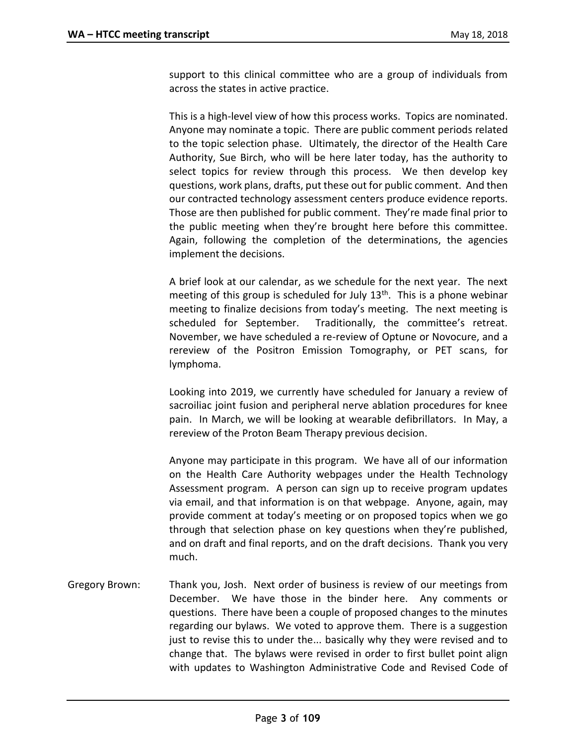support to this clinical committee who are a group of individuals from across the states in active practice.

This is a high-level view of how this process works. Topics are nominated. Anyone may nominate a topic. There are public comment periods related to the topic selection phase. Ultimately, the director of the Health Care Authority, Sue Birch, who will be here later today, has the authority to select topics for review through this process. We then develop key questions, work plans, drafts, put these out for public comment. And then our contracted technology assessment centers produce evidence reports. Those are then published for public comment. They're made final prior to the public meeting when they're brought here before this committee. Again, following the completion of the determinations, the agencies implement the decisions.

A brief look at our calendar, as we schedule for the next year. The next meeting of this group is scheduled for July 13<sup>th</sup>. This is a phone webinar meeting to finalize decisions from today's meeting. The next meeting is scheduled for September. Traditionally, the committee's retreat. November, we have scheduled a re-review of Optune or Novocure, and a rereview of the Positron Emission Tomography, or PET scans, for lymphoma.

Looking into 2019, we currently have scheduled for January a review of sacroiliac joint fusion and peripheral nerve ablation procedures for knee pain. In March, we will be looking at wearable defibrillators. In May, a rereview of the Proton Beam Therapy previous decision.

Anyone may participate in this program. We have all of our information on the Health Care Authority webpages under the Health Technology Assessment program. A person can sign up to receive program updates via email, and that information is on that webpage. Anyone, again, may provide comment at today's meeting or on proposed topics when we go through that selection phase on key questions when they're published, and on draft and final reports, and on the draft decisions. Thank you very much.

Gregory Brown: Thank you, Josh. Next order of business is review of our meetings from December. We have those in the binder here. Any comments or questions. There have been a couple of proposed changes to the minutes regarding our bylaws. We voted to approve them. There is a suggestion just to revise this to under the... basically why they were revised and to change that. The bylaws were revised in order to first bullet point align with updates to Washington Administrative Code and Revised Code of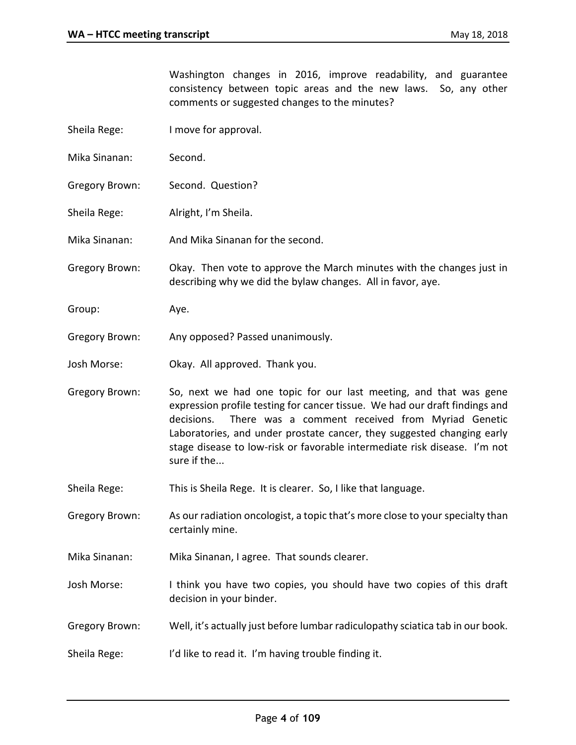Washington changes in 2016, improve readability, and guarantee consistency between topic areas and the new laws. So, any other comments or suggested changes to the minutes?

- Sheila Rege: I move for approval.
- Mika Sinanan: Second.
- Gregory Brown: Second. Question?
- Sheila Rege: Alright, I'm Sheila.
- Mika Sinanan: And Mika Sinanan for the second.
- Gregory Brown: Okay. Then vote to approve the March minutes with the changes just in describing why we did the bylaw changes. All in favor, aye.
- Group: Aye.
- Gregory Brown: Any opposed? Passed unanimously.
- Josh Morse: Okay. All approved. Thank you.
- Gregory Brown: So, next we had one topic for our last meeting, and that was gene expression profile testing for cancer tissue. We had our draft findings and decisions. There was a comment received from Myriad Genetic Laboratories, and under prostate cancer, they suggested changing early stage disease to low-risk or favorable intermediate risk disease. I'm not sure if the...
- Sheila Rege: This is Sheila Rege. It is clearer. So, I like that language.
- Gregory Brown: As our radiation oncologist, a topic that's more close to your specialty than certainly mine.
- Mika Sinanan: Mika Sinanan, I agree. That sounds clearer.
- Josh Morse: I think you have two copies, you should have two copies of this draft decision in your binder.
- Gregory Brown: Well, it's actually just before lumbar radiculopathy sciatica tab in our book.
- Sheila Rege: I'd like to read it. I'm having trouble finding it.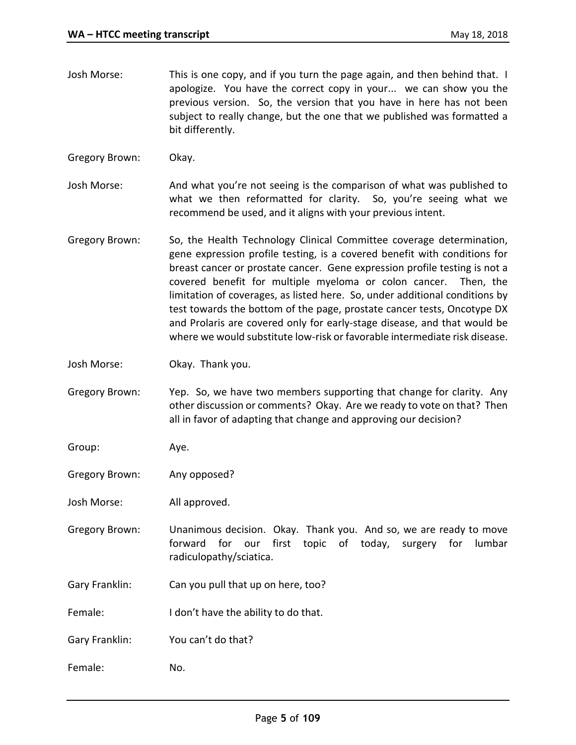- Josh Morse: This is one copy, and if you turn the page again, and then behind that. I apologize. You have the correct copy in your... we can show you the previous version. So, the version that you have in here has not been subject to really change, but the one that we published was formatted a bit differently.
- Gregory Brown: Okay.
- Josh Morse: And what you're not seeing is the comparison of what was published to what we then reformatted for clarity. So, you're seeing what we recommend be used, and it aligns with your previous intent.
- Gregory Brown: So, the Health Technology Clinical Committee coverage determination, gene expression profile testing, is a covered benefit with conditions for breast cancer or prostate cancer. Gene expression profile testing is not a covered benefit for multiple myeloma or colon cancer. Then, the limitation of coverages, as listed here. So, under additional conditions by test towards the bottom of the page, prostate cancer tests, Oncotype DX and Prolaris are covered only for early-stage disease, and that would be where we would substitute low-risk or favorable intermediate risk disease.
- Josh Morse: Okay. Thank you.
- Gregory Brown: Yep. So, we have two members supporting that change for clarity. Any other discussion or comments? Okay. Are we ready to vote on that? Then all in favor of adapting that change and approving our decision?
- Group: Aye.
- Gregory Brown: Any opposed?
- Josh Morse: All approved.
- Gregory Brown: Unanimous decision. Okay. Thank you. And so, we are ready to move forward for our first topic of today, surgery for lumbar radiculopathy/sciatica.
- Gary Franklin: Can you pull that up on here, too?
- Female: I don't have the ability to do that.
- Gary Franklin: You can't do that?
- Female: No.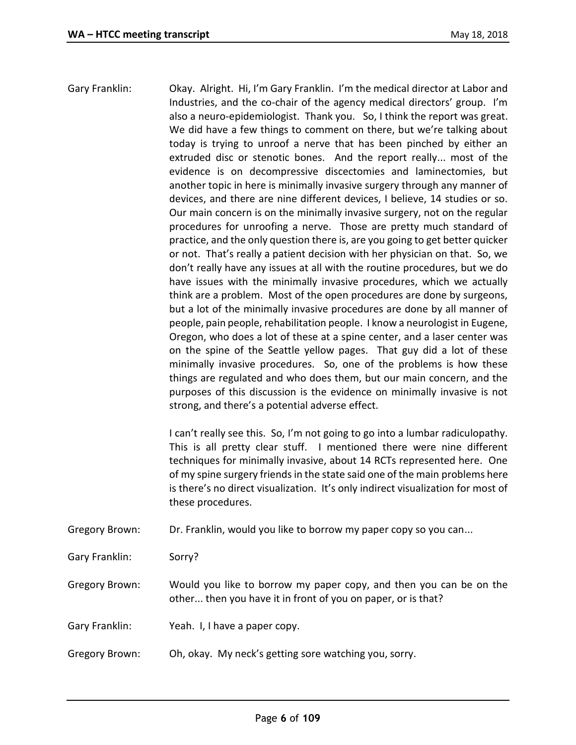Gary Franklin: Okay. Alright. Hi, I'm Gary Franklin. I'm the medical director at Labor and Industries, and the co-chair of the agency medical directors' group. I'm also a neuro-epidemiologist. Thank you. So, I think the report was great. We did have a few things to comment on there, but we're talking about today is trying to unroof a nerve that has been pinched by either an extruded disc or stenotic bones. And the report really... most of the evidence is on decompressive discectomies and laminectomies, but another topic in here is minimally invasive surgery through any manner of devices, and there are nine different devices, I believe, 14 studies or so. Our main concern is on the minimally invasive surgery, not on the regular procedures for unroofing a nerve. Those are pretty much standard of practice, and the only question there is, are you going to get better quicker or not. That's really a patient decision with her physician on that. So, we don't really have any issues at all with the routine procedures, but we do have issues with the minimally invasive procedures, which we actually think are a problem. Most of the open procedures are done by surgeons, but a lot of the minimally invasive procedures are done by all manner of people, pain people, rehabilitation people. I know a neurologist in Eugene, Oregon, who does a lot of these at a spine center, and a laser center was on the spine of the Seattle yellow pages. That guy did a lot of these minimally invasive procedures. So, one of the problems is how these things are regulated and who does them, but our main concern, and the purposes of this discussion is the evidence on minimally invasive is not strong, and there's a potential adverse effect.

> I can't really see this. So, I'm not going to go into a lumbar radiculopathy. This is all pretty clear stuff. I mentioned there were nine different techniques for minimally invasive, about 14 RCTs represented here. One of my spine surgery friends in the state said one of the main problems here is there's no direct visualization. It's only indirect visualization for most of these procedures.

Gregory Brown: Dr. Franklin, would you like to borrow my paper copy so you can...

Gary Franklin: Sorry?

Gregory Brown: Would you like to borrow my paper copy, and then you can be on the other... then you have it in front of you on paper, or is that?

- Gary Franklin: Yeah. I, I have a paper copy.
- Gregory Brown: Oh, okay. My neck's getting sore watching you, sorry.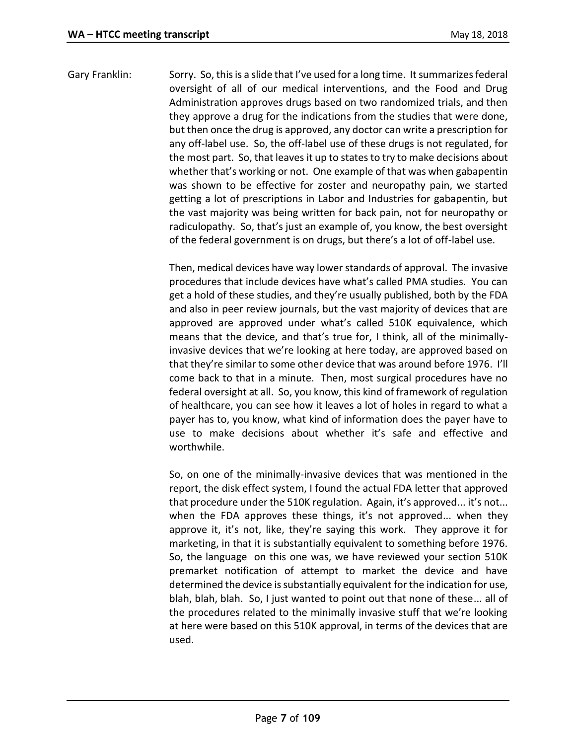Gary Franklin: Sorry. So, this is a slide that I've used for a long time. It summarizes federal oversight of all of our medical interventions, and the Food and Drug Administration approves drugs based on two randomized trials, and then they approve a drug for the indications from the studies that were done, but then once the drug is approved, any doctor can write a prescription for any off-label use. So, the off-label use of these drugs is not regulated, for the most part. So, that leaves it up to states to try to make decisions about whether that's working or not. One example of that was when gabapentin was shown to be effective for zoster and neuropathy pain, we started getting a lot of prescriptions in Labor and Industries for gabapentin, but the vast majority was being written for back pain, not for neuropathy or radiculopathy. So, that's just an example of, you know, the best oversight of the federal government is on drugs, but there's a lot of off-label use.

> Then, medical devices have way lower standards of approval. The invasive procedures that include devices have what's called PMA studies. You can get a hold of these studies, and they're usually published, both by the FDA and also in peer review journals, but the vast majority of devices that are approved are approved under what's called 510K equivalence, which means that the device, and that's true for, I think, all of the minimallyinvasive devices that we're looking at here today, are approved based on that they're similar to some other device that was around before 1976. I'll come back to that in a minute. Then, most surgical procedures have no federal oversight at all. So, you know, this kind of framework of regulation of healthcare, you can see how it leaves a lot of holes in regard to what a payer has to, you know, what kind of information does the payer have to use to make decisions about whether it's safe and effective and worthwhile.

> So, on one of the minimally-invasive devices that was mentioned in the report, the disk effect system, I found the actual FDA letter that approved that procedure under the 510K regulation. Again, it's approved... it's not... when the FDA approves these things, it's not approved... when they approve it, it's not, like, they're saying this work. They approve it for marketing, in that it is substantially equivalent to something before 1976. So, the language on this one was, we have reviewed your section 510K premarket notification of attempt to market the device and have determined the device is substantially equivalent for the indication for use, blah, blah, blah. So, I just wanted to point out that none of these... all of the procedures related to the minimally invasive stuff that we're looking at here were based on this 510K approval, in terms of the devices that are used.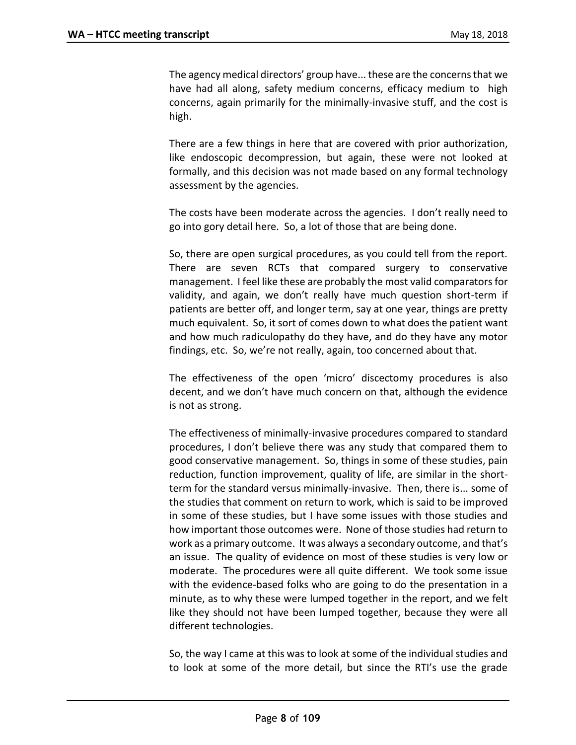The agency medical directors' group have... these are the concerns that we have had all along, safety medium concerns, efficacy medium to high concerns, again primarily for the minimally-invasive stuff, and the cost is high.

There are a few things in here that are covered with prior authorization, like endoscopic decompression, but again, these were not looked at formally, and this decision was not made based on any formal technology assessment by the agencies.

The costs have been moderate across the agencies. I don't really need to go into gory detail here. So, a lot of those that are being done.

So, there are open surgical procedures, as you could tell from the report. There are seven RCTs that compared surgery to conservative management. I feel like these are probably the most valid comparators for validity, and again, we don't really have much question short-term if patients are better off, and longer term, say at one year, things are pretty much equivalent. So, it sort of comes down to what does the patient want and how much radiculopathy do they have, and do they have any motor findings, etc. So, we're not really, again, too concerned about that.

The effectiveness of the open 'micro' discectomy procedures is also decent, and we don't have much concern on that, although the evidence is not as strong.

The effectiveness of minimally-invasive procedures compared to standard procedures, I don't believe there was any study that compared them to good conservative management. So, things in some of these studies, pain reduction, function improvement, quality of life, are similar in the shortterm for the standard versus minimally-invasive. Then, there is... some of the studies that comment on return to work, which is said to be improved in some of these studies, but I have some issues with those studies and how important those outcomes were. None of those studies had return to work as a primary outcome. It was always a secondary outcome, and that's an issue. The quality of evidence on most of these studies is very low or moderate. The procedures were all quite different. We took some issue with the evidence-based folks who are going to do the presentation in a minute, as to why these were lumped together in the report, and we felt like they should not have been lumped together, because they were all different technologies.

So, the way I came at this was to look at some of the individual studies and to look at some of the more detail, but since the RTI's use the grade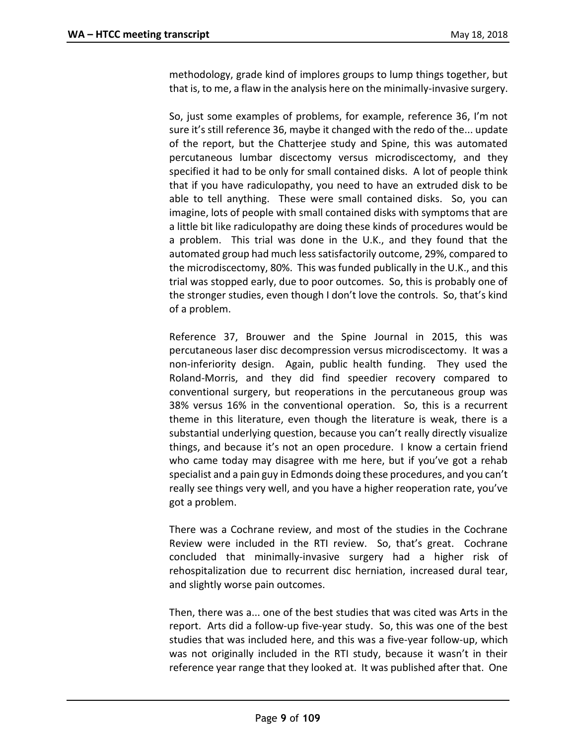methodology, grade kind of implores groups to lump things together, but that is, to me, a flaw in the analysis here on the minimally-invasive surgery.

So, just some examples of problems, for example, reference 36, I'm not sure it's still reference 36, maybe it changed with the redo of the... update of the report, but the Chatterjee study and Spine, this was automated percutaneous lumbar discectomy versus microdiscectomy, and they specified it had to be only for small contained disks. A lot of people think that if you have radiculopathy, you need to have an extruded disk to be able to tell anything. These were small contained disks. So, you can imagine, lots of people with small contained disks with symptoms that are a little bit like radiculopathy are doing these kinds of procedures would be a problem. This trial was done in the U.K., and they found that the automated group had much less satisfactorily outcome, 29%, compared to the microdiscectomy, 80%. This was funded publically in the U.K., and this trial was stopped early, due to poor outcomes. So, this is probably one of the stronger studies, even though I don't love the controls. So, that's kind of a problem.

Reference 37, Brouwer and the Spine Journal in 2015, this was percutaneous laser disc decompression versus microdiscectomy. It was a non-inferiority design. Again, public health funding. They used the Roland-Morris, and they did find speedier recovery compared to conventional surgery, but reoperations in the percutaneous group was 38% versus 16% in the conventional operation. So, this is a recurrent theme in this literature, even though the literature is weak, there is a substantial underlying question, because you can't really directly visualize things, and because it's not an open procedure. I know a certain friend who came today may disagree with me here, but if you've got a rehab specialist and a pain guy in Edmonds doing these procedures, and you can't really see things very well, and you have a higher reoperation rate, you've got a problem.

There was a Cochrane review, and most of the studies in the Cochrane Review were included in the RTI review. So, that's great. Cochrane concluded that minimally-invasive surgery had a higher risk of rehospitalization due to recurrent disc herniation, increased dural tear, and slightly worse pain outcomes.

Then, there was a... one of the best studies that was cited was Arts in the report. Arts did a follow-up five-year study. So, this was one of the best studies that was included here, and this was a five-year follow-up, which was not originally included in the RTI study, because it wasn't in their reference year range that they looked at. It was published after that. One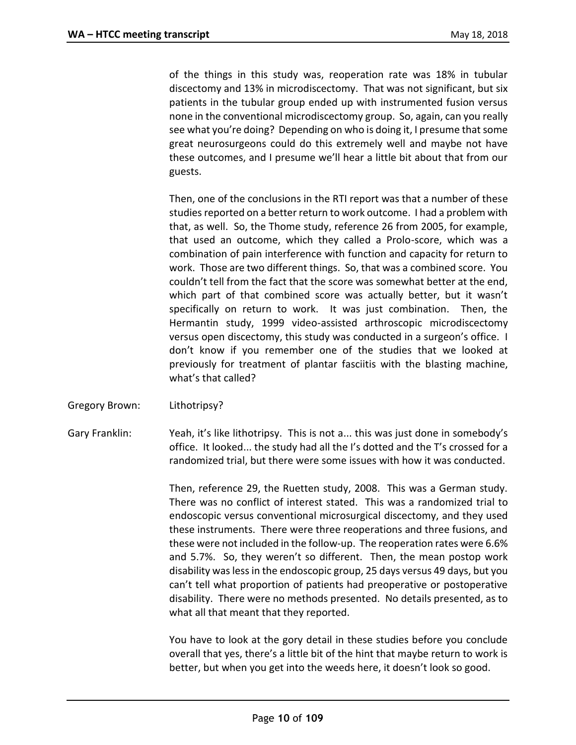of the things in this study was, reoperation rate was 18% in tubular discectomy and 13% in microdiscectomy. That was not significant, but six patients in the tubular group ended up with instrumented fusion versus none in the conventional microdiscectomy group. So, again, can you really see what you're doing? Depending on who is doing it, I presume that some great neurosurgeons could do this extremely well and maybe not have these outcomes, and I presume we'll hear a little bit about that from our guests.

Then, one of the conclusions in the RTI report was that a number of these studies reported on a better return to work outcome. I had a problem with that, as well. So, the Thome study, reference 26 from 2005, for example, that used an outcome, which they called a Prolo-score, which was a combination of pain interference with function and capacity for return to work. Those are two different things. So, that was a combined score. You couldn't tell from the fact that the score was somewhat better at the end, which part of that combined score was actually better, but it wasn't specifically on return to work. It was just combination. Then, the Hermantin study, 1999 video-assisted arthroscopic microdiscectomy versus open discectomy, this study was conducted in a surgeon's office. I don't know if you remember one of the studies that we looked at previously for treatment of plantar fasciitis with the blasting machine, what's that called?

Gregory Brown: Lithotripsy?

Gary Franklin: Yeah, it's like lithotripsy. This is not a... this was just done in somebody's office. It looked... the study had all the I's dotted and the T's crossed for a randomized trial, but there were some issues with how it was conducted.

> Then, reference 29, the Ruetten study, 2008. This was a German study. There was no conflict of interest stated. This was a randomized trial to endoscopic versus conventional microsurgical discectomy, and they used these instruments. There were three reoperations and three fusions, and these were not included in the follow-up. The reoperation rates were 6.6% and 5.7%. So, they weren't so different. Then, the mean postop work disability was less in the endoscopic group, 25 days versus 49 days, but you can't tell what proportion of patients had preoperative or postoperative disability. There were no methods presented. No details presented, as to what all that meant that they reported.

> You have to look at the gory detail in these studies before you conclude overall that yes, there's a little bit of the hint that maybe return to work is better, but when you get into the weeds here, it doesn't look so good.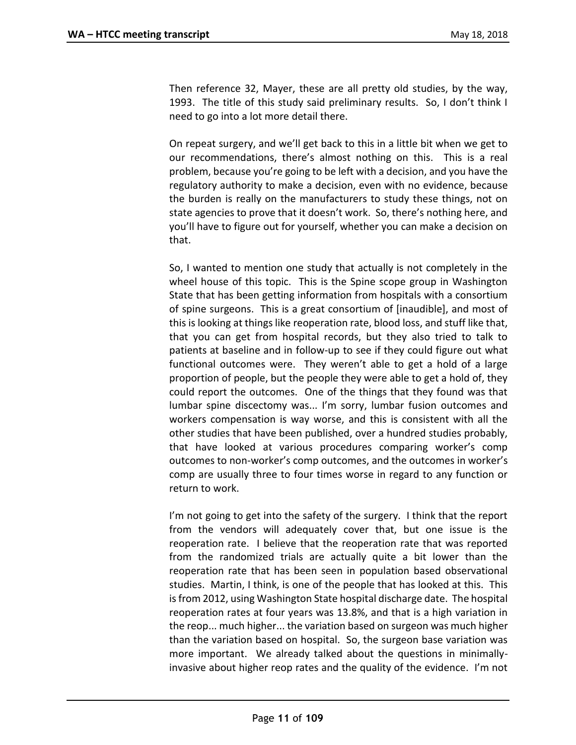Then reference 32, Mayer, these are all pretty old studies, by the way, 1993. The title of this study said preliminary results. So, I don't think I need to go into a lot more detail there.

On repeat surgery, and we'll get back to this in a little bit when we get to our recommendations, there's almost nothing on this. This is a real problem, because you're going to be left with a decision, and you have the regulatory authority to make a decision, even with no evidence, because the burden is really on the manufacturers to study these things, not on state agencies to prove that it doesn't work. So, there's nothing here, and you'll have to figure out for yourself, whether you can make a decision on that.

So, I wanted to mention one study that actually is not completely in the wheel house of this topic. This is the Spine scope group in Washington State that has been getting information from hospitals with a consortium of spine surgeons. This is a great consortium of [inaudible], and most of this is looking at things like reoperation rate, blood loss, and stuff like that, that you can get from hospital records, but they also tried to talk to patients at baseline and in follow-up to see if they could figure out what functional outcomes were. They weren't able to get a hold of a large proportion of people, but the people they were able to get a hold of, they could report the outcomes. One of the things that they found was that lumbar spine discectomy was... I'm sorry, lumbar fusion outcomes and workers compensation is way worse, and this is consistent with all the other studies that have been published, over a hundred studies probably, that have looked at various procedures comparing worker's comp outcomes to non-worker's comp outcomes, and the outcomes in worker's comp are usually three to four times worse in regard to any function or return to work.

I'm not going to get into the safety of the surgery. I think that the report from the vendors will adequately cover that, but one issue is the reoperation rate. I believe that the reoperation rate that was reported from the randomized trials are actually quite a bit lower than the reoperation rate that has been seen in population based observational studies. Martin, I think, is one of the people that has looked at this. This is from 2012, using Washington State hospital discharge date. The hospital reoperation rates at four years was 13.8%, and that is a high variation in the reop... much higher... the variation based on surgeon was much higher than the variation based on hospital. So, the surgeon base variation was more important. We already talked about the questions in minimallyinvasive about higher reop rates and the quality of the evidence. I'm not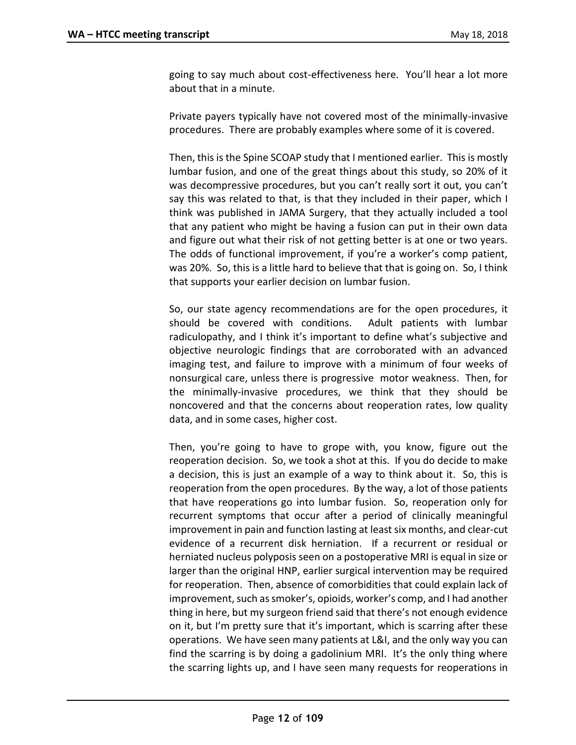going to say much about cost-effectiveness here. You'll hear a lot more about that in a minute.

Private payers typically have not covered most of the minimally-invasive procedures. There are probably examples where some of it is covered.

Then, this is the Spine SCOAP study that I mentioned earlier. This is mostly lumbar fusion, and one of the great things about this study, so 20% of it was decompressive procedures, but you can't really sort it out, you can't say this was related to that, is that they included in their paper, which I think was published in JAMA Surgery, that they actually included a tool that any patient who might be having a fusion can put in their own data and figure out what their risk of not getting better is at one or two years. The odds of functional improvement, if you're a worker's comp patient, was 20%. So, this is a little hard to believe that that is going on. So, I think that supports your earlier decision on lumbar fusion.

So, our state agency recommendations are for the open procedures, it should be covered with conditions. Adult patients with lumbar radiculopathy, and I think it's important to define what's subjective and objective neurologic findings that are corroborated with an advanced imaging test, and failure to improve with a minimum of four weeks of nonsurgical care, unless there is progressive motor weakness. Then, for the minimally-invasive procedures, we think that they should be noncovered and that the concerns about reoperation rates, low quality data, and in some cases, higher cost.

Then, you're going to have to grope with, you know, figure out the reoperation decision. So, we took a shot at this. If you do decide to make a decision, this is just an example of a way to think about it. So, this is reoperation from the open procedures. By the way, a lot of those patients that have reoperations go into lumbar fusion. So, reoperation only for recurrent symptoms that occur after a period of clinically meaningful improvement in pain and function lasting at least six months, and clear-cut evidence of a recurrent disk herniation. If a recurrent or residual or herniated nucleus polyposis seen on a postoperative MRI is equal in size or larger than the original HNP, earlier surgical intervention may be required for reoperation. Then, absence of comorbidities that could explain lack of improvement, such as smoker's, opioids, worker's comp, and I had another thing in here, but my surgeon friend said that there's not enough evidence on it, but I'm pretty sure that it's important, which is scarring after these operations. We have seen many patients at L&I, and the only way you can find the scarring is by doing a gadolinium MRI. It's the only thing where the scarring lights up, and I have seen many requests for reoperations in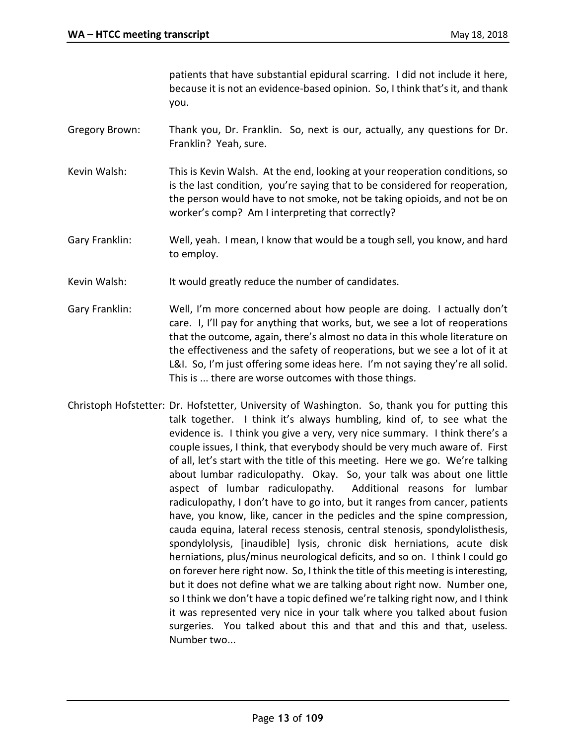patients that have substantial epidural scarring. I did not include it here, because it is not an evidence-based opinion. So, I think that's it, and thank you.

- Gregory Brown: Thank you, Dr. Franklin. So, next is our, actually, any questions for Dr. Franklin? Yeah, sure.
- Kevin Walsh: This is Kevin Walsh. At the end, looking at your reoperation conditions, so is the last condition, you're saying that to be considered for reoperation, the person would have to not smoke, not be taking opioids, and not be on worker's comp? Am I interpreting that correctly?
- Gary Franklin: Well, yeah. I mean, I know that would be a tough sell, you know, and hard to employ.
- Kevin Walsh: It would greatly reduce the number of candidates.
- Gary Franklin: Well, I'm more concerned about how people are doing. I actually don't care. I, I'll pay for anything that works, but, we see a lot of reoperations that the outcome, again, there's almost no data in this whole literature on the effectiveness and the safety of reoperations, but we see a lot of it at L&I. So, I'm just offering some ideas here. I'm not saying they're all solid. This is ... there are worse outcomes with those things.
- Christoph Hofstetter: Dr. Hofstetter, University of Washington. So, thank you for putting this talk together. I think it's always humbling, kind of, to see what the evidence is. I think you give a very, very nice summary. I think there's a couple issues, I think, that everybody should be very much aware of. First of all, let's start with the title of this meeting. Here we go. We're talking about lumbar radiculopathy. Okay. So, your talk was about one little aspect of lumbar radiculopathy. Additional reasons for lumbar radiculopathy, I don't have to go into, but it ranges from cancer, patients have, you know, like, cancer in the pedicles and the spine compression, cauda equina, lateral recess stenosis, central stenosis, spondylolisthesis, spondylolysis, [inaudible] lysis, chronic disk herniations, acute disk herniations, plus/minus neurological deficits, and so on. I think I could go on forever here right now. So, I think the title of this meeting is interesting, but it does not define what we are talking about right now. Number one, so I think we don't have a topic defined we're talking right now, and I think it was represented very nice in your talk where you talked about fusion surgeries. You talked about this and that and this and that, useless. Number two...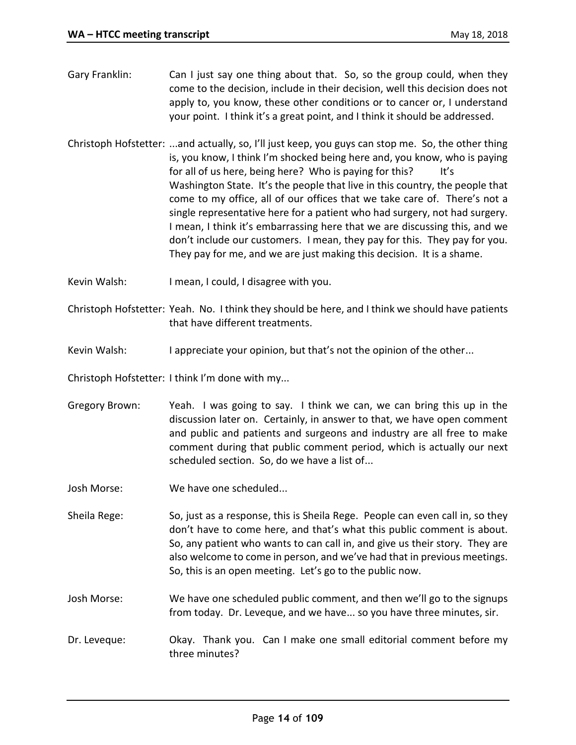- Gary Franklin: Can I just say one thing about that. So, so the group could, when they come to the decision, include in their decision, well this decision does not apply to, you know, these other conditions or to cancer or, I understand your point. I think it's a great point, and I think it should be addressed.
- Christoph Hofstetter: ...and actually, so, I'll just keep, you guys can stop me. So, the other thing is, you know, I think I'm shocked being here and, you know, who is paying for all of us here, being here? Who is paying for this? It's Washington State. It's the people that live in this country, the people that come to my office, all of our offices that we take care of. There's not a single representative here for a patient who had surgery, not had surgery. I mean, I think it's embarrassing here that we are discussing this, and we don't include our customers. I mean, they pay for this. They pay for you. They pay for me, and we are just making this decision. It is a shame.
- Kevin Walsh: I mean, I could, I disagree with you.
- Christoph Hofstetter: Yeah. No. I think they should be here, and I think we should have patients that have different treatments.
- Kevin Walsh: I appreciate your opinion, but that's not the opinion of the other...

Christoph Hofstetter: I think I'm done with my...

- Gregory Brown: Yeah. I was going to say. I think we can, we can bring this up in the discussion later on. Certainly, in answer to that, we have open comment and public and patients and surgeons and industry are all free to make comment during that public comment period, which is actually our next scheduled section. So, do we have a list of...
- Josh Morse: We have one scheduled...

Sheila Rege: So, just as a response, this is Sheila Rege. People can even call in, so they don't have to come here, and that's what this public comment is about. So, any patient who wants to can call in, and give us their story. They are also welcome to come in person, and we've had that in previous meetings. So, this is an open meeting. Let's go to the public now.

- Josh Morse: We have one scheduled public comment, and then we'll go to the signups from today. Dr. Leveque, and we have... so you have three minutes, sir.
- Dr. Leveque: Okay. Thank you. Can I make one small editorial comment before my three minutes?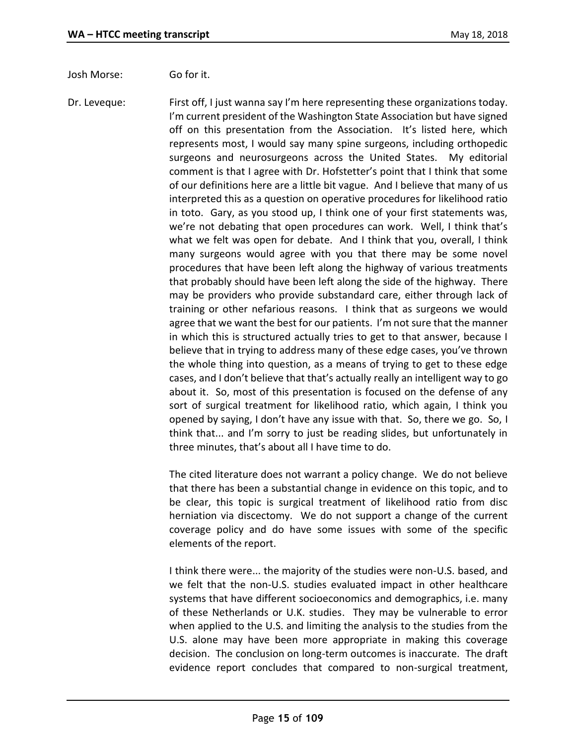Josh Morse: Go for it.

Dr. Leveque: First off, I just wanna say I'm here representing these organizations today. I'm current president of the Washington State Association but have signed off on this presentation from the Association. It's listed here, which represents most, I would say many spine surgeons, including orthopedic surgeons and neurosurgeons across the United States. My editorial comment is that I agree with Dr. Hofstetter's point that I think that some of our definitions here are a little bit vague. And I believe that many of us interpreted this as a question on operative procedures for likelihood ratio in toto. Gary, as you stood up, I think one of your first statements was, we're not debating that open procedures can work. Well, I think that's what we felt was open for debate. And I think that you, overall, I think many surgeons would agree with you that there may be some novel procedures that have been left along the highway of various treatments that probably should have been left along the side of the highway. There may be providers who provide substandard care, either through lack of training or other nefarious reasons. I think that as surgeons we would agree that we want the best for our patients. I'm not sure that the manner in which this is structured actually tries to get to that answer, because I believe that in trying to address many of these edge cases, you've thrown the whole thing into question, as a means of trying to get to these edge cases, and I don't believe that that's actually really an intelligent way to go about it. So, most of this presentation is focused on the defense of any sort of surgical treatment for likelihood ratio, which again, I think you opened by saying, I don't have any issue with that. So, there we go. So, I think that... and I'm sorry to just be reading slides, but unfortunately in three minutes, that's about all I have time to do.

> The cited literature does not warrant a policy change. We do not believe that there has been a substantial change in evidence on this topic, and to be clear, this topic is surgical treatment of likelihood ratio from disc herniation via discectomy. We do not support a change of the current coverage policy and do have some issues with some of the specific elements of the report.

> I think there were... the majority of the studies were non-U.S. based, and we felt that the non-U.S. studies evaluated impact in other healthcare systems that have different socioeconomics and demographics, i.e. many of these Netherlands or U.K. studies. They may be vulnerable to error when applied to the U.S. and limiting the analysis to the studies from the U.S. alone may have been more appropriate in making this coverage decision. The conclusion on long-term outcomes is inaccurate. The draft evidence report concludes that compared to non-surgical treatment,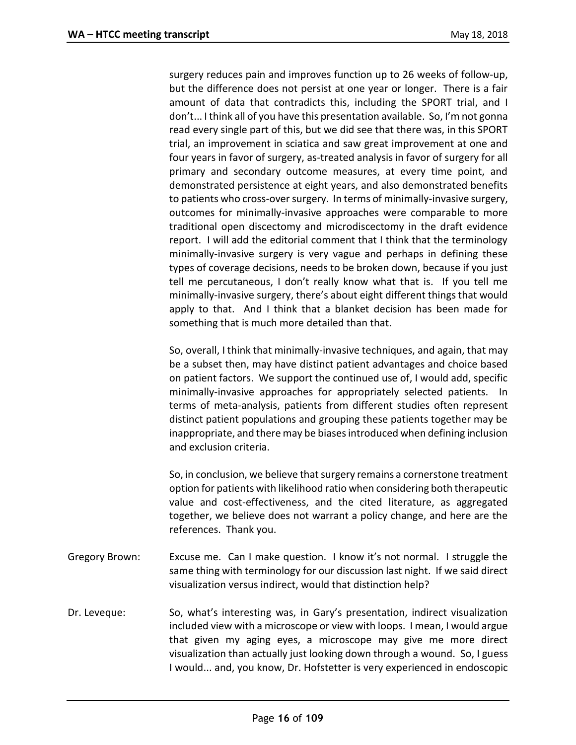surgery reduces pain and improves function up to 26 weeks of follow-up, but the difference does not persist at one year or longer. There is a fair amount of data that contradicts this, including the SPORT trial, and I don't... I think all of you have this presentation available. So, I'm not gonna read every single part of this, but we did see that there was, in this SPORT trial, an improvement in sciatica and saw great improvement at one and four years in favor of surgery, as-treated analysis in favor of surgery for all primary and secondary outcome measures, at every time point, and demonstrated persistence at eight years, and also demonstrated benefits to patients who cross-over surgery. In terms of minimally-invasive surgery, outcomes for minimally-invasive approaches were comparable to more traditional open discectomy and microdiscectomy in the draft evidence report. I will add the editorial comment that I think that the terminology minimally-invasive surgery is very vague and perhaps in defining these types of coverage decisions, needs to be broken down, because if you just tell me percutaneous, I don't really know what that is. If you tell me minimally-invasive surgery, there's about eight different things that would apply to that. And I think that a blanket decision has been made for something that is much more detailed than that.

So, overall, I think that minimally-invasive techniques, and again, that may be a subset then, may have distinct patient advantages and choice based on patient factors. We support the continued use of, I would add, specific minimally-invasive approaches for appropriately selected patients. In terms of meta-analysis, patients from different studies often represent distinct patient populations and grouping these patients together may be inappropriate, and there may be biases introduced when defining inclusion and exclusion criteria.

So, in conclusion, we believe that surgery remains a cornerstone treatment option for patients with likelihood ratio when considering both therapeutic value and cost-effectiveness, and the cited literature, as aggregated together, we believe does not warrant a policy change, and here are the references. Thank you.

- Gregory Brown: Excuse me. Can I make question. I know it's not normal. I struggle the same thing with terminology for our discussion last night. If we said direct visualization versus indirect, would that distinction help?
- Dr. Leveque: So, what's interesting was, in Gary's presentation, indirect visualization included view with a microscope or view with loops. I mean, I would argue that given my aging eyes, a microscope may give me more direct visualization than actually just looking down through a wound. So, I guess I would... and, you know, Dr. Hofstetter is very experienced in endoscopic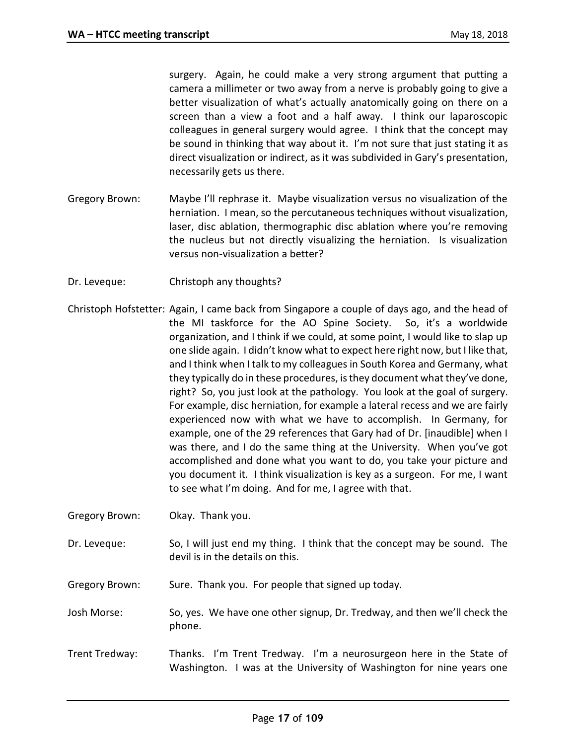surgery. Again, he could make a very strong argument that putting a camera a millimeter or two away from a nerve is probably going to give a better visualization of what's actually anatomically going on there on a screen than a view a foot and a half away. I think our laparoscopic colleagues in general surgery would agree. I think that the concept may be sound in thinking that way about it. I'm not sure that just stating it as direct visualization or indirect, as it was subdivided in Gary's presentation, necessarily gets us there.

- Gregory Brown: Maybe I'll rephrase it. Maybe visualization versus no visualization of the herniation. I mean, so the percutaneous techniques without visualization, laser, disc ablation, thermographic disc ablation where you're removing the nucleus but not directly visualizing the herniation. Is visualization versus non-visualization a better?
- Dr. Leveque: Christoph any thoughts?
- Christoph Hofstetter: Again, I came back from Singapore a couple of days ago, and the head of the MI taskforce for the AO Spine Society. So, it's a worldwide organization, and I think if we could, at some point, I would like to slap up one slide again. I didn't know what to expect here right now, but I like that, and I think when I talk to my colleagues in South Korea and Germany, what they typically do in these procedures, is they document what they've done, right? So, you just look at the pathology. You look at the goal of surgery. For example, disc herniation, for example a lateral recess and we are fairly experienced now with what we have to accomplish. In Germany, for example, one of the 29 references that Gary had of Dr. [inaudible] when I was there, and I do the same thing at the University. When you've got accomplished and done what you want to do, you take your picture and you document it. I think visualization is key as a surgeon. For me, I want to see what I'm doing. And for me, I agree with that.
- Gregory Brown: Okay. Thank you.
- Dr. Leveque: So, I will just end my thing. I think that the concept may be sound. The devil is in the details on this.
- Gregory Brown: Sure. Thank you. For people that signed up today.
- Josh Morse: So, yes. We have one other signup, Dr. Tredway, and then we'll check the phone.
- Trent Tredway: Thanks. I'm Trent Tredway. I'm a neurosurgeon here in the State of Washington. I was at the University of Washington for nine years one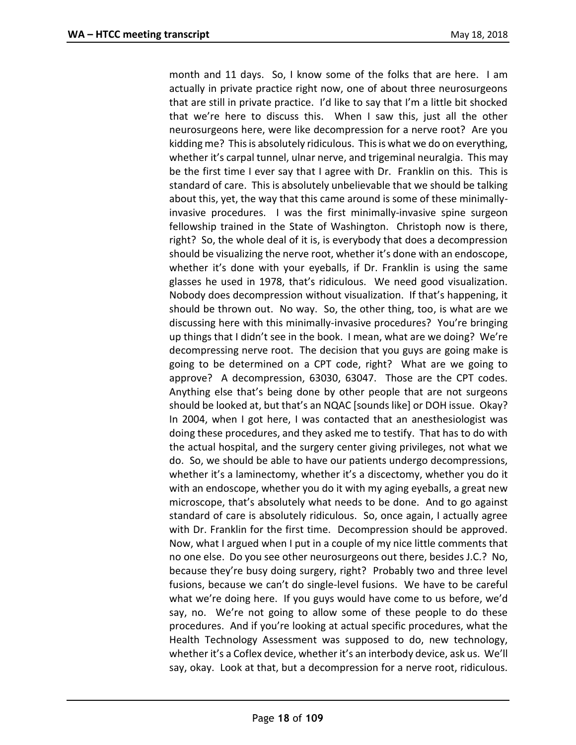month and 11 days. So, I know some of the folks that are here. I am actually in private practice right now, one of about three neurosurgeons that are still in private practice. I'd like to say that I'm a little bit shocked that we're here to discuss this. When I saw this, just all the other neurosurgeons here, were like decompression for a nerve root? Are you kidding me? This is absolutely ridiculous. This is what we do on everything, whether it's carpal tunnel, ulnar nerve, and trigeminal neuralgia. This may be the first time I ever say that I agree with Dr. Franklin on this. This is standard of care. This is absolutely unbelievable that we should be talking about this, yet, the way that this came around is some of these minimallyinvasive procedures. I was the first minimally-invasive spine surgeon fellowship trained in the State of Washington. Christoph now is there, right? So, the whole deal of it is, is everybody that does a decompression should be visualizing the nerve root, whether it's done with an endoscope, whether it's done with your eyeballs, if Dr. Franklin is using the same glasses he used in 1978, that's ridiculous. We need good visualization. Nobody does decompression without visualization. If that's happening, it should be thrown out. No way. So, the other thing, too, is what are we discussing here with this minimally-invasive procedures? You're bringing up things that I didn't see in the book. I mean, what are we doing? We're decompressing nerve root. The decision that you guys are going make is going to be determined on a CPT code, right? What are we going to approve? A decompression, 63030, 63047. Those are the CPT codes. Anything else that's being done by other people that are not surgeons should be looked at, but that's an NQAC [sounds like] or DOH issue. Okay? In 2004, when I got here, I was contacted that an anesthesiologist was doing these procedures, and they asked me to testify. That has to do with the actual hospital, and the surgery center giving privileges, not what we do. So, we should be able to have our patients undergo decompressions, whether it's a laminectomy, whether it's a discectomy, whether you do it with an endoscope, whether you do it with my aging eyeballs, a great new microscope, that's absolutely what needs to be done. And to go against standard of care is absolutely ridiculous. So, once again, I actually agree with Dr. Franklin for the first time. Decompression should be approved. Now, what I argued when I put in a couple of my nice little comments that no one else. Do you see other neurosurgeons out there, besides J.C.? No, because they're busy doing surgery, right? Probably two and three level fusions, because we can't do single-level fusions. We have to be careful what we're doing here. If you guys would have come to us before, we'd say, no. We're not going to allow some of these people to do these procedures. And if you're looking at actual specific procedures, what the Health Technology Assessment was supposed to do, new technology, whether it's a Coflex device, whether it's an interbody device, ask us. We'll say, okay. Look at that, but a decompression for a nerve root, ridiculous.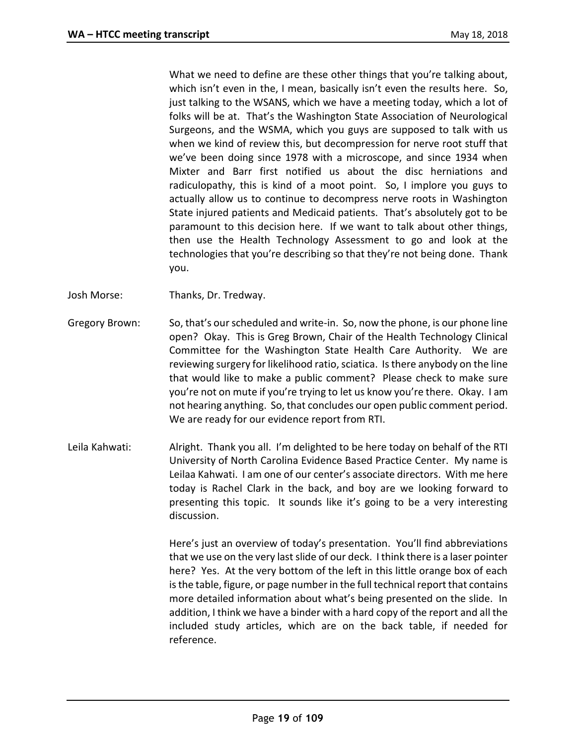What we need to define are these other things that you're talking about, which isn't even in the, I mean, basically isn't even the results here. So, just talking to the WSANS, which we have a meeting today, which a lot of folks will be at. That's the Washington State Association of Neurological Surgeons, and the WSMA, which you guys are supposed to talk with us when we kind of review this, but decompression for nerve root stuff that we've been doing since 1978 with a microscope, and since 1934 when Mixter and Barr first notified us about the disc herniations and radiculopathy, this is kind of a moot point. So, I implore you guys to actually allow us to continue to decompress nerve roots in Washington State injured patients and Medicaid patients. That's absolutely got to be paramount to this decision here. If we want to talk about other things, then use the Health Technology Assessment to go and look at the technologies that you're describing so that they're not being done. Thank you.

Josh Morse: Thanks, Dr. Tredway.

- Gregory Brown: So, that's our scheduled and write-in. So, now the phone, is our phone line open? Okay. This is Greg Brown, Chair of the Health Technology Clinical Committee for the Washington State Health Care Authority. We are reviewing surgery for likelihood ratio, sciatica. Is there anybody on the line that would like to make a public comment? Please check to make sure you're not on mute if you're trying to let us know you're there. Okay. I am not hearing anything. So, that concludes our open public comment period. We are ready for our evidence report from RTI.
- Leila Kahwati: Alright. Thank you all. I'm delighted to be here today on behalf of the RTI University of North Carolina Evidence Based Practice Center. My name is Leilaa Kahwati. I am one of our center's associate directors. With me here today is Rachel Clark in the back, and boy are we looking forward to presenting this topic. It sounds like it's going to be a very interesting discussion.

Here's just an overview of today's presentation. You'll find abbreviations that we use on the very last slide of our deck. I think there is a laser pointer here? Yes. At the very bottom of the left in this little orange box of each is the table, figure, or page number in the full technical report that contains more detailed information about what's being presented on the slide. In addition, I think we have a binder with a hard copy of the report and all the included study articles, which are on the back table, if needed for reference.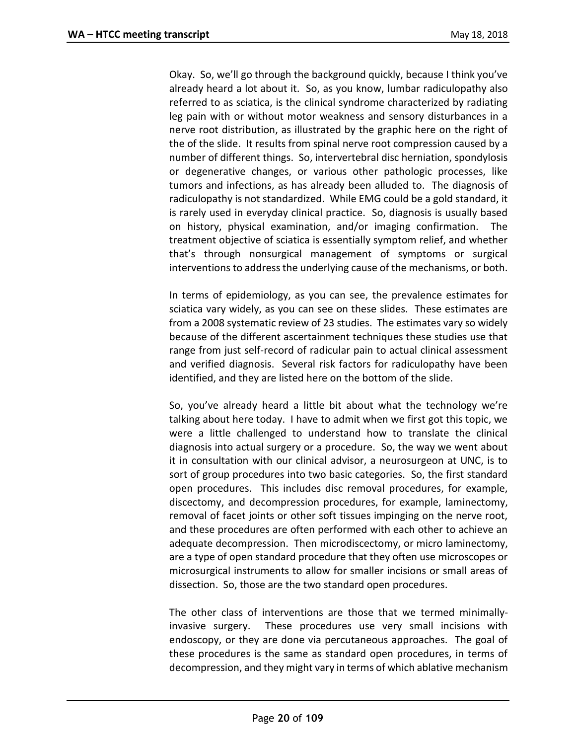Okay. So, we'll go through the background quickly, because I think you've already heard a lot about it. So, as you know, lumbar radiculopathy also referred to as sciatica, is the clinical syndrome characterized by radiating leg pain with or without motor weakness and sensory disturbances in a nerve root distribution, as illustrated by the graphic here on the right of the of the slide. It results from spinal nerve root compression caused by a number of different things. So, intervertebral disc herniation, spondylosis or degenerative changes, or various other pathologic processes, like tumors and infections, as has already been alluded to. The diagnosis of radiculopathy is not standardized. While EMG could be a gold standard, it is rarely used in everyday clinical practice. So, diagnosis is usually based on history, physical examination, and/or imaging confirmation. The treatment objective of sciatica is essentially symptom relief, and whether that's through nonsurgical management of symptoms or surgical interventions to address the underlying cause of the mechanisms, or both.

In terms of epidemiology, as you can see, the prevalence estimates for sciatica vary widely, as you can see on these slides. These estimates are from a 2008 systematic review of 23 studies. The estimates vary so widely because of the different ascertainment techniques these studies use that range from just self-record of radicular pain to actual clinical assessment and verified diagnosis. Several risk factors for radiculopathy have been identified, and they are listed here on the bottom of the slide.

So, you've already heard a little bit about what the technology we're talking about here today. I have to admit when we first got this topic, we were a little challenged to understand how to translate the clinical diagnosis into actual surgery or a procedure. So, the way we went about it in consultation with our clinical advisor, a neurosurgeon at UNC, is to sort of group procedures into two basic categories. So, the first standard open procedures. This includes disc removal procedures, for example, discectomy, and decompression procedures, for example, laminectomy, removal of facet joints or other soft tissues impinging on the nerve root, and these procedures are often performed with each other to achieve an adequate decompression. Then microdiscectomy, or micro laminectomy, are a type of open standard procedure that they often use microscopes or microsurgical instruments to allow for smaller incisions or small areas of dissection. So, those are the two standard open procedures.

The other class of interventions are those that we termed minimallyinvasive surgery. These procedures use very small incisions with endoscopy, or they are done via percutaneous approaches. The goal of these procedures is the same as standard open procedures, in terms of decompression, and they might vary in terms of which ablative mechanism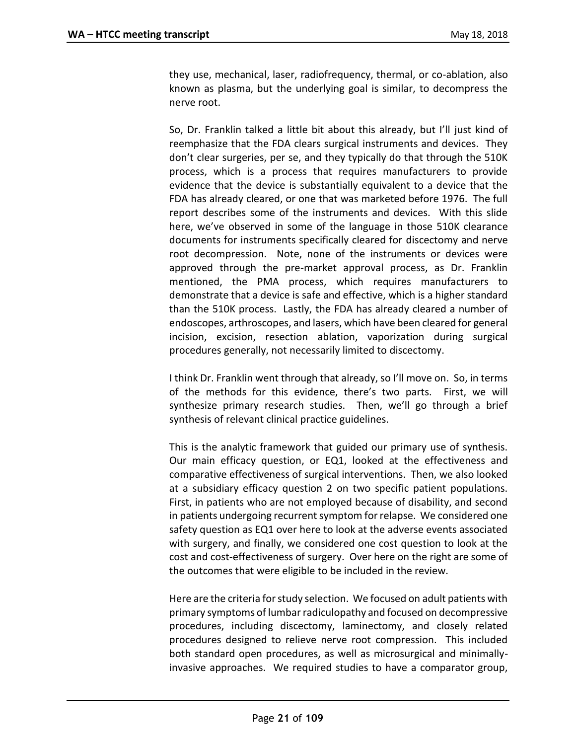they use, mechanical, laser, radiofrequency, thermal, or co-ablation, also known as plasma, but the underlying goal is similar, to decompress the nerve root.

So, Dr. Franklin talked a little bit about this already, but I'll just kind of reemphasize that the FDA clears surgical instruments and devices. They don't clear surgeries, per se, and they typically do that through the 510K process, which is a process that requires manufacturers to provide evidence that the device is substantially equivalent to a device that the FDA has already cleared, or one that was marketed before 1976. The full report describes some of the instruments and devices. With this slide here, we've observed in some of the language in those 510K clearance documents for instruments specifically cleared for discectomy and nerve root decompression. Note, none of the instruments or devices were approved through the pre-market approval process, as Dr. Franklin mentioned, the PMA process, which requires manufacturers to demonstrate that a device is safe and effective, which is a higher standard than the 510K process. Lastly, the FDA has already cleared a number of endoscopes, arthroscopes, and lasers, which have been cleared for general incision, excision, resection ablation, vaporization during surgical procedures generally, not necessarily limited to discectomy.

I think Dr. Franklin went through that already, so I'll move on. So, in terms of the methods for this evidence, there's two parts. First, we will synthesize primary research studies. Then, we'll go through a brief synthesis of relevant clinical practice guidelines.

This is the analytic framework that guided our primary use of synthesis. Our main efficacy question, or EQ1, looked at the effectiveness and comparative effectiveness of surgical interventions. Then, we also looked at a subsidiary efficacy question 2 on two specific patient populations. First, in patients who are not employed because of disability, and second in patients undergoing recurrent symptom for relapse. We considered one safety question as EQ1 over here to look at the adverse events associated with surgery, and finally, we considered one cost question to look at the cost and cost-effectiveness of surgery. Over here on the right are some of the outcomes that were eligible to be included in the review.

Here are the criteria for study selection. We focused on adult patients with primary symptoms of lumbar radiculopathy and focused on decompressive procedures, including discectomy, laminectomy, and closely related procedures designed to relieve nerve root compression. This included both standard open procedures, as well as microsurgical and minimallyinvasive approaches. We required studies to have a comparator group,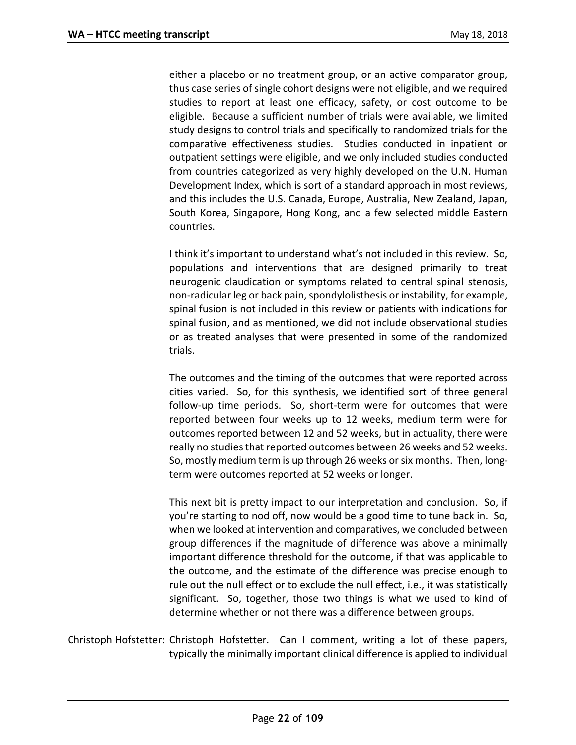either a placebo or no treatment group, or an active comparator group, thus case series of single cohort designs were not eligible, and we required studies to report at least one efficacy, safety, or cost outcome to be eligible. Because a sufficient number of trials were available, we limited study designs to control trials and specifically to randomized trials for the comparative effectiveness studies. Studies conducted in inpatient or outpatient settings were eligible, and we only included studies conducted from countries categorized as very highly developed on the U.N. Human Development Index, which is sort of a standard approach in most reviews, and this includes the U.S. Canada, Europe, Australia, New Zealand, Japan, South Korea, Singapore, Hong Kong, and a few selected middle Eastern countries.

I think it's important to understand what's not included in this review. So, populations and interventions that are designed primarily to treat neurogenic claudication or symptoms related to central spinal stenosis, non-radicular leg or back pain, spondylolisthesis or instability, for example, spinal fusion is not included in this review or patients with indications for spinal fusion, and as mentioned, we did not include observational studies or as treated analyses that were presented in some of the randomized trials.

The outcomes and the timing of the outcomes that were reported across cities varied. So, for this synthesis, we identified sort of three general follow-up time periods. So, short-term were for outcomes that were reported between four weeks up to 12 weeks, medium term were for outcomes reported between 12 and 52 weeks, but in actuality, there were really no studies that reported outcomes between 26 weeks and 52 weeks. So, mostly medium term is up through 26 weeks or six months. Then, longterm were outcomes reported at 52 weeks or longer.

This next bit is pretty impact to our interpretation and conclusion. So, if you're starting to nod off, now would be a good time to tune back in. So, when we looked at intervention and comparatives, we concluded between group differences if the magnitude of difference was above a minimally important difference threshold for the outcome, if that was applicable to the outcome, and the estimate of the difference was precise enough to rule out the null effect or to exclude the null effect, i.e., it was statistically significant. So, together, those two things is what we used to kind of determine whether or not there was a difference between groups.

Christoph Hofstetter: Christoph Hofstetter. Can I comment, writing a lot of these papers, typically the minimally important clinical difference is applied to individual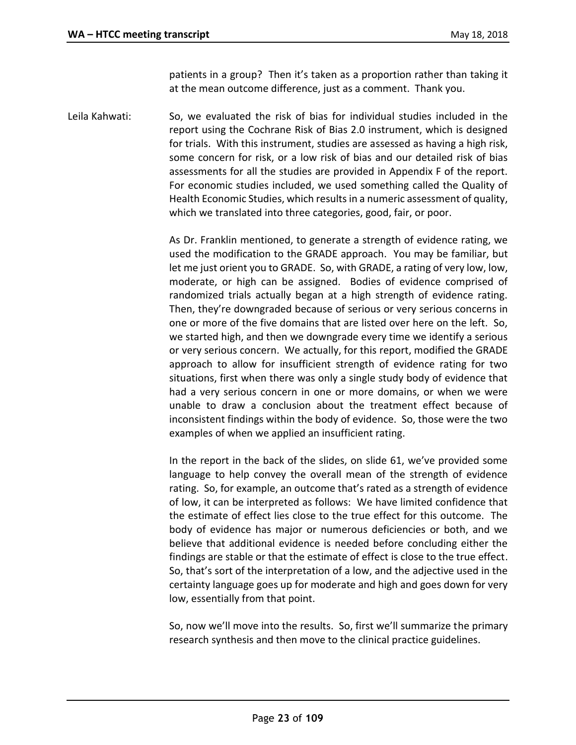patients in a group? Then it's taken as a proportion rather than taking it at the mean outcome difference, just as a comment. Thank you.

Leila Kahwati: So, we evaluated the risk of bias for individual studies included in the report using the Cochrane Risk of Bias 2.0 instrument, which is designed for trials. With this instrument, studies are assessed as having a high risk, some concern for risk, or a low risk of bias and our detailed risk of bias assessments for all the studies are provided in Appendix F of the report. For economic studies included, we used something called the Quality of Health Economic Studies, which results in a numeric assessment of quality, which we translated into three categories, good, fair, or poor.

> As Dr. Franklin mentioned, to generate a strength of evidence rating, we used the modification to the GRADE approach. You may be familiar, but let me just orient you to GRADE. So, with GRADE, a rating of very low, low, moderate, or high can be assigned. Bodies of evidence comprised of randomized trials actually began at a high strength of evidence rating. Then, they're downgraded because of serious or very serious concerns in one or more of the five domains that are listed over here on the left. So, we started high, and then we downgrade every time we identify a serious or very serious concern. We actually, for this report, modified the GRADE approach to allow for insufficient strength of evidence rating for two situations, first when there was only a single study body of evidence that had a very serious concern in one or more domains, or when we were unable to draw a conclusion about the treatment effect because of inconsistent findings within the body of evidence. So, those were the two examples of when we applied an insufficient rating.

> In the report in the back of the slides, on slide 61, we've provided some language to help convey the overall mean of the strength of evidence rating. So, for example, an outcome that's rated as a strength of evidence of low, it can be interpreted as follows: We have limited confidence that the estimate of effect lies close to the true effect for this outcome. The body of evidence has major or numerous deficiencies or both, and we believe that additional evidence is needed before concluding either the findings are stable or that the estimate of effect is close to the true effect. So, that's sort of the interpretation of a low, and the adjective used in the certainty language goes up for moderate and high and goes down for very low, essentially from that point.

> So, now we'll move into the results. So, first we'll summarize the primary research synthesis and then move to the clinical practice guidelines.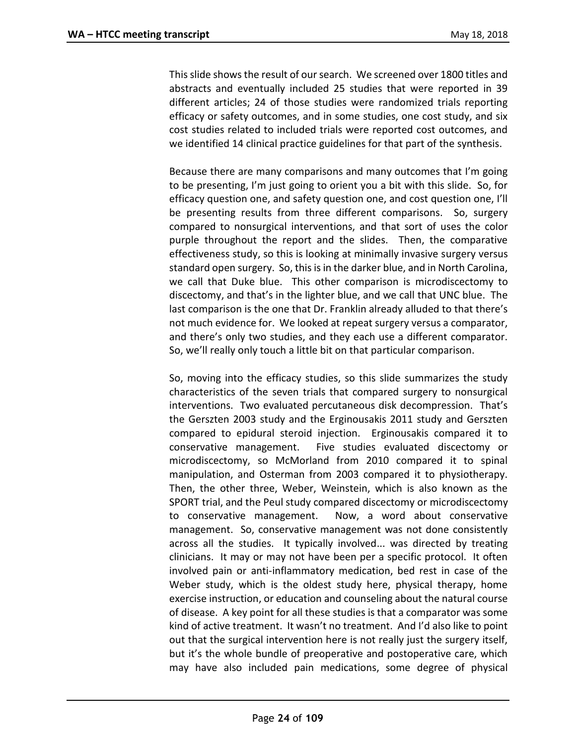This slide shows the result of our search. We screened over 1800 titles and abstracts and eventually included 25 studies that were reported in 39 different articles; 24 of those studies were randomized trials reporting efficacy or safety outcomes, and in some studies, one cost study, and six cost studies related to included trials were reported cost outcomes, and we identified 14 clinical practice guidelines for that part of the synthesis.

Because there are many comparisons and many outcomes that I'm going to be presenting, I'm just going to orient you a bit with this slide. So, for efficacy question one, and safety question one, and cost question one, I'll be presenting results from three different comparisons. So, surgery compared to nonsurgical interventions, and that sort of uses the color purple throughout the report and the slides. Then, the comparative effectiveness study, so this is looking at minimally invasive surgery versus standard open surgery. So, this is in the darker blue, and in North Carolina, we call that Duke blue. This other comparison is microdiscectomy to discectomy, and that's in the lighter blue, and we call that UNC blue. The last comparison is the one that Dr. Franklin already alluded to that there's not much evidence for. We looked at repeat surgery versus a comparator, and there's only two studies, and they each use a different comparator. So, we'll really only touch a little bit on that particular comparison.

So, moving into the efficacy studies, so this slide summarizes the study characteristics of the seven trials that compared surgery to nonsurgical interventions. Two evaluated percutaneous disk decompression. That's the Gerszten 2003 study and the Erginousakis 2011 study and Gerszten compared to epidural steroid injection. Erginousakis compared it to conservative management. Five studies evaluated discectomy or microdiscectomy, so McMorland from 2010 compared it to spinal manipulation, and Osterman from 2003 compared it to physiotherapy. Then, the other three, Weber, Weinstein, which is also known as the SPORT trial, and the Peul study compared discectomy or microdiscectomy to conservative management. Now, a word about conservative management. So, conservative management was not done consistently across all the studies. It typically involved... was directed by treating clinicians. It may or may not have been per a specific protocol. It often involved pain or anti-inflammatory medication, bed rest in case of the Weber study, which is the oldest study here, physical therapy, home exercise instruction, or education and counseling about the natural course of disease. A key point for all these studies is that a comparator was some kind of active treatment. It wasn't no treatment. And I'd also like to point out that the surgical intervention here is not really just the surgery itself, but it's the whole bundle of preoperative and postoperative care, which may have also included pain medications, some degree of physical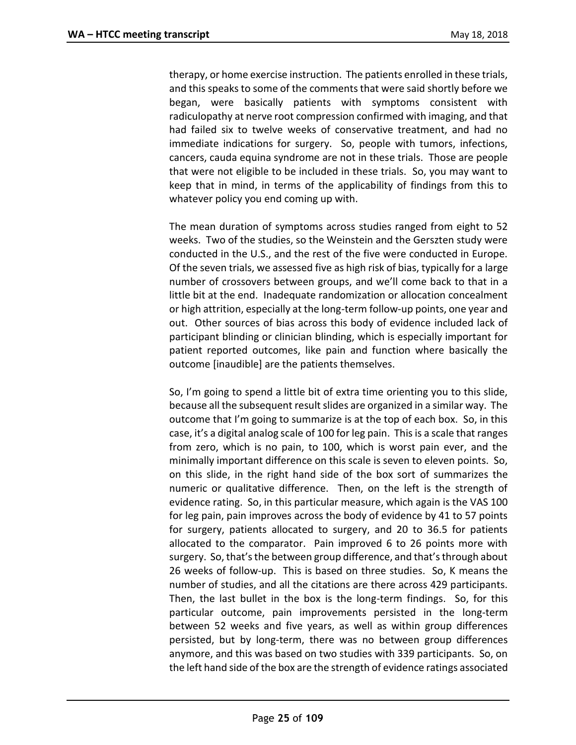therapy, or home exercise instruction. The patients enrolled in these trials, and this speaks to some of the comments that were said shortly before we began, were basically patients with symptoms consistent with radiculopathy at nerve root compression confirmed with imaging, and that had failed six to twelve weeks of conservative treatment, and had no immediate indications for surgery. So, people with tumors, infections, cancers, cauda equina syndrome are not in these trials. Those are people that were not eligible to be included in these trials. So, you may want to keep that in mind, in terms of the applicability of findings from this to whatever policy you end coming up with.

The mean duration of symptoms across studies ranged from eight to 52 weeks. Two of the studies, so the Weinstein and the Gerszten study were conducted in the U.S., and the rest of the five were conducted in Europe. Of the seven trials, we assessed five as high risk of bias, typically for a large number of crossovers between groups, and we'll come back to that in a little bit at the end. Inadequate randomization or allocation concealment or high attrition, especially at the long-term follow-up points, one year and out. Other sources of bias across this body of evidence included lack of participant blinding or clinician blinding, which is especially important for patient reported outcomes, like pain and function where basically the outcome [inaudible] are the patients themselves.

So, I'm going to spend a little bit of extra time orienting you to this slide, because all the subsequent result slides are organized in a similar way. The outcome that I'm going to summarize is at the top of each box. So, in this case, it's a digital analog scale of 100 for leg pain. This is a scale that ranges from zero, which is no pain, to 100, which is worst pain ever, and the minimally important difference on this scale is seven to eleven points. So, on this slide, in the right hand side of the box sort of summarizes the numeric or qualitative difference. Then, on the left is the strength of evidence rating. So, in this particular measure, which again is the VAS 100 for leg pain, pain improves across the body of evidence by 41 to 57 points for surgery, patients allocated to surgery, and 20 to 36.5 for patients allocated to the comparator. Pain improved 6 to 26 points more with surgery. So, that's the between group difference, and that's through about 26 weeks of follow-up. This is based on three studies. So, K means the number of studies, and all the citations are there across 429 participants. Then, the last bullet in the box is the long-term findings. So, for this particular outcome, pain improvements persisted in the long-term between 52 weeks and five years, as well as within group differences persisted, but by long-term, there was no between group differences anymore, and this was based on two studies with 339 participants. So, on the left hand side of the box are the strength of evidence ratings associated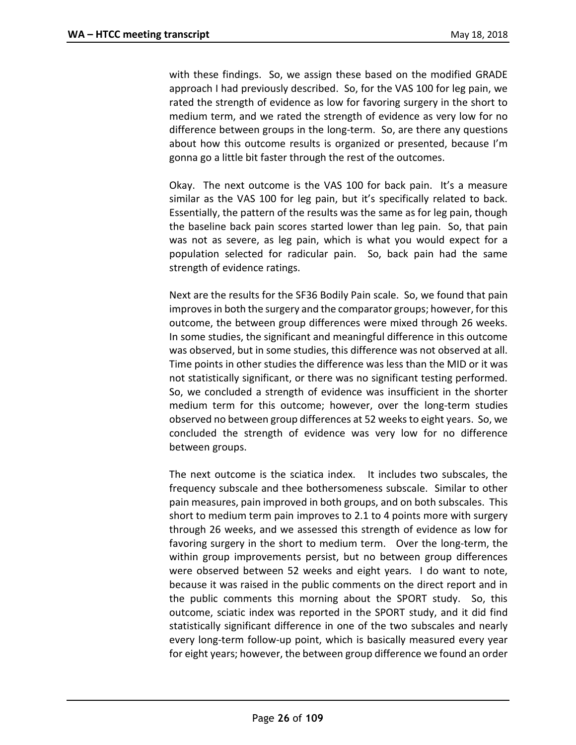with these findings. So, we assign these based on the modified GRADE approach I had previously described. So, for the VAS 100 for leg pain, we rated the strength of evidence as low for favoring surgery in the short to medium term, and we rated the strength of evidence as very low for no difference between groups in the long-term. So, are there any questions about how this outcome results is organized or presented, because I'm gonna go a little bit faster through the rest of the outcomes.

Okay. The next outcome is the VAS 100 for back pain. It's a measure similar as the VAS 100 for leg pain, but it's specifically related to back. Essentially, the pattern of the results was the same as for leg pain, though the baseline back pain scores started lower than leg pain. So, that pain was not as severe, as leg pain, which is what you would expect for a population selected for radicular pain. So, back pain had the same strength of evidence ratings.

Next are the results for the SF36 Bodily Pain scale. So, we found that pain improves in both the surgery and the comparator groups; however, for this outcome, the between group differences were mixed through 26 weeks. In some studies, the significant and meaningful difference in this outcome was observed, but in some studies, this difference was not observed at all. Time points in other studies the difference was less than the MID or it was not statistically significant, or there was no significant testing performed. So, we concluded a strength of evidence was insufficient in the shorter medium term for this outcome; however, over the long-term studies observed no between group differences at 52 weeks to eight years. So, we concluded the strength of evidence was very low for no difference between groups.

The next outcome is the sciatica index. It includes two subscales, the frequency subscale and thee bothersomeness subscale. Similar to other pain measures, pain improved in both groups, and on both subscales. This short to medium term pain improves to 2.1 to 4 points more with surgery through 26 weeks, and we assessed this strength of evidence as low for favoring surgery in the short to medium term. Over the long-term, the within group improvements persist, but no between group differences were observed between 52 weeks and eight years. I do want to note, because it was raised in the public comments on the direct report and in the public comments this morning about the SPORT study. So, this outcome, sciatic index was reported in the SPORT study, and it did find statistically significant difference in one of the two subscales and nearly every long-term follow-up point, which is basically measured every year for eight years; however, the between group difference we found an order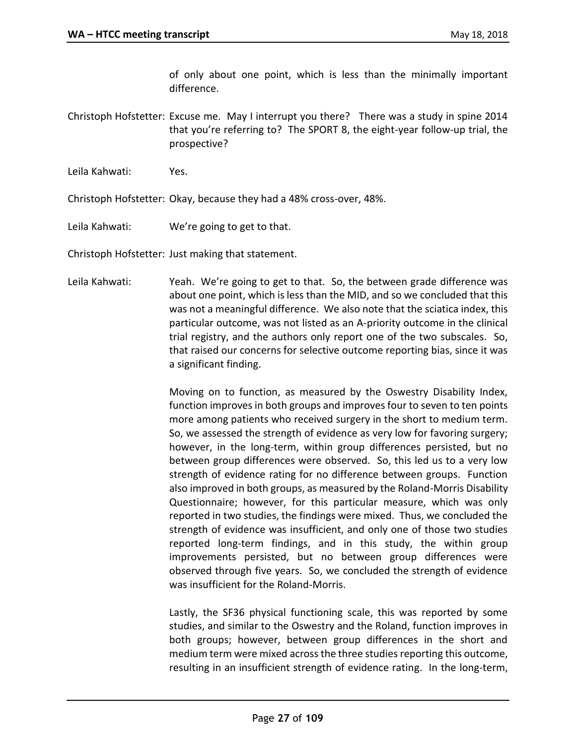of only about one point, which is less than the minimally important difference.

Christoph Hofstetter: Excuse me. May I interrupt you there? There was a study in spine 2014 that you're referring to? The SPORT 8, the eight-year follow-up trial, the prospective?

Leila Kahwati: Yes.

Christoph Hofstetter: Okay, because they had a 48% cross-over, 48%.

Leila Kahwati: We're going to get to that.

Christoph Hofstetter: Just making that statement.

Leila Kahwati: Yeah. We're going to get to that. So, the between grade difference was about one point, which is less than the MID, and so we concluded that this was not a meaningful difference. We also note that the sciatica index, this particular outcome, was not listed as an A-priority outcome in the clinical trial registry, and the authors only report one of the two subscales. So, that raised our concerns for selective outcome reporting bias, since it was a significant finding.

> Moving on to function, as measured by the Oswestry Disability Index, function improves in both groups and improves four to seven to ten points more among patients who received surgery in the short to medium term. So, we assessed the strength of evidence as very low for favoring surgery; however, in the long-term, within group differences persisted, but no between group differences were observed. So, this led us to a very low strength of evidence rating for no difference between groups. Function also improved in both groups, as measured by the Roland-Morris Disability Questionnaire; however, for this particular measure, which was only reported in two studies, the findings were mixed. Thus, we concluded the strength of evidence was insufficient, and only one of those two studies reported long-term findings, and in this study, the within group improvements persisted, but no between group differences were observed through five years. So, we concluded the strength of evidence was insufficient for the Roland-Morris.

> Lastly, the SF36 physical functioning scale, this was reported by some studies, and similar to the Oswestry and the Roland, function improves in both groups; however, between group differences in the short and medium term were mixed across the three studies reporting this outcome, resulting in an insufficient strength of evidence rating. In the long-term,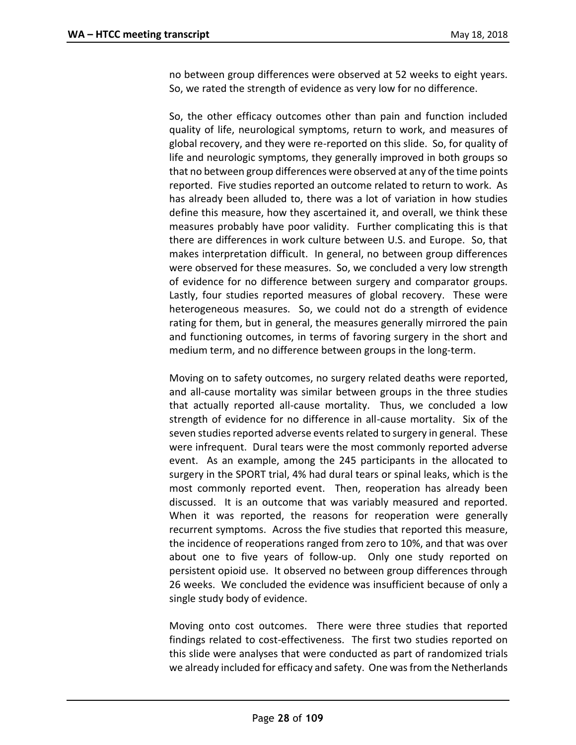no between group differences were observed at 52 weeks to eight years. So, we rated the strength of evidence as very low for no difference.

So, the other efficacy outcomes other than pain and function included quality of life, neurological symptoms, return to work, and measures of global recovery, and they were re-reported on this slide. So, for quality of life and neurologic symptoms, they generally improved in both groups so that no between group differences were observed at any of the time points reported. Five studies reported an outcome related to return to work. As has already been alluded to, there was a lot of variation in how studies define this measure, how they ascertained it, and overall, we think these measures probably have poor validity. Further complicating this is that there are differences in work culture between U.S. and Europe. So, that makes interpretation difficult. In general, no between group differences were observed for these measures. So, we concluded a very low strength of evidence for no difference between surgery and comparator groups. Lastly, four studies reported measures of global recovery. These were heterogeneous measures. So, we could not do a strength of evidence rating for them, but in general, the measures generally mirrored the pain and functioning outcomes, in terms of favoring surgery in the short and medium term, and no difference between groups in the long-term.

Moving on to safety outcomes, no surgery related deaths were reported, and all-cause mortality was similar between groups in the three studies that actually reported all-cause mortality. Thus, we concluded a low strength of evidence for no difference in all-cause mortality. Six of the seven studies reported adverse events related to surgery in general. These were infrequent. Dural tears were the most commonly reported adverse event. As an example, among the 245 participants in the allocated to surgery in the SPORT trial, 4% had dural tears or spinal leaks, which is the most commonly reported event. Then, reoperation has already been discussed. It is an outcome that was variably measured and reported. When it was reported, the reasons for reoperation were generally recurrent symptoms. Across the five studies that reported this measure, the incidence of reoperations ranged from zero to 10%, and that was over about one to five years of follow-up. Only one study reported on persistent opioid use. It observed no between group differences through 26 weeks. We concluded the evidence was insufficient because of only a single study body of evidence.

Moving onto cost outcomes. There were three studies that reported findings related to cost-effectiveness. The first two studies reported on this slide were analyses that were conducted as part of randomized trials we already included for efficacy and safety. One was from the Netherlands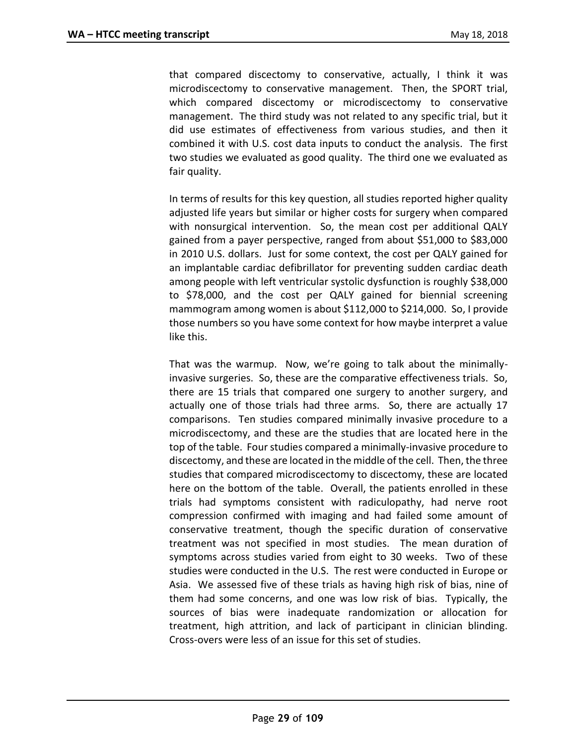that compared discectomy to conservative, actually, I think it was microdiscectomy to conservative management. Then, the SPORT trial, which compared discectomy or microdiscectomy to conservative management. The third study was not related to any specific trial, but it did use estimates of effectiveness from various studies, and then it combined it with U.S. cost data inputs to conduct the analysis. The first two studies we evaluated as good quality. The third one we evaluated as fair quality.

In terms of results for this key question, all studies reported higher quality adjusted life years but similar or higher costs for surgery when compared with nonsurgical intervention. So, the mean cost per additional QALY gained from a payer perspective, ranged from about \$51,000 to \$83,000 in 2010 U.S. dollars. Just for some context, the cost per QALY gained for an implantable cardiac defibrillator for preventing sudden cardiac death among people with left ventricular systolic dysfunction is roughly \$38,000 to \$78,000, and the cost per QALY gained for biennial screening mammogram among women is about \$112,000 to \$214,000. So, I provide those numbers so you have some context for how maybe interpret a value like this.

That was the warmup. Now, we're going to talk about the minimallyinvasive surgeries. So, these are the comparative effectiveness trials. So, there are 15 trials that compared one surgery to another surgery, and actually one of those trials had three arms. So, there are actually 17 comparisons. Ten studies compared minimally invasive procedure to a microdiscectomy, and these are the studies that are located here in the top of the table. Four studies compared a minimally-invasive procedure to discectomy, and these are located in the middle of the cell. Then, the three studies that compared microdiscectomy to discectomy, these are located here on the bottom of the table. Overall, the patients enrolled in these trials had symptoms consistent with radiculopathy, had nerve root compression confirmed with imaging and had failed some amount of conservative treatment, though the specific duration of conservative treatment was not specified in most studies. The mean duration of symptoms across studies varied from eight to 30 weeks. Two of these studies were conducted in the U.S. The rest were conducted in Europe or Asia. We assessed five of these trials as having high risk of bias, nine of them had some concerns, and one was low risk of bias. Typically, the sources of bias were inadequate randomization or allocation for treatment, high attrition, and lack of participant in clinician blinding. Cross-overs were less of an issue for this set of studies.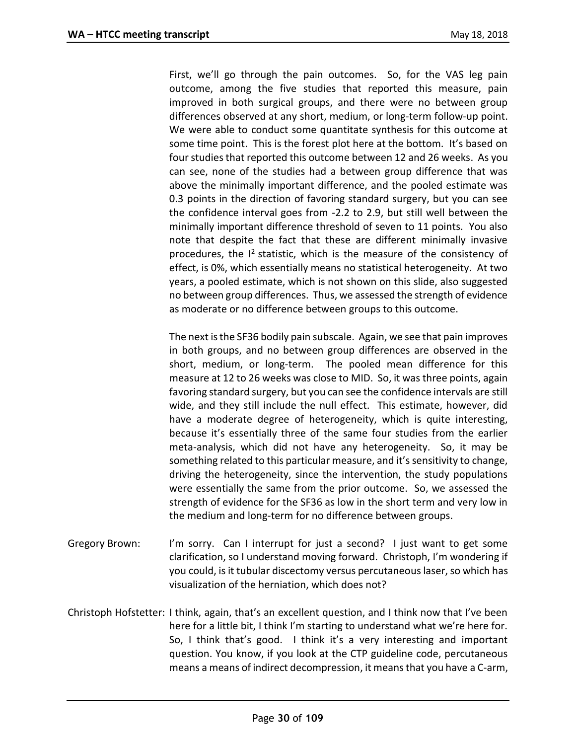First, we'll go through the pain outcomes. So, for the VAS leg pain outcome, among the five studies that reported this measure, pain improved in both surgical groups, and there were no between group differences observed at any short, medium, or long-term follow-up point. We were able to conduct some quantitate synthesis for this outcome at some time point. This is the forest plot here at the bottom. It's based on four studies that reported this outcome between 12 and 26 weeks. As you can see, none of the studies had a between group difference that was above the minimally important difference, and the pooled estimate was 0.3 points in the direction of favoring standard surgery, but you can see the confidence interval goes from -2.2 to 2.9, but still well between the minimally important difference threshold of seven to 11 points. You also note that despite the fact that these are different minimally invasive procedures, the I<sup>2</sup> statistic, which is the measure of the consistency of effect, is 0%, which essentially means no statistical heterogeneity. At two years, a pooled estimate, which is not shown on this slide, also suggested no between group differences. Thus, we assessed the strength of evidence as moderate or no difference between groups to this outcome.

The next is the SF36 bodily pain subscale. Again, we see that pain improves in both groups, and no between group differences are observed in the short, medium, or long-term. The pooled mean difference for this measure at 12 to 26 weeks was close to MID. So, it was three points, again favoring standard surgery, but you can see the confidence intervals are still wide, and they still include the null effect. This estimate, however, did have a moderate degree of heterogeneity, which is quite interesting, because it's essentially three of the same four studies from the earlier meta-analysis, which did not have any heterogeneity. So, it may be something related to this particular measure, and it's sensitivity to change, driving the heterogeneity, since the intervention, the study populations were essentially the same from the prior outcome. So, we assessed the strength of evidence for the SF36 as low in the short term and very low in the medium and long-term for no difference between groups.

- Gregory Brown: I'm sorry. Can I interrupt for just a second? I just want to get some clarification, so I understand moving forward. Christoph, I'm wondering if you could, is it tubular discectomy versus percutaneous laser, so which has visualization of the herniation, which does not?
- Christoph Hofstetter: I think, again, that's an excellent question, and I think now that I've been here for a little bit, I think I'm starting to understand what we're here for. So, I think that's good. I think it's a very interesting and important question. You know, if you look at the CTP guideline code, percutaneous means a means of indirect decompression, it means that you have a C-arm,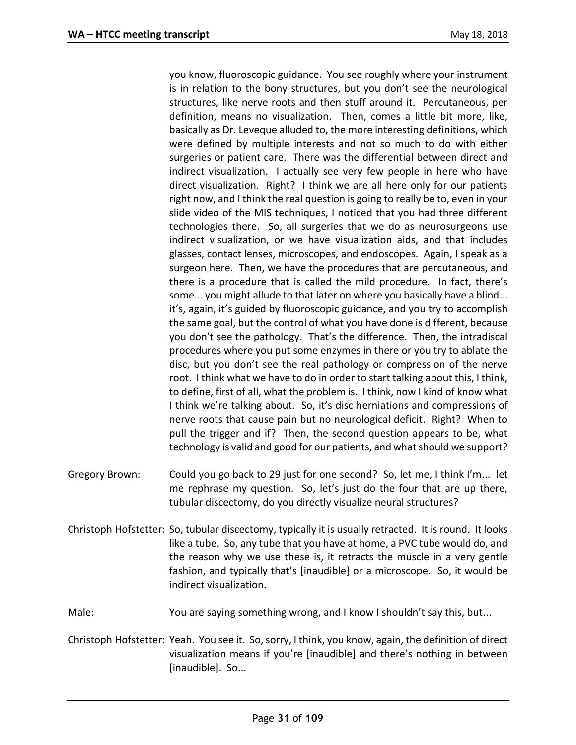you know, fluoroscopic guidance. You see roughly where your instrument is in relation to the bony structures, but you don't see the neurological structures, like nerve roots and then stuff around it. Percutaneous, per definition, means no visualization. Then, comes a little bit more, like, basically as Dr. Leveque alluded to, the more interesting definitions, which were defined by multiple interests and not so much to do with either surgeries or patient care. There was the differential between direct and indirect visualization. I actually see very few people in here who have direct visualization. Right? I think we are all here only for our patients right now, and I think the real question is going to really be to, even in your slide video of the MIS techniques, I noticed that you had three different technologies there. So, all surgeries that we do as neurosurgeons use indirect visualization, or we have visualization aids, and that includes glasses, contact lenses, microscopes, and endoscopes. Again, I speak as a surgeon here. Then, we have the procedures that are percutaneous, and there is a procedure that is called the mild procedure. In fact, there's some... you might allude to that later on where you basically have a blind... it's, again, it's guided by fluoroscopic guidance, and you try to accomplish the same goal, but the control of what you have done is different, because you don't see the pathology. That's the difference. Then, the intradiscal procedures where you put some enzymes in there or you try to ablate the disc, but you don't see the real pathology or compression of the nerve root. I think what we have to do in order to start talking about this, I think, to define, first of all, what the problem is. I think, now I kind of know what I think we're talking about. So, it's disc herniations and compressions of nerve roots that cause pain but no neurological deficit. Right? When to pull the trigger and if? Then, the second question appears to be, what technology is valid and good for our patients, and what should we support?

- Gregory Brown: Could you go back to 29 just for one second? So, let me, I think I'm... let me rephrase my question. So, let's just do the four that are up there, tubular discectomy, do you directly visualize neural structures?
- Christoph Hofstetter: So, tubular discectomy, typically it is usually retracted. It is round. It looks like a tube. So, any tube that you have at home, a PVC tube would do, and the reason why we use these is, it retracts the muscle in a very gentle fashion, and typically that's [inaudible] or a microscope. So, it would be indirect visualization.
- Male: You are saying something wrong, and I know I shouldn't say this, but...
- Christoph Hofstetter: Yeah. You see it. So, sorry, I think, you know, again, the definition of direct visualization means if you're [inaudible] and there's nothing in between [inaudible]. So...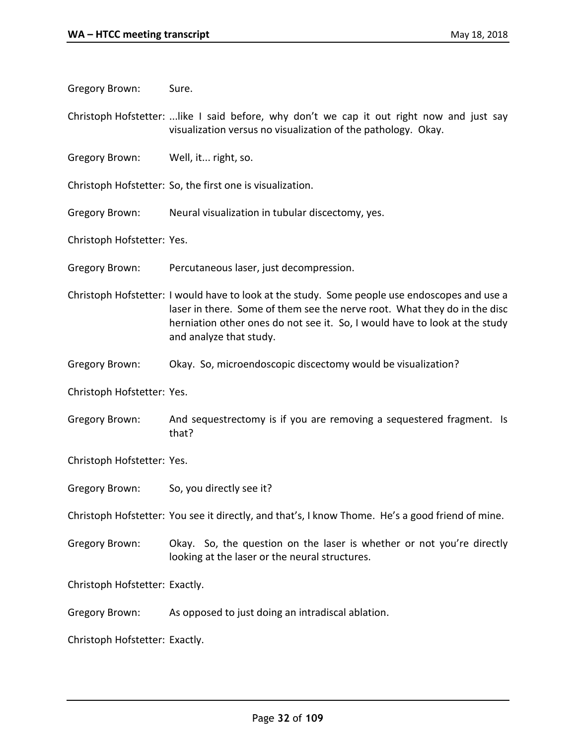Gregory Brown: Sure.

Christoph Hofstetter: ...like I said before, why don't we cap it out right now and just say visualization versus no visualization of the pathology. Okay.

Gregory Brown: Well, it... right, so.

Christoph Hofstetter: So, the first one is visualization.

Gregory Brown: Neural visualization in tubular discectomy, yes.

Christoph Hofstetter: Yes.

Gregory Brown: Percutaneous laser, just decompression.

Christoph Hofstetter: I would have to look at the study. Some people use endoscopes and use a laser in there. Some of them see the nerve root. What they do in the disc herniation other ones do not see it. So, I would have to look at the study and analyze that study.

Gregory Brown: Okay. So, microendoscopic discectomy would be visualization?

Christoph Hofstetter: Yes.

Gregory Brown: And sequestrectomy is if you are removing a sequestered fragment. Is that?

Christoph Hofstetter: Yes.

Gregory Brown: So, you directly see it?

Christoph Hofstetter: You see it directly, and that's, I know Thome. He's a good friend of mine.

Gregory Brown: Okay. So, the question on the laser is whether or not you're directly looking at the laser or the neural structures.

Christoph Hofstetter: Exactly.

Gregory Brown: As opposed to just doing an intradiscal ablation.

Christoph Hofstetter: Exactly.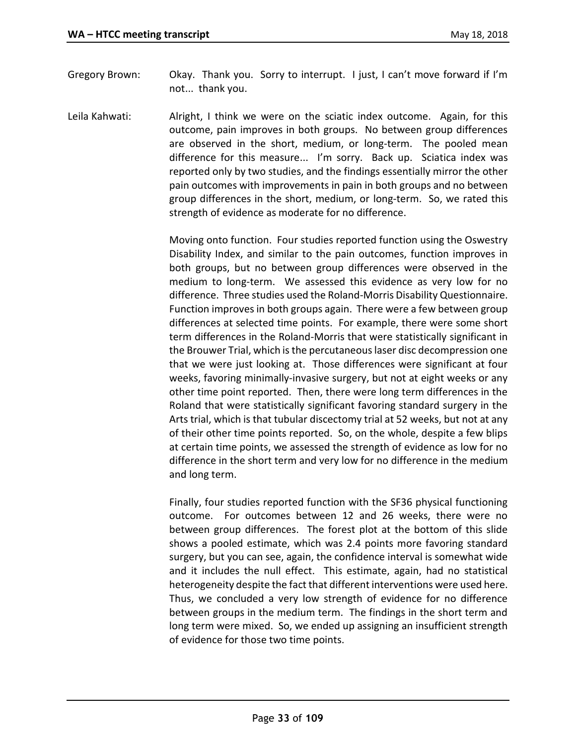- Gregory Brown: Okay. Thank you. Sorry to interrupt. I just, I can't move forward if I'm not... thank you.
- Leila Kahwati: Alright, I think we were on the sciatic index outcome. Again, for this outcome, pain improves in both groups. No between group differences are observed in the short, medium, or long-term. The pooled mean difference for this measure... I'm sorry. Back up. Sciatica index was reported only by two studies, and the findings essentially mirror the other pain outcomes with improvements in pain in both groups and no between group differences in the short, medium, or long-term. So, we rated this strength of evidence as moderate for no difference.

Moving onto function. Four studies reported function using the Oswestry Disability Index, and similar to the pain outcomes, function improves in both groups, but no between group differences were observed in the medium to long-term. We assessed this evidence as very low for no difference. Three studies used the Roland-Morris Disability Questionnaire. Function improves in both groups again. There were a few between group differences at selected time points. For example, there were some short term differences in the Roland-Morris that were statistically significant in the Brouwer Trial, which is the percutaneous laser disc decompression one that we were just looking at. Those differences were significant at four weeks, favoring minimally-invasive surgery, but not at eight weeks or any other time point reported. Then, there were long term differences in the Roland that were statistically significant favoring standard surgery in the Arts trial, which is that tubular discectomy trial at 52 weeks, but not at any of their other time points reported. So, on the whole, despite a few blips at certain time points, we assessed the strength of evidence as low for no difference in the short term and very low for no difference in the medium and long term.

Finally, four studies reported function with the SF36 physical functioning outcome. For outcomes between 12 and 26 weeks, there were no between group differences. The forest plot at the bottom of this slide shows a pooled estimate, which was 2.4 points more favoring standard surgery, but you can see, again, the confidence interval is somewhat wide and it includes the null effect. This estimate, again, had no statistical heterogeneity despite the fact that different interventions were used here. Thus, we concluded a very low strength of evidence for no difference between groups in the medium term. The findings in the short term and long term were mixed. So, we ended up assigning an insufficient strength of evidence for those two time points.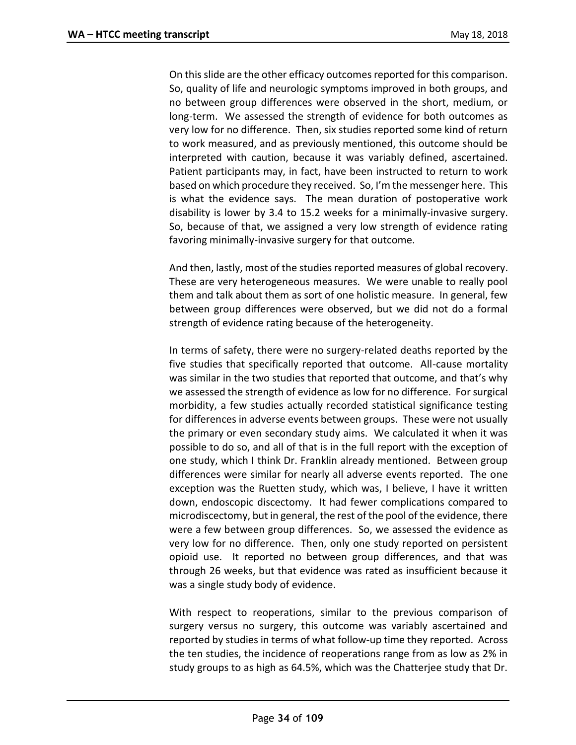On this slide are the other efficacy outcomes reported for this comparison. So, quality of life and neurologic symptoms improved in both groups, and no between group differences were observed in the short, medium, or long-term. We assessed the strength of evidence for both outcomes as very low for no difference. Then, six studies reported some kind of return to work measured, and as previously mentioned, this outcome should be interpreted with caution, because it was variably defined, ascertained. Patient participants may, in fact, have been instructed to return to work based on which procedure they received. So, I'm the messenger here. This is what the evidence says. The mean duration of postoperative work disability is lower by 3.4 to 15.2 weeks for a minimally-invasive surgery. So, because of that, we assigned a very low strength of evidence rating favoring minimally-invasive surgery for that outcome.

And then, lastly, most of the studies reported measures of global recovery. These are very heterogeneous measures. We were unable to really pool them and talk about them as sort of one holistic measure. In general, few between group differences were observed, but we did not do a formal strength of evidence rating because of the heterogeneity.

In terms of safety, there were no surgery-related deaths reported by the five studies that specifically reported that outcome. All-cause mortality was similar in the two studies that reported that outcome, and that's why we assessed the strength of evidence as low for no difference. For surgical morbidity, a few studies actually recorded statistical significance testing for differences in adverse events between groups. These were not usually the primary or even secondary study aims. We calculated it when it was possible to do so, and all of that is in the full report with the exception of one study, which I think Dr. Franklin already mentioned. Between group differences were similar for nearly all adverse events reported. The one exception was the Ruetten study, which was, I believe, I have it written down, endoscopic discectomy. It had fewer complications compared to microdiscectomy, but in general, the rest of the pool of the evidence, there were a few between group differences. So, we assessed the evidence as very low for no difference. Then, only one study reported on persistent opioid use. It reported no between group differences, and that was through 26 weeks, but that evidence was rated as insufficient because it was a single study body of evidence.

With respect to reoperations, similar to the previous comparison of surgery versus no surgery, this outcome was variably ascertained and reported by studies in terms of what follow-up time they reported. Across the ten studies, the incidence of reoperations range from as low as 2% in study groups to as high as 64.5%, which was the Chatterjee study that Dr.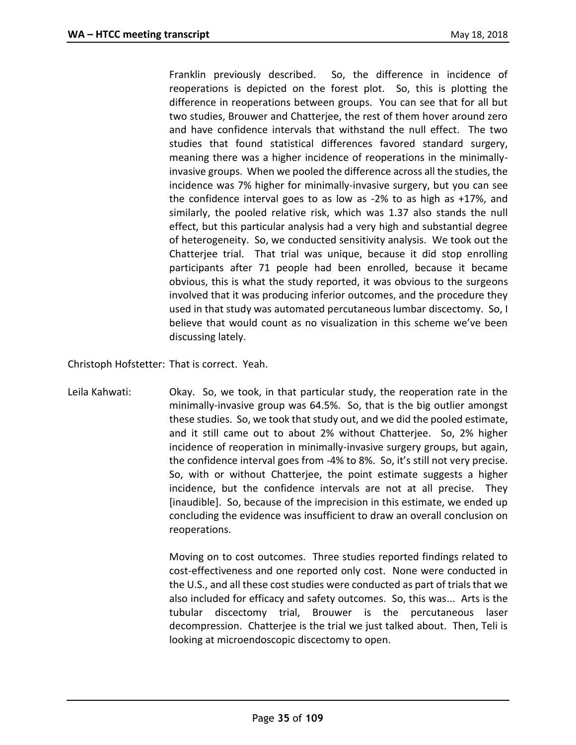Franklin previously described. So, the difference in incidence of reoperations is depicted on the forest plot. So, this is plotting the difference in reoperations between groups. You can see that for all but two studies, Brouwer and Chatterjee, the rest of them hover around zero and have confidence intervals that withstand the null effect. The two studies that found statistical differences favored standard surgery, meaning there was a higher incidence of reoperations in the minimallyinvasive groups. When we pooled the difference across all the studies, the incidence was 7% higher for minimally-invasive surgery, but you can see the confidence interval goes to as low as -2% to as high as +17%, and similarly, the pooled relative risk, which was 1.37 also stands the null effect, but this particular analysis had a very high and substantial degree of heterogeneity. So, we conducted sensitivity analysis. We took out the Chatterjee trial. That trial was unique, because it did stop enrolling participants after 71 people had been enrolled, because it became obvious, this is what the study reported, it was obvious to the surgeons involved that it was producing inferior outcomes, and the procedure they used in that study was automated percutaneous lumbar discectomy. So, I believe that would count as no visualization in this scheme we've been discussing lately.

Christoph Hofstetter: That is correct. Yeah.

Leila Kahwati: Okay. So, we took, in that particular study, the reoperation rate in the minimally-invasive group was 64.5%. So, that is the big outlier amongst these studies. So, we took that study out, and we did the pooled estimate, and it still came out to about 2% without Chatterjee. So, 2% higher incidence of reoperation in minimally-invasive surgery groups, but again, the confidence interval goes from -4% to 8%. So, it's still not very precise. So, with or without Chatterjee, the point estimate suggests a higher incidence, but the confidence intervals are not at all precise. They [inaudible]. So, because of the imprecision in this estimate, we ended up concluding the evidence was insufficient to draw an overall conclusion on reoperations.

> Moving on to cost outcomes. Three studies reported findings related to cost-effectiveness and one reported only cost. None were conducted in the U.S., and all these cost studies were conducted as part of trials that we also included for efficacy and safety outcomes. So, this was... Arts is the tubular discectomy trial, Brouwer is the percutaneous laser decompression. Chatterjee is the trial we just talked about. Then, Teli is looking at microendoscopic discectomy to open.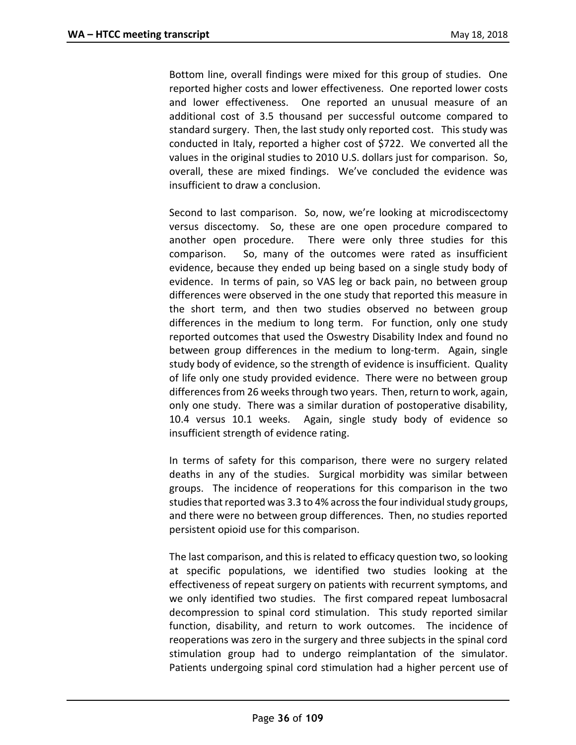Bottom line, overall findings were mixed for this group of studies. One reported higher costs and lower effectiveness. One reported lower costs and lower effectiveness. One reported an unusual measure of an additional cost of 3.5 thousand per successful outcome compared to standard surgery. Then, the last study only reported cost. This study was conducted in Italy, reported a higher cost of \$722. We converted all the values in the original studies to 2010 U.S. dollars just for comparison. So, overall, these are mixed findings. We've concluded the evidence was insufficient to draw a conclusion.

Second to last comparison. So, now, we're looking at microdiscectomy versus discectomy. So, these are one open procedure compared to another open procedure. There were only three studies for this comparison. So, many of the outcomes were rated as insufficient evidence, because they ended up being based on a single study body of evidence. In terms of pain, so VAS leg or back pain, no between group differences were observed in the one study that reported this measure in the short term, and then two studies observed no between group differences in the medium to long term. For function, only one study reported outcomes that used the Oswestry Disability Index and found no between group differences in the medium to long-term. Again, single study body of evidence, so the strength of evidence is insufficient. Quality of life only one study provided evidence. There were no between group differences from 26 weeks through two years. Then, return to work, again, only one study. There was a similar duration of postoperative disability, 10.4 versus 10.1 weeks. Again, single study body of evidence so insufficient strength of evidence rating.

In terms of safety for this comparison, there were no surgery related deaths in any of the studies. Surgical morbidity was similar between groups. The incidence of reoperations for this comparison in the two studies that reported was 3.3 to 4% across the four individual study groups, and there were no between group differences. Then, no studies reported persistent opioid use for this comparison.

The last comparison, and this is related to efficacy question two, so looking at specific populations, we identified two studies looking at the effectiveness of repeat surgery on patients with recurrent symptoms, and we only identified two studies. The first compared repeat lumbosacral decompression to spinal cord stimulation. This study reported similar function, disability, and return to work outcomes. The incidence of reoperations was zero in the surgery and three subjects in the spinal cord stimulation group had to undergo reimplantation of the simulator. Patients undergoing spinal cord stimulation had a higher percent use of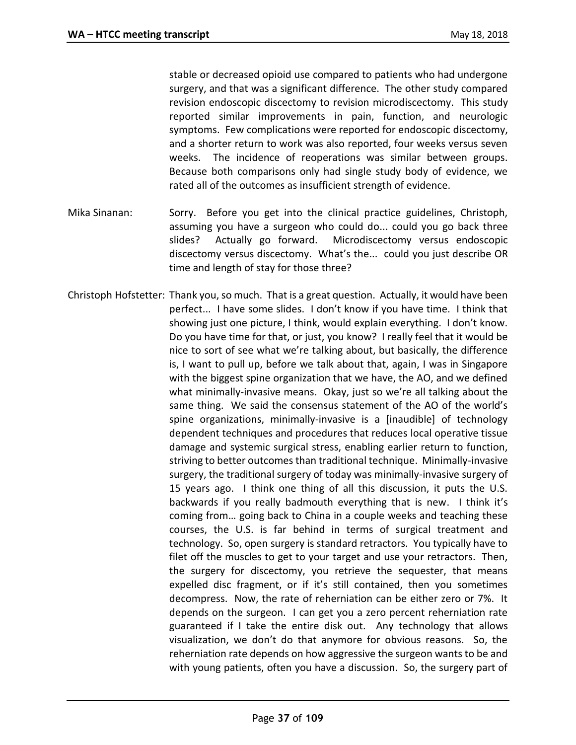stable or decreased opioid use compared to patients who had undergone surgery, and that was a significant difference. The other study compared revision endoscopic discectomy to revision microdiscectomy. This study reported similar improvements in pain, function, and neurologic symptoms. Few complications were reported for endoscopic discectomy, and a shorter return to work was also reported, four weeks versus seven weeks. The incidence of reoperations was similar between groups. Because both comparisons only had single study body of evidence, we rated all of the outcomes as insufficient strength of evidence.

- Mika Sinanan: Sorry. Before you get into the clinical practice guidelines, Christoph, assuming you have a surgeon who could do... could you go back three slides? Actually go forward. Microdiscectomy versus endoscopic discectomy versus discectomy. What's the... could you just describe OR time and length of stay for those three?
- Christoph Hofstetter: Thank you, so much. That is a great question. Actually, it would have been perfect... I have some slides. I don't know if you have time. I think that showing just one picture, I think, would explain everything. I don't know. Do you have time for that, or just, you know? I really feel that it would be nice to sort of see what we're talking about, but basically, the difference is, I want to pull up, before we talk about that, again, I was in Singapore with the biggest spine organization that we have, the AO, and we defined what minimally-invasive means. Okay, just so we're all talking about the same thing. We said the consensus statement of the AO of the world's spine organizations, minimally-invasive is a [inaudible] of technology dependent techniques and procedures that reduces local operative tissue damage and systemic surgical stress, enabling earlier return to function, striving to better outcomes than traditional technique. Minimally-invasive surgery, the traditional surgery of today was minimally-invasive surgery of 15 years ago. I think one thing of all this discussion, it puts the U.S. backwards if you really badmouth everything that is new. I think it's coming from… going back to China in a couple weeks and teaching these courses, the U.S. is far behind in terms of surgical treatment and technology. So, open surgery is standard retractors. You typically have to filet off the muscles to get to your target and use your retractors. Then, the surgery for discectomy, you retrieve the sequester, that means expelled disc fragment, or if it's still contained, then you sometimes decompress. Now, the rate of reherniation can be either zero or 7%. It depends on the surgeon. I can get you a zero percent reherniation rate guaranteed if I take the entire disk out. Any technology that allows visualization, we don't do that anymore for obvious reasons. So, the reherniation rate depends on how aggressive the surgeon wants to be and with young patients, often you have a discussion. So, the surgery part of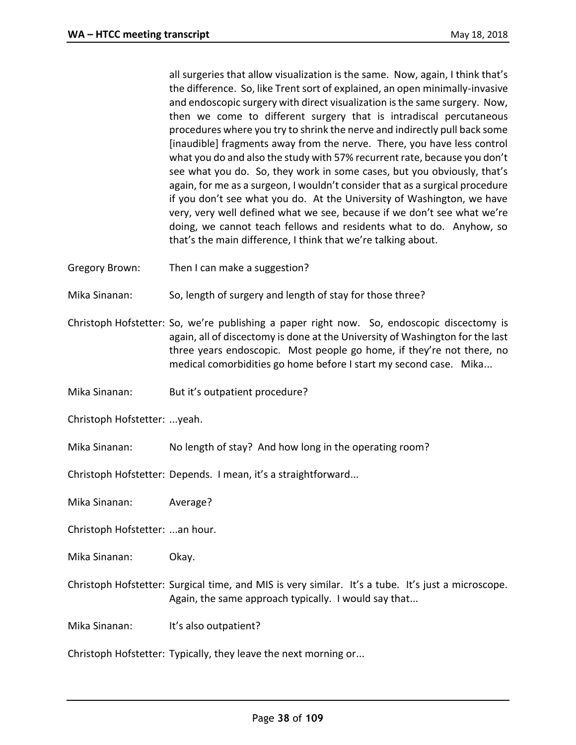all surgeries that allow visualization is the same. Now, again, I think that's the difference. So, like Trent sort of explained, an open minimally-invasive and endoscopic surgery with direct visualization is the same surgery. Now, then we come to different surgery that is intradiscal percutaneous procedures where you try to shrink the nerve and indirectly pull back some [inaudible] fragments away from the nerve. There, you have less control what you do and also the study with 57% recurrent rate, because you don't see what you do. So, they work in some cases, but you obviously, that's again, for me as a surgeon, I wouldn't consider that as a surgical procedure if you don't see what you do. At the University of Washington, we have very, very well defined what we see, because if we don't see what we're doing, we cannot teach fellows and residents what to do. Anyhow, so that's the main difference, I think that we're talking about.

- Gregory Brown: Then I can make a suggestion?
- Mika Sinanan: So, length of surgery and length of stay for those three?
- Christoph Hofstetter: So, we're publishing a paper right now. So, endoscopic discectomy is again, all of discectomy is done at the University of Washington for the last three years endoscopic. Most people go home, if they're not there, no medical comorbidities go home before I start my second case. Mika...
- Mika Sinanan: But it's outpatient procedure?

Christoph Hofstetter: ...yeah.

Mika Sinanan: No length of stay? And how long in the operating room?

Christoph Hofstetter: Depends. I mean, it's a straightforward...

Mika Sinanan: Average?

Christoph Hofstetter: ...an hour.

- Mika Sinanan: Okay.
- Christoph Hofstetter: Surgical time, and MIS is very similar. It's a tube. It's just a microscope. Again, the same approach typically. I would say that...

Mika Sinanan: It's also outpatient?

Christoph Hofstetter: Typically, they leave the next morning or...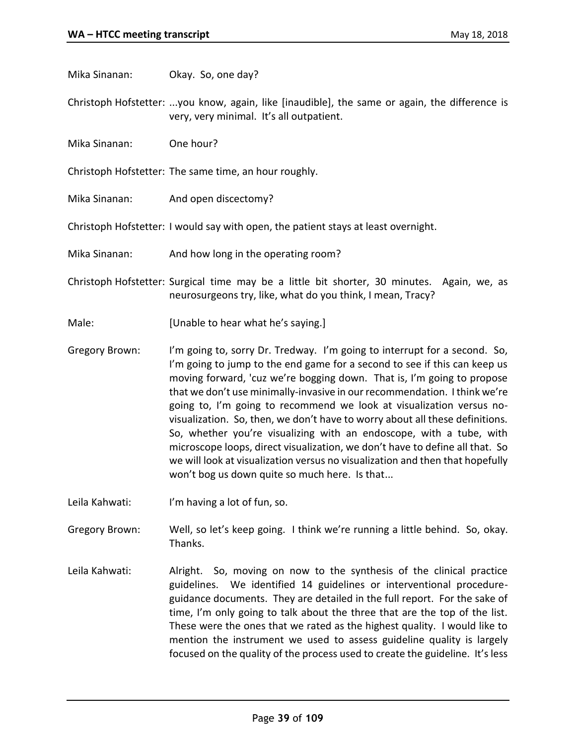Mika Sinanan: Okay. So, one day?

Christoph Hofstetter: ...you know, again, like [inaudible], the same or again, the difference is very, very minimal. It's all outpatient.

Mika Sinanan: One hour?

Christoph Hofstetter: The same time, an hour roughly.

Mika Sinanan: And open discectomy?

Christoph Hofstetter: I would say with open, the patient stays at least overnight.

Mika Sinanan: And how long in the operating room?

Christoph Hofstetter: Surgical time may be a little bit shorter, 30 minutes. Again, we, as neurosurgeons try, like, what do you think, I mean, Tracy?

- Male: [Unable to hear what he's saying.]
- Gregory Brown: I'm going to, sorry Dr. Tredway. I'm going to interrupt for a second. So, I'm going to jump to the end game for a second to see if this can keep us moving forward, 'cuz we're bogging down. That is, I'm going to propose that we don't use minimally-invasive in our recommendation. I think we're going to, I'm going to recommend we look at visualization versus novisualization. So, then, we don't have to worry about all these definitions. So, whether you're visualizing with an endoscope, with a tube, with microscope loops, direct visualization, we don't have to define all that. So we will look at visualization versus no visualization and then that hopefully won't bog us down quite so much here. Is that...
- Leila Kahwati: I'm having a lot of fun, so.

Gregory Brown: Well, so let's keep going. I think we're running a little behind. So, okay. Thanks.

Leila Kahwati: Alright. So, moving on now to the synthesis of the clinical practice guidelines. We identified 14 guidelines or interventional procedureguidance documents. They are detailed in the full report. For the sake of time, I'm only going to talk about the three that are the top of the list. These were the ones that we rated as the highest quality. I would like to mention the instrument we used to assess guideline quality is largely focused on the quality of the process used to create the guideline. It's less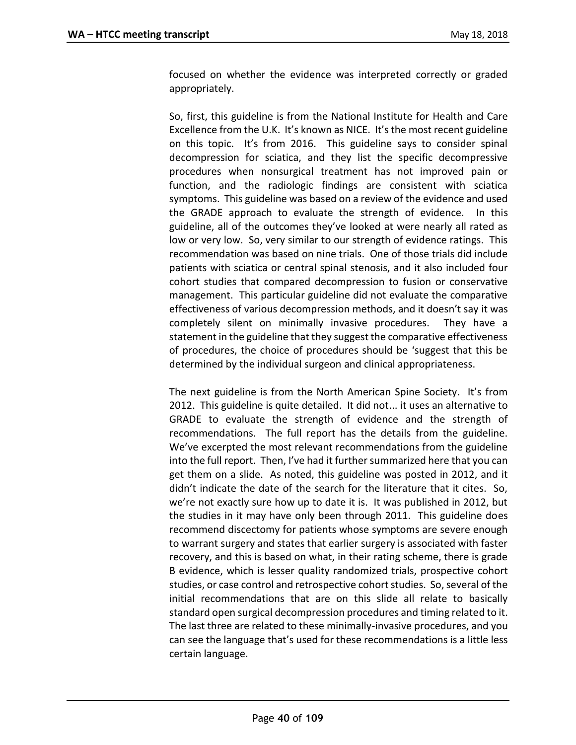focused on whether the evidence was interpreted correctly or graded appropriately.

So, first, this guideline is from the National Institute for Health and Care Excellence from the U.K. It's known as NICE. It's the most recent guideline on this topic. It's from 2016. This guideline says to consider spinal decompression for sciatica, and they list the specific decompressive procedures when nonsurgical treatment has not improved pain or function, and the radiologic findings are consistent with sciatica symptoms. This guideline was based on a review of the evidence and used the GRADE approach to evaluate the strength of evidence. In this guideline, all of the outcomes they've looked at were nearly all rated as low or very low. So, very similar to our strength of evidence ratings. This recommendation was based on nine trials. One of those trials did include patients with sciatica or central spinal stenosis, and it also included four cohort studies that compared decompression to fusion or conservative management. This particular guideline did not evaluate the comparative effectiveness of various decompression methods, and it doesn't say it was completely silent on minimally invasive procedures. They have a statement in the guideline that they suggest the comparative effectiveness of procedures, the choice of procedures should be 'suggest that this be determined by the individual surgeon and clinical appropriateness.

The next guideline is from the North American Spine Society. It's from 2012. This guideline is quite detailed. It did not... it uses an alternative to GRADE to evaluate the strength of evidence and the strength of recommendations. The full report has the details from the guideline. We've excerpted the most relevant recommendations from the guideline into the full report. Then, I've had it further summarized here that you can get them on a slide. As noted, this guideline was posted in 2012, and it didn't indicate the date of the search for the literature that it cites. So, we're not exactly sure how up to date it is. It was published in 2012, but the studies in it may have only been through 2011. This guideline does recommend discectomy for patients whose symptoms are severe enough to warrant surgery and states that earlier surgery is associated with faster recovery, and this is based on what, in their rating scheme, there is grade B evidence, which is lesser quality randomized trials, prospective cohort studies, or case control and retrospective cohort studies. So, several of the initial recommendations that are on this slide all relate to basically standard open surgical decompression procedures and timing related to it. The last three are related to these minimally-invasive procedures, and you can see the language that's used for these recommendations is a little less certain language.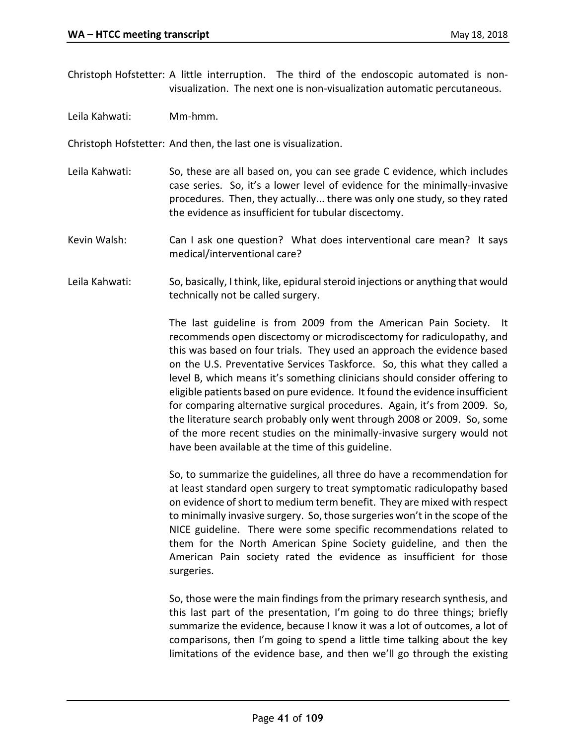Christoph Hofstetter: A little interruption. The third of the endoscopic automated is nonvisualization. The next one is non-visualization automatic percutaneous.

Leila Kahwati: Mm-hmm.

Christoph Hofstetter: And then, the last one is visualization.

Leila Kahwati: So, these are all based on, you can see grade C evidence, which includes case series. So, it's a lower level of evidence for the minimally-invasive procedures. Then, they actually... there was only one study, so they rated the evidence as insufficient for tubular discectomy.

Kevin Walsh: Can I ask one question? What does interventional care mean? It says medical/interventional care?

Leila Kahwati: So, basically, I think, like, epidural steroid injections or anything that would technically not be called surgery.

> The last guideline is from 2009 from the American Pain Society. It recommends open discectomy or microdiscectomy for radiculopathy, and this was based on four trials. They used an approach the evidence based on the U.S. Preventative Services Taskforce. So, this what they called a level B, which means it's something clinicians should consider offering to eligible patients based on pure evidence. It found the evidence insufficient for comparing alternative surgical procedures. Again, it's from 2009. So, the literature search probably only went through 2008 or 2009. So, some of the more recent studies on the minimally-invasive surgery would not have been available at the time of this guideline.

> So, to summarize the guidelines, all three do have a recommendation for at least standard open surgery to treat symptomatic radiculopathy based on evidence of short to medium term benefit. They are mixed with respect to minimally invasive surgery. So, those surgeries won't in the scope of the NICE guideline. There were some specific recommendations related to them for the North American Spine Society guideline, and then the American Pain society rated the evidence as insufficient for those surgeries.

> So, those were the main findings from the primary research synthesis, and this last part of the presentation, I'm going to do three things; briefly summarize the evidence, because I know it was a lot of outcomes, a lot of comparisons, then I'm going to spend a little time talking about the key limitations of the evidence base, and then we'll go through the existing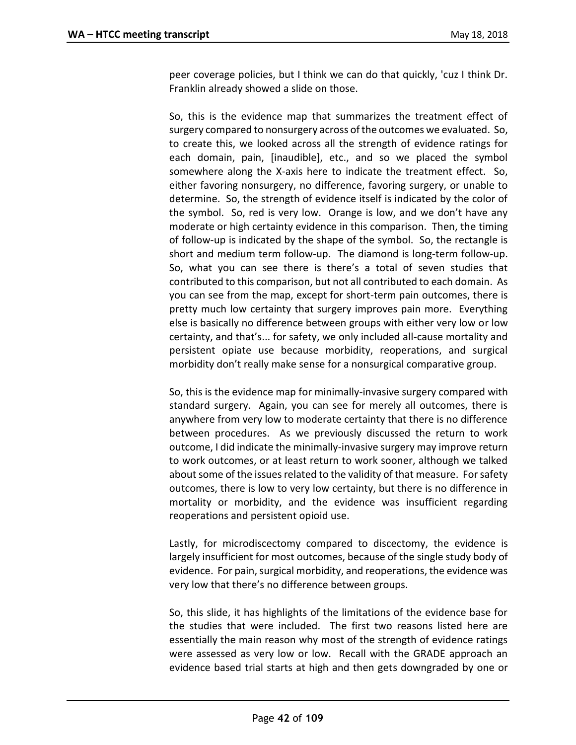peer coverage policies, but I think we can do that quickly, 'cuz I think Dr. Franklin already showed a slide on those.

So, this is the evidence map that summarizes the treatment effect of surgery compared to nonsurgery across of the outcomes we evaluated. So, to create this, we looked across all the strength of evidence ratings for each domain, pain, [inaudible], etc., and so we placed the symbol somewhere along the X-axis here to indicate the treatment effect. So, either favoring nonsurgery, no difference, favoring surgery, or unable to determine. So, the strength of evidence itself is indicated by the color of the symbol. So, red is very low. Orange is low, and we don't have any moderate or high certainty evidence in this comparison. Then, the timing of follow-up is indicated by the shape of the symbol. So, the rectangle is short and medium term follow-up. The diamond is long-term follow-up. So, what you can see there is there's a total of seven studies that contributed to this comparison, but not all contributed to each domain. As you can see from the map, except for short-term pain outcomes, there is pretty much low certainty that surgery improves pain more. Everything else is basically no difference between groups with either very low or low certainty, and that's... for safety, we only included all-cause mortality and persistent opiate use because morbidity, reoperations, and surgical morbidity don't really make sense for a nonsurgical comparative group.

So, this is the evidence map for minimally-invasive surgery compared with standard surgery. Again, you can see for merely all outcomes, there is anywhere from very low to moderate certainty that there is no difference between procedures. As we previously discussed the return to work outcome, I did indicate the minimally-invasive surgery may improve return to work outcomes, or at least return to work sooner, although we talked about some of the issues related to the validity of that measure. For safety outcomes, there is low to very low certainty, but there is no difference in mortality or morbidity, and the evidence was insufficient regarding reoperations and persistent opioid use.

Lastly, for microdiscectomy compared to discectomy, the evidence is largely insufficient for most outcomes, because of the single study body of evidence. For pain, surgical morbidity, and reoperations, the evidence was very low that there's no difference between groups.

So, this slide, it has highlights of the limitations of the evidence base for the studies that were included. The first two reasons listed here are essentially the main reason why most of the strength of evidence ratings were assessed as very low or low. Recall with the GRADE approach an evidence based trial starts at high and then gets downgraded by one or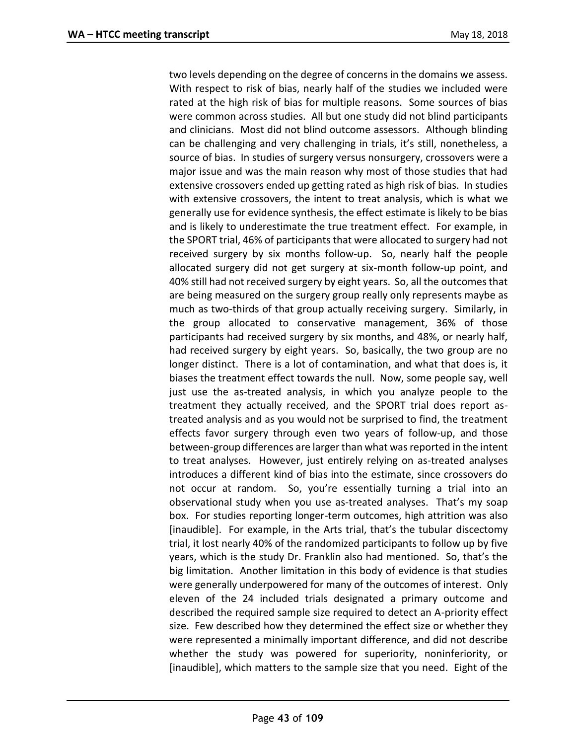two levels depending on the degree of concerns in the domains we assess. With respect to risk of bias, nearly half of the studies we included were rated at the high risk of bias for multiple reasons. Some sources of bias were common across studies. All but one study did not blind participants and clinicians. Most did not blind outcome assessors. Although blinding can be challenging and very challenging in trials, it's still, nonetheless, a source of bias. In studies of surgery versus nonsurgery, crossovers were a major issue and was the main reason why most of those studies that had extensive crossovers ended up getting rated as high risk of bias. In studies with extensive crossovers, the intent to treat analysis, which is what we generally use for evidence synthesis, the effect estimate is likely to be bias and is likely to underestimate the true treatment effect. For example, in the SPORT trial, 46% of participants that were allocated to surgery had not received surgery by six months follow-up. So, nearly half the people allocated surgery did not get surgery at six-month follow-up point, and 40% still had not received surgery by eight years. So, all the outcomes that are being measured on the surgery group really only represents maybe as much as two-thirds of that group actually receiving surgery. Similarly, in the group allocated to conservative management, 36% of those participants had received surgery by six months, and 48%, or nearly half, had received surgery by eight years. So, basically, the two group are no longer distinct. There is a lot of contamination, and what that does is, it biases the treatment effect towards the null. Now, some people say, well just use the as-treated analysis, in which you analyze people to the treatment they actually received, and the SPORT trial does report astreated analysis and as you would not be surprised to find, the treatment effects favor surgery through even two years of follow-up, and those between-group differences are larger than what was reported in the intent to treat analyses. However, just entirely relying on as-treated analyses introduces a different kind of bias into the estimate, since crossovers do not occur at random. So, you're essentially turning a trial into an observational study when you use as-treated analyses. That's my soap box. For studies reporting longer-term outcomes, high attrition was also [inaudible]. For example, in the Arts trial, that's the tubular discectomy trial, it lost nearly 40% of the randomized participants to follow up by five years, which is the study Dr. Franklin also had mentioned. So, that's the big limitation. Another limitation in this body of evidence is that studies were generally underpowered for many of the outcomes of interest. Only eleven of the 24 included trials designated a primary outcome and described the required sample size required to detect an A-priority effect size. Few described how they determined the effect size or whether they were represented a minimally important difference, and did not describe whether the study was powered for superiority, noninferiority, or [inaudible], which matters to the sample size that you need. Eight of the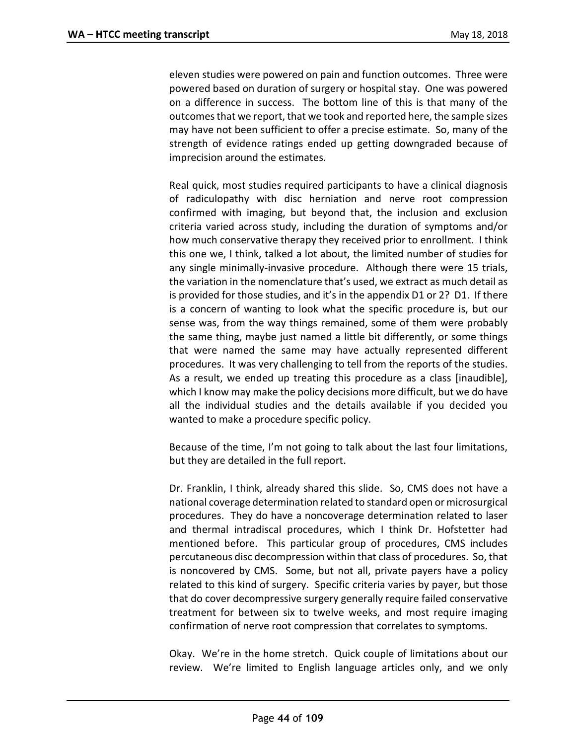eleven studies were powered on pain and function outcomes. Three were powered based on duration of surgery or hospital stay. One was powered on a difference in success. The bottom line of this is that many of the outcomes that we report, that we took and reported here, the sample sizes may have not been sufficient to offer a precise estimate. So, many of the strength of evidence ratings ended up getting downgraded because of imprecision around the estimates.

Real quick, most studies required participants to have a clinical diagnosis of radiculopathy with disc herniation and nerve root compression confirmed with imaging, but beyond that, the inclusion and exclusion criteria varied across study, including the duration of symptoms and/or how much conservative therapy they received prior to enrollment. I think this one we, I think, talked a lot about, the limited number of studies for any single minimally-invasive procedure. Although there were 15 trials, the variation in the nomenclature that's used, we extract as much detail as is provided for those studies, and it's in the appendix D1 or 2? D1. If there is a concern of wanting to look what the specific procedure is, but our sense was, from the way things remained, some of them were probably the same thing, maybe just named a little bit differently, or some things that were named the same may have actually represented different procedures. It was very challenging to tell from the reports of the studies. As a result, we ended up treating this procedure as a class [inaudible], which I know may make the policy decisions more difficult, but we do have all the individual studies and the details available if you decided you wanted to make a procedure specific policy.

Because of the time, I'm not going to talk about the last four limitations, but they are detailed in the full report.

Dr. Franklin, I think, already shared this slide. So, CMS does not have a national coverage determination related to standard open or microsurgical procedures. They do have a noncoverage determination related to laser and thermal intradiscal procedures, which I think Dr. Hofstetter had mentioned before. This particular group of procedures, CMS includes percutaneous disc decompression within that class of procedures. So, that is noncovered by CMS. Some, but not all, private payers have a policy related to this kind of surgery. Specific criteria varies by payer, but those that do cover decompressive surgery generally require failed conservative treatment for between six to twelve weeks, and most require imaging confirmation of nerve root compression that correlates to symptoms.

Okay. We're in the home stretch. Quick couple of limitations about our review. We're limited to English language articles only, and we only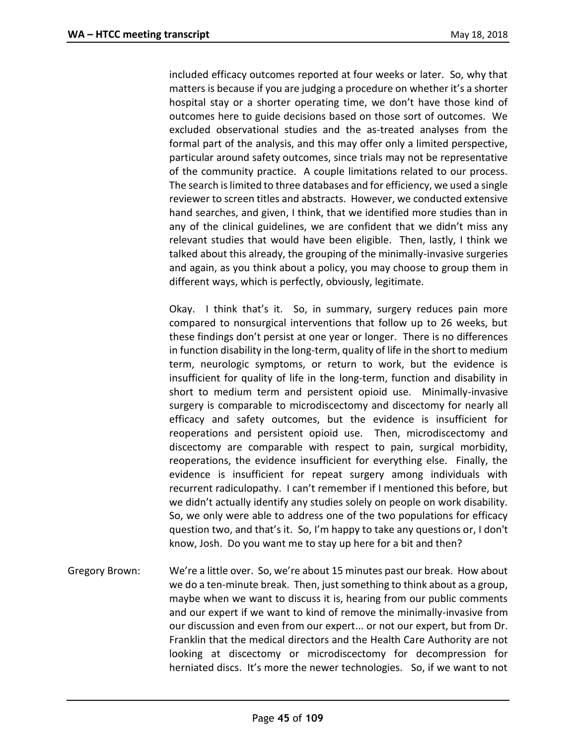included efficacy outcomes reported at four weeks or later. So, why that matters is because if you are judging a procedure on whether it's a shorter hospital stay or a shorter operating time, we don't have those kind of outcomes here to guide decisions based on those sort of outcomes. We excluded observational studies and the as-treated analyses from the formal part of the analysis, and this may offer only a limited perspective, particular around safety outcomes, since trials may not be representative of the community practice. A couple limitations related to our process. The search is limited to three databases and for efficiency, we used a single reviewer to screen titles and abstracts. However, we conducted extensive hand searches, and given, I think, that we identified more studies than in any of the clinical guidelines, we are confident that we didn't miss any relevant studies that would have been eligible. Then, lastly, I think we talked about this already, the grouping of the minimally-invasive surgeries and again, as you think about a policy, you may choose to group them in different ways, which is perfectly, obviously, legitimate.

Okay. I think that's it. So, in summary, surgery reduces pain more compared to nonsurgical interventions that follow up to 26 weeks, but these findings don't persist at one year or longer. There is no differences in function disability in the long-term, quality of life in the short to medium term, neurologic symptoms, or return to work, but the evidence is insufficient for quality of life in the long-term, function and disability in short to medium term and persistent opioid use. Minimally-invasive surgery is comparable to microdiscectomy and discectomy for nearly all efficacy and safety outcomes, but the evidence is insufficient for reoperations and persistent opioid use. Then, microdiscectomy and discectomy are comparable with respect to pain, surgical morbidity, reoperations, the evidence insufficient for everything else. Finally, the evidence is insufficient for repeat surgery among individuals with recurrent radiculopathy. I can't remember if I mentioned this before, but we didn't actually identify any studies solely on people on work disability. So, we only were able to address one of the two populations for efficacy question two, and that's it. So, I'm happy to take any questions or, I don't know, Josh. Do you want me to stay up here for a bit and then?

Gregory Brown: We're a little over. So, we're about 15 minutes past our break. How about we do a ten-minute break. Then, just something to think about as a group, maybe when we want to discuss it is, hearing from our public comments and our expert if we want to kind of remove the minimally-invasive from our discussion and even from our expert... or not our expert, but from Dr. Franklin that the medical directors and the Health Care Authority are not looking at discectomy or microdiscectomy for decompression for herniated discs. It's more the newer technologies. So, if we want to not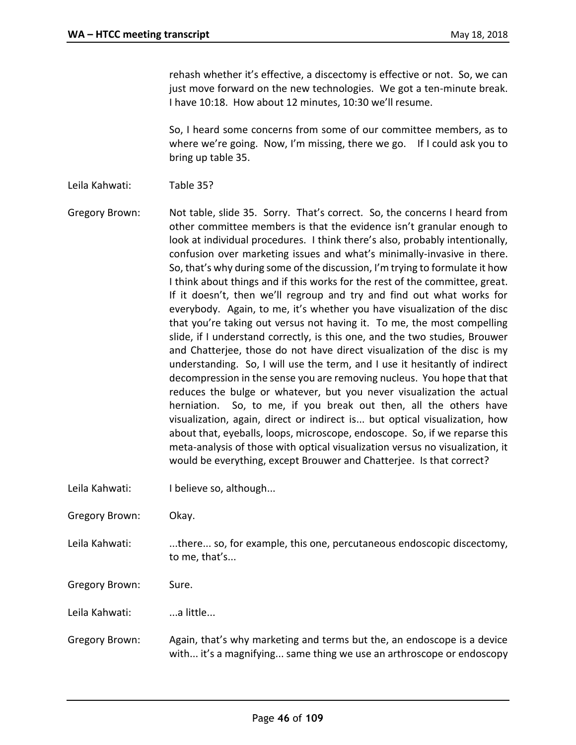rehash whether it's effective, a discectomy is effective or not. So, we can just move forward on the new technologies. We got a ten-minute break. I have 10:18. How about 12 minutes, 10:30 we'll resume.

So, I heard some concerns from some of our committee members, as to where we're going. Now, I'm missing, there we go. If I could ask you to bring up table 35.

Leila Kahwati: Table 35?

Gregory Brown: Not table, slide 35. Sorry. That's correct. So, the concerns I heard from other committee members is that the evidence isn't granular enough to look at individual procedures. I think there's also, probably intentionally, confusion over marketing issues and what's minimally-invasive in there. So, that's why during some of the discussion, I'm trying to formulate it how I think about things and if this works for the rest of the committee, great. If it doesn't, then we'll regroup and try and find out what works for everybody. Again, to me, it's whether you have visualization of the disc that you're taking out versus not having it. To me, the most compelling slide, if I understand correctly, is this one, and the two studies, Brouwer and Chatterjee, those do not have direct visualization of the disc is my understanding. So, I will use the term, and I use it hesitantly of indirect decompression in the sense you are removing nucleus. You hope that that reduces the bulge or whatever, but you never visualization the actual herniation. So, to me, if you break out then, all the others have visualization, again, direct or indirect is... but optical visualization, how about that, eyeballs, loops, microscope, endoscope. So, if we reparse this meta-analysis of those with optical visualization versus no visualization, it would be everything, except Brouwer and Chatterjee. Is that correct?

Leila Kahwati: I believe so, although...

Gregory Brown: Okay.

Leila Kahwati: ....there... so, for example, this one, percutaneous endoscopic discectomy, to me, that's...

Gregory Brown: Sure.

Leila Kahwati: ...a little...

Gregory Brown: Again, that's why marketing and terms but the, an endoscope is a device with... it's a magnifying... same thing we use an arthroscope or endoscopy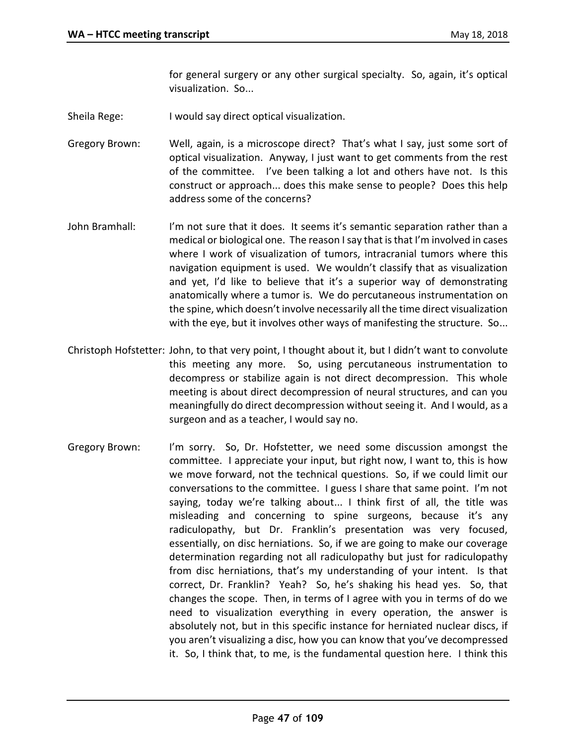for general surgery or any other surgical specialty. So, again, it's optical visualization. So...

- Sheila Rege: I would say direct optical visualization.
- Gregory Brown: Well, again, is a microscope direct? That's what I say, just some sort of optical visualization. Anyway, I just want to get comments from the rest of the committee. I've been talking a lot and others have not. Is this construct or approach... does this make sense to people? Does this help address some of the concerns?
- John Bramhall: I'm not sure that it does. It seems it's semantic separation rather than a medical or biological one. The reason I say that is that I'm involved in cases where I work of visualization of tumors, intracranial tumors where this navigation equipment is used. We wouldn't classify that as visualization and yet, I'd like to believe that it's a superior way of demonstrating anatomically where a tumor is. We do percutaneous instrumentation on the spine, which doesn't involve necessarily all the time direct visualization with the eye, but it involves other ways of manifesting the structure. So...
- Christoph Hofstetter: John, to that very point, I thought about it, but I didn't want to convolute this meeting any more. So, using percutaneous instrumentation to decompress or stabilize again is not direct decompression. This whole meeting is about direct decompression of neural structures, and can you meaningfully do direct decompression without seeing it. And I would, as a surgeon and as a teacher, I would say no.
- Gregory Brown: I'm sorry. So, Dr. Hofstetter, we need some discussion amongst the committee. I appreciate your input, but right now, I want to, this is how we move forward, not the technical questions. So, if we could limit our conversations to the committee. I guess I share that same point. I'm not saying, today we're talking about... I think first of all, the title was misleading and concerning to spine surgeons, because it's any radiculopathy, but Dr. Franklin's presentation was very focused, essentially, on disc herniations. So, if we are going to make our coverage determination regarding not all radiculopathy but just for radiculopathy from disc herniations, that's my understanding of your intent. Is that correct, Dr. Franklin? Yeah? So, he's shaking his head yes. So, that changes the scope. Then, in terms of I agree with you in terms of do we need to visualization everything in every operation, the answer is absolutely not, but in this specific instance for herniated nuclear discs, if you aren't visualizing a disc, how you can know that you've decompressed it. So, I think that, to me, is the fundamental question here. I think this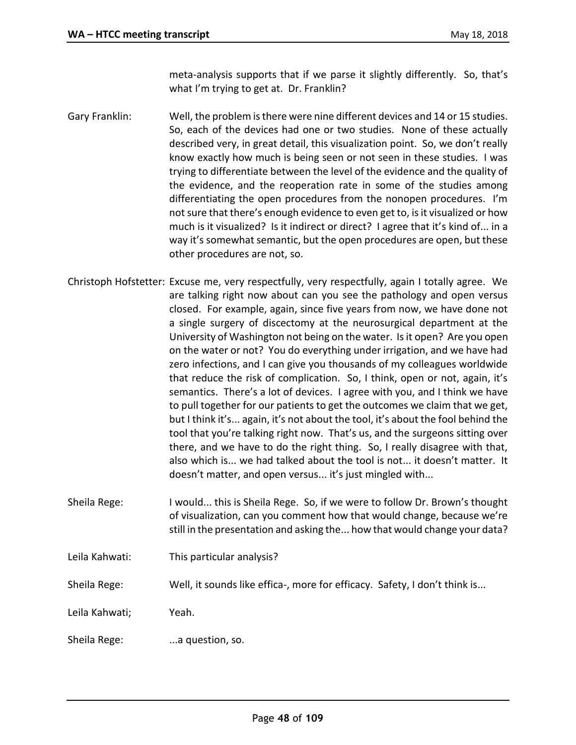meta-analysis supports that if we parse it slightly differently. So, that's what I'm trying to get at. Dr. Franklin?

- Gary Franklin: Well, the problem is there were nine different devices and 14 or 15 studies. So, each of the devices had one or two studies. None of these actually described very, in great detail, this visualization point. So, we don't really know exactly how much is being seen or not seen in these studies. I was trying to differentiate between the level of the evidence and the quality of the evidence, and the reoperation rate in some of the studies among differentiating the open procedures from the nonopen procedures. I'm not sure that there's enough evidence to even get to, is it visualized or how much is it visualized? Is it indirect or direct? I agree that it's kind of... in a way it's somewhat semantic, but the open procedures are open, but these other procedures are not, so.
- Christoph Hofstetter: Excuse me, very respectfully, very respectfully, again I totally agree. We are talking right now about can you see the pathology and open versus closed. For example, again, since five years from now, we have done not a single surgery of discectomy at the neurosurgical department at the University of Washington not being on the water. Is it open? Are you open on the water or not? You do everything under irrigation, and we have had zero infections, and I can give you thousands of my colleagues worldwide that reduce the risk of complication. So, I think, open or not, again, it's semantics. There's a lot of devices. I agree with you, and I think we have to pull together for our patients to get the outcomes we claim that we get, but I think it's... again, it's not about the tool, it's about the fool behind the tool that you're talking right now. That's us, and the surgeons sitting over there, and we have to do the right thing. So, I really disagree with that, also which is... we had talked about the tool is not... it doesn't matter. It doesn't matter, and open versus... it's just mingled with...
- Sheila Rege: I would... this is Sheila Rege. So, if we were to follow Dr. Brown's thought of visualization, can you comment how that would change, because we're still in the presentation and asking the... how that would change your data?
- Leila Kahwati: This particular analysis?
- Sheila Rege: Well, it sounds like effica-, more for efficacy. Safety, I don't think is...

Leila Kahwati; Yeah.

Sheila Rege: ...a question, so.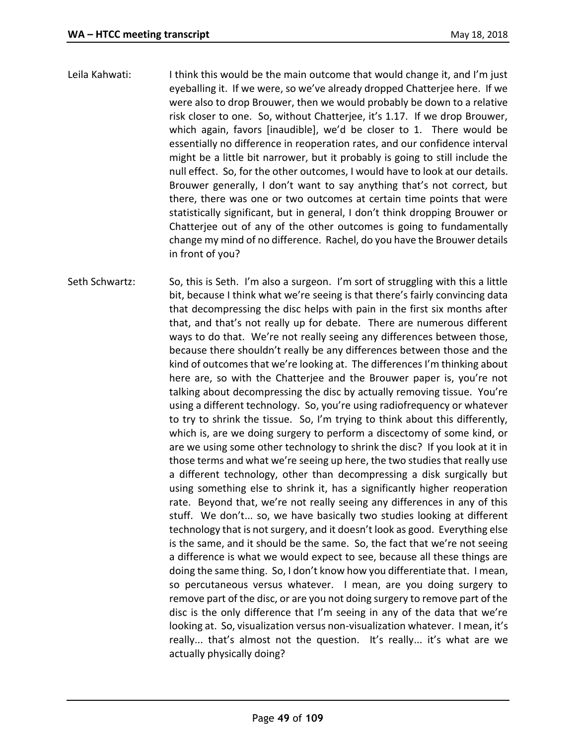- Leila Kahwati: I think this would be the main outcome that would change it, and I'm just eyeballing it. If we were, so we've already dropped Chatterjee here. If we were also to drop Brouwer, then we would probably be down to a relative risk closer to one. So, without Chatterjee, it's 1.17. If we drop Brouwer, which again, favors [inaudible], we'd be closer to 1. There would be essentially no difference in reoperation rates, and our confidence interval might be a little bit narrower, but it probably is going to still include the null effect. So, for the other outcomes, I would have to look at our details. Brouwer generally, I don't want to say anything that's not correct, but there, there was one or two outcomes at certain time points that were statistically significant, but in general, I don't think dropping Brouwer or Chatterjee out of any of the other outcomes is going to fundamentally change my mind of no difference. Rachel, do you have the Brouwer details in front of you?
- Seth Schwartz: So, this is Seth. I'm also a surgeon. I'm sort of struggling with this a little bit, because I think what we're seeing is that there's fairly convincing data that decompressing the disc helps with pain in the first six months after that, and that's not really up for debate. There are numerous different ways to do that. We're not really seeing any differences between those, because there shouldn't really be any differences between those and the kind of outcomes that we're looking at. The differences I'm thinking about here are, so with the Chatterjee and the Brouwer paper is, you're not talking about decompressing the disc by actually removing tissue. You're using a different technology. So, you're using radiofrequency or whatever to try to shrink the tissue. So, I'm trying to think about this differently, which is, are we doing surgery to perform a discectomy of some kind, or are we using some other technology to shrink the disc? If you look at it in those terms and what we're seeing up here, the two studies that really use a different technology, other than decompressing a disk surgically but using something else to shrink it, has a significantly higher reoperation rate. Beyond that, we're not really seeing any differences in any of this stuff. We don't... so, we have basically two studies looking at different technology that is not surgery, and it doesn't look as good. Everything else is the same, and it should be the same. So, the fact that we're not seeing a difference is what we would expect to see, because all these things are doing the same thing. So, I don't know how you differentiate that. I mean, so percutaneous versus whatever. I mean, are you doing surgery to remove part of the disc, or are you not doing surgery to remove part of the disc is the only difference that I'm seeing in any of the data that we're looking at. So, visualization versus non-visualization whatever. I mean, it's really... that's almost not the question. It's really... it's what are we actually physically doing?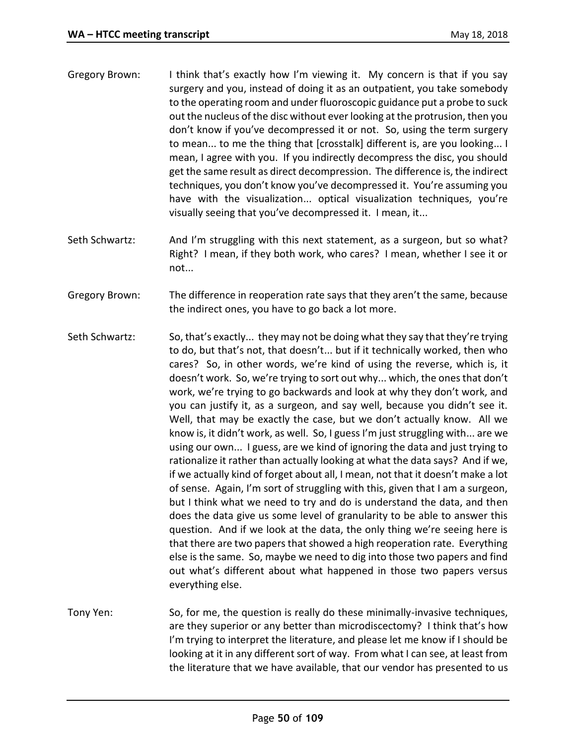- Gregory Brown: I think that's exactly how I'm viewing it. My concern is that if you say surgery and you, instead of doing it as an outpatient, you take somebody to the operating room and under fluoroscopic guidance put a probe to suck out the nucleus of the disc without ever looking at the protrusion, then you don't know if you've decompressed it or not. So, using the term surgery to mean... to me the thing that [crosstalk] different is, are you looking... I mean, I agree with you. If you indirectly decompress the disc, you should get the same result as direct decompression. The difference is, the indirect techniques, you don't know you've decompressed it. You're assuming you have with the visualization... optical visualization techniques, you're visually seeing that you've decompressed it. I mean, it...
- Seth Schwartz: And I'm struggling with this next statement, as a surgeon, but so what? Right? I mean, if they both work, who cares? I mean, whether I see it or not...
- Gregory Brown: The difference in reoperation rate says that they aren't the same, because the indirect ones, you have to go back a lot more.
- Seth Schwartz: So, that's exactly... they may not be doing what they say that they're trying to do, but that's not, that doesn't... but if it technically worked, then who cares? So, in other words, we're kind of using the reverse, which is, it doesn't work. So, we're trying to sort out why... which, the ones that don't work, we're trying to go backwards and look at why they don't work, and you can justify it, as a surgeon, and say well, because you didn't see it. Well, that may be exactly the case, but we don't actually know. All we know is, it didn't work, as well. So, I guess I'm just struggling with... are we using our own... I guess, are we kind of ignoring the data and just trying to rationalize it rather than actually looking at what the data says? And if we, if we actually kind of forget about all, I mean, not that it doesn't make a lot of sense. Again, I'm sort of struggling with this, given that I am a surgeon, but I think what we need to try and do is understand the data, and then does the data give us some level of granularity to be able to answer this question. And if we look at the data, the only thing we're seeing here is that there are two papers that showed a high reoperation rate. Everything else is the same. So, maybe we need to dig into those two papers and find out what's different about what happened in those two papers versus everything else.
- Tony Yen: So, for me, the question is really do these minimally-invasive techniques, are they superior or any better than microdiscectomy? I think that's how I'm trying to interpret the literature, and please let me know if I should be looking at it in any different sort of way. From what I can see, at least from the literature that we have available, that our vendor has presented to us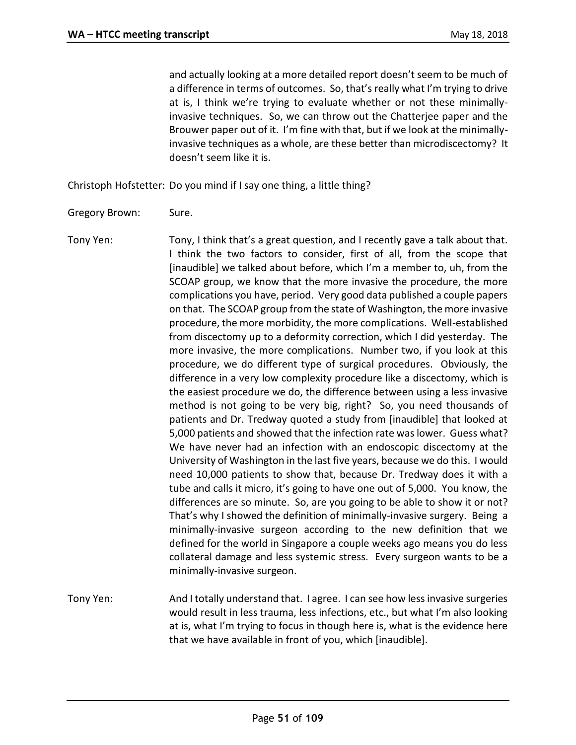and actually looking at a more detailed report doesn't seem to be much of a difference in terms of outcomes. So, that's really what I'm trying to drive at is, I think we're trying to evaluate whether or not these minimallyinvasive techniques. So, we can throw out the Chatterjee paper and the Brouwer paper out of it. I'm fine with that, but if we look at the minimallyinvasive techniques as a whole, are these better than microdiscectomy? It doesn't seem like it is.

Christoph Hofstetter: Do you mind if I say one thing, a little thing?

- Gregory Brown: Sure.
- Tony Yen: Tony, I think that's a great question, and I recently gave a talk about that. I think the two factors to consider, first of all, from the scope that [inaudible] we talked about before, which I'm a member to, uh, from the SCOAP group, we know that the more invasive the procedure, the more complications you have, period. Very good data published a couple papers on that. The SCOAP group from the state of Washington, the more invasive procedure, the more morbidity, the more complications. Well-established from discectomy up to a deformity correction, which I did yesterday. The more invasive, the more complications. Number two, if you look at this procedure, we do different type of surgical procedures. Obviously, the difference in a very low complexity procedure like a discectomy, which is the easiest procedure we do, the difference between using a less invasive method is not going to be very big, right? So, you need thousands of patients and Dr. Tredway quoted a study from [inaudible] that looked at 5,000 patients and showed that the infection rate was lower. Guess what? We have never had an infection with an endoscopic discectomy at the University of Washington in the last five years, because we do this. I would need 10,000 patients to show that, because Dr. Tredway does it with a tube and calls it micro, it's going to have one out of 5,000. You know, the differences are so minute. So, are you going to be able to show it or not? That's why I showed the definition of minimally-invasive surgery. Being a minimally-invasive surgeon according to the new definition that we defined for the world in Singapore a couple weeks ago means you do less collateral damage and less systemic stress. Every surgeon wants to be a minimally-invasive surgeon.
- Tony Yen: And I totally understand that. I agree. I can see how less invasive surgeries would result in less trauma, less infections, etc., but what I'm also looking at is, what I'm trying to focus in though here is, what is the evidence here that we have available in front of you, which [inaudible].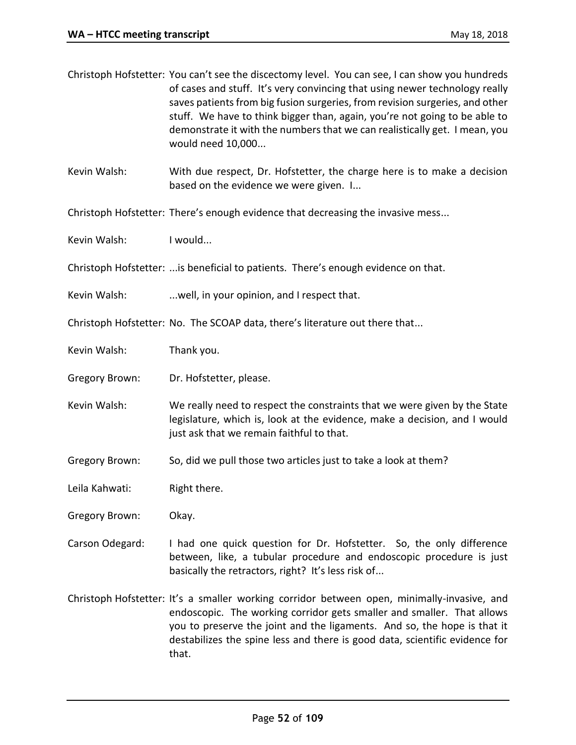|                       | Christoph Hofstetter: You can't see the discectomy level. You can see, I can show you hundreds<br>of cases and stuff. It's very convincing that using newer technology really<br>saves patients from big fusion surgeries, from revision surgeries, and other<br>stuff. We have to think bigger than, again, you're not going to be able to<br>demonstrate it with the numbers that we can realistically get. I mean, you<br>would need 10,000 |
|-----------------------|------------------------------------------------------------------------------------------------------------------------------------------------------------------------------------------------------------------------------------------------------------------------------------------------------------------------------------------------------------------------------------------------------------------------------------------------|
| Kevin Walsh:          | With due respect, Dr. Hofstetter, the charge here is to make a decision<br>based on the evidence we were given. I                                                                                                                                                                                                                                                                                                                              |
|                       | Christoph Hofstetter: There's enough evidence that decreasing the invasive mess                                                                                                                                                                                                                                                                                                                                                                |
| Kevin Walsh:          | I would                                                                                                                                                                                                                                                                                                                                                                                                                                        |
|                       | Christoph Hofstetter:  is beneficial to patients. There's enough evidence on that.                                                                                                                                                                                                                                                                                                                                                             |
| Kevin Walsh:          | well, in your opinion, and I respect that.                                                                                                                                                                                                                                                                                                                                                                                                     |
|                       | Christoph Hofstetter: No. The SCOAP data, there's literature out there that                                                                                                                                                                                                                                                                                                                                                                    |
| Kevin Walsh:          | Thank you.                                                                                                                                                                                                                                                                                                                                                                                                                                     |
| Gregory Brown:        | Dr. Hofstetter, please.                                                                                                                                                                                                                                                                                                                                                                                                                        |
| Kevin Walsh:          | We really need to respect the constraints that we were given by the State<br>legislature, which is, look at the evidence, make a decision, and I would<br>just ask that we remain faithful to that.                                                                                                                                                                                                                                            |
| <b>Gregory Brown:</b> | So, did we pull those two articles just to take a look at them?                                                                                                                                                                                                                                                                                                                                                                                |
| Leila Kahwati:        | Right there.                                                                                                                                                                                                                                                                                                                                                                                                                                   |
| Gregory Brown:        | Okay.                                                                                                                                                                                                                                                                                                                                                                                                                                          |

Carson Odegard: I had one quick question for Dr. Hofstetter. So, the only difference between, like, a tubular procedure and endoscopic procedure is just basically the retractors, right? It's less risk of...

Christoph Hofstetter: It's a smaller working corridor between open, minimally-invasive, and endoscopic. The working corridor gets smaller and smaller. That allows you to preserve the joint and the ligaments. And so, the hope is that it destabilizes the spine less and there is good data, scientific evidence for that.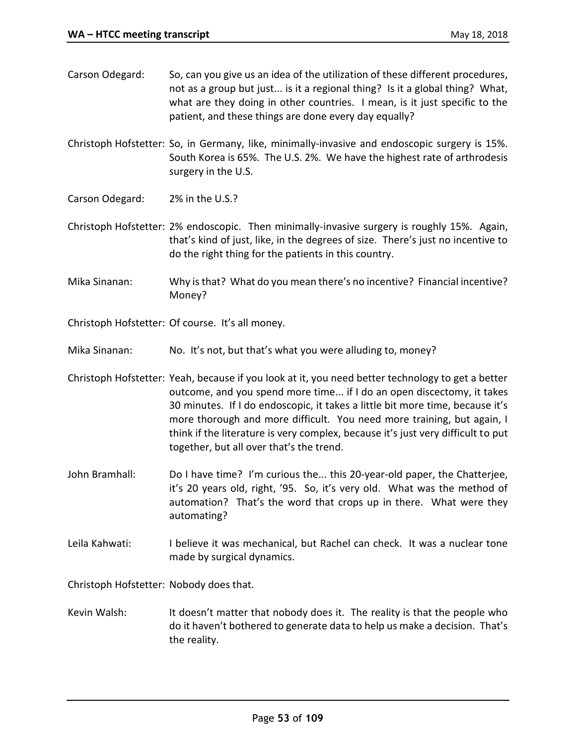| Carson Odegard: | So, can you give us an idea of the utilization of these different procedures,<br>not as a group but just is it a regional thing? Is it a global thing? What,<br>what are they doing in other countries. I mean, is it just specific to the<br>patient, and these things are done every day equally?                                                                                                                       |
|-----------------|---------------------------------------------------------------------------------------------------------------------------------------------------------------------------------------------------------------------------------------------------------------------------------------------------------------------------------------------------------------------------------------------------------------------------|
|                 | Christoph Hofstetter: So, in Germany, like, minimally-invasive and endoscopic surgery is 15%.<br>South Korea is 65%. The U.S. 2%. We have the highest rate of arthrodesis<br>surgery in the U.S.                                                                                                                                                                                                                          |
| Carson Odegard: | 2% in the U.S.?                                                                                                                                                                                                                                                                                                                                                                                                           |
|                 | Christoph Hofstetter: 2% endoscopic. Then minimally-invasive surgery is roughly 15%. Again,<br>that's kind of just, like, in the degrees of size. There's just no incentive to<br>do the right thing for the patients in this country.                                                                                                                                                                                    |
| Mika Sinanan:   | Why is that? What do you mean there's no incentive? Financial incentive?<br>Money?                                                                                                                                                                                                                                                                                                                                        |
|                 | Christoph Hofstetter: Of course. It's all money.                                                                                                                                                                                                                                                                                                                                                                          |
| Mika Sinanan:   | No. It's not, but that's what you were alluding to, money?                                                                                                                                                                                                                                                                                                                                                                |
|                 | Christoph Hofstetter: Yeah, because if you look at it, you need better technology to get a better<br>outcome, and you spend more time if I do an open discectomy, it takes<br>30 minutes. If I do endoscopic, it takes a little bit more time, because it's<br>more thorough and more difficult. You need more training, but again, I<br>think if the literature is very complex, because it's just very difficult to put |

John Bramhall: Do I have time? I'm curious the... this 20-year-old paper, the Chatterjee, it's 20 years old, right, '95. So, it's very old. What was the method of automation? That's the word that crops up in there. What were they automating?

together, but all over that's the trend.

Leila Kahwati: I believe it was mechanical, but Rachel can check. It was a nuclear tone made by surgical dynamics.

Christoph Hofstetter: Nobody does that.

Kevin Walsh: It doesn't matter that nobody does it. The reality is that the people who do it haven't bothered to generate data to help us make a decision. That's the reality.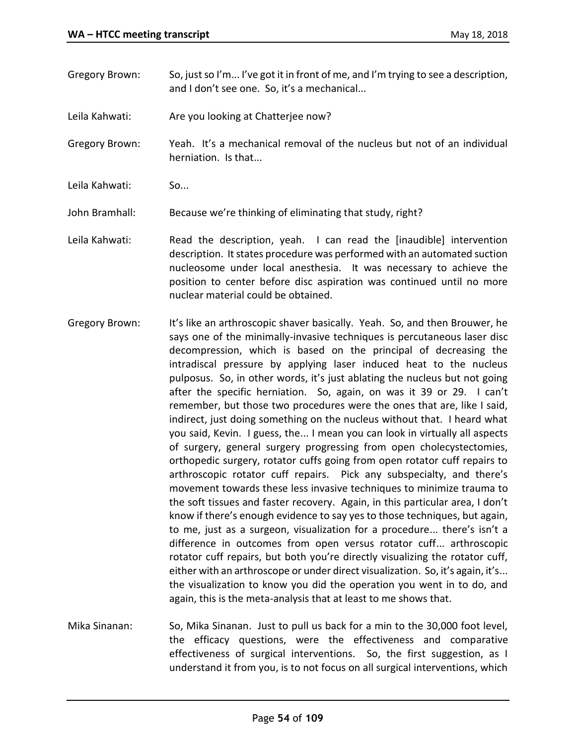Gregory Brown: So, just so I'm... I've got it in front of me, and I'm trying to see a description, and I don't see one. So, it's a mechanical...

Leila Kahwati: Are you looking at Chatterjee now?

Gregory Brown: Yeah. It's a mechanical removal of the nucleus but not of an individual herniation. Is that...

Leila Kahwati: So...

John Bramhall: Because we're thinking of eliminating that study, right?

- Leila Kahwati: Read the description, yeah. I can read the [inaudible] intervention description. It states procedure was performed with an automated suction nucleosome under local anesthesia. It was necessary to achieve the position to center before disc aspiration was continued until no more nuclear material could be obtained.
- Gregory Brown: It's like an arthroscopic shaver basically. Yeah. So, and then Brouwer, he says one of the minimally-invasive techniques is percutaneous laser disc decompression, which is based on the principal of decreasing the intradiscal pressure by applying laser induced heat to the nucleus pulposus. So, in other words, it's just ablating the nucleus but not going after the specific herniation. So, again, on was it 39 or 29. I can't remember, but those two procedures were the ones that are, like I said, indirect, just doing something on the nucleus without that. I heard what you said, Kevin. I guess, the... I mean you can look in virtually all aspects of surgery, general surgery progressing from open cholecystectomies, orthopedic surgery, rotator cuffs going from open rotator cuff repairs to arthroscopic rotator cuff repairs. Pick any subspecialty, and there's movement towards these less invasive techniques to minimize trauma to the soft tissues and faster recovery. Again, in this particular area, I don't know if there's enough evidence to say yes to those techniques, but again, to me, just as a surgeon, visualization for a procedure... there's isn't a difference in outcomes from open versus rotator cuff... arthroscopic rotator cuff repairs, but both you're directly visualizing the rotator cuff, either with an arthroscope or under direct visualization. So, it's again, it's... the visualization to know you did the operation you went in to do, and again, this is the meta-analysis that at least to me shows that.
- Mika Sinanan: So, Mika Sinanan. Just to pull us back for a min to the 30,000 foot level, the efficacy questions, were the effectiveness and comparative effectiveness of surgical interventions. So, the first suggestion, as I understand it from you, is to not focus on all surgical interventions, which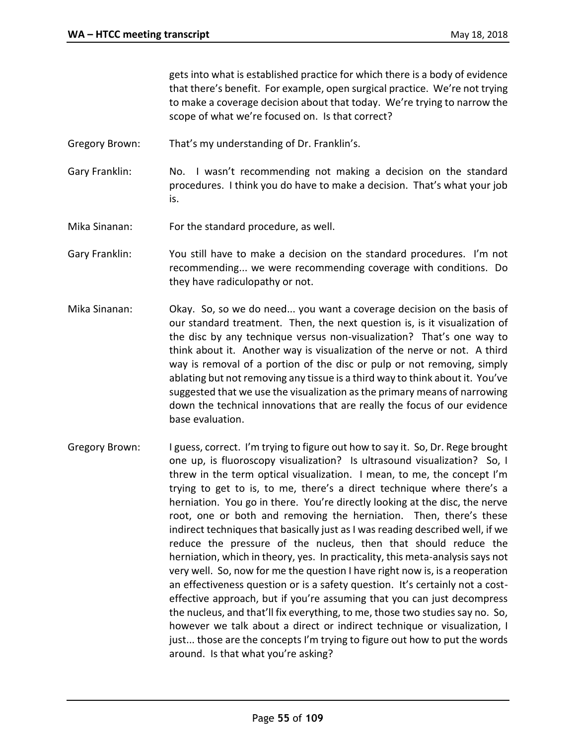gets into what is established practice for which there is a body of evidence that there's benefit. For example, open surgical practice. We're not trying to make a coverage decision about that today. We're trying to narrow the scope of what we're focused on. Is that correct?

- Gregory Brown: That's my understanding of Dr. Franklin's.
- Gary Franklin: No. I wasn't recommending not making a decision on the standard procedures. I think you do have to make a decision. That's what your job is.
- Mika Sinanan: For the standard procedure, as well.
- Gary Franklin: You still have to make a decision on the standard procedures. I'm not recommending... we were recommending coverage with conditions. Do they have radiculopathy or not.
- Mika Sinanan: Okay. So, so we do need... you want a coverage decision on the basis of our standard treatment. Then, the next question is, is it visualization of the disc by any technique versus non-visualization? That's one way to think about it. Another way is visualization of the nerve or not. A third way is removal of a portion of the disc or pulp or not removing, simply ablating but not removing any tissue is a third way to think about it. You've suggested that we use the visualization as the primary means of narrowing down the technical innovations that are really the focus of our evidence base evaluation.
- Gregory Brown: I guess, correct. I'm trying to figure out how to say it. So, Dr. Rege brought one up, is fluoroscopy visualization? Is ultrasound visualization? So, I threw in the term optical visualization. I mean, to me, the concept I'm trying to get to is, to me, there's a direct technique where there's a herniation. You go in there. You're directly looking at the disc, the nerve root, one or both and removing the herniation. Then, there's these indirect techniques that basically just as I was reading described well, if we reduce the pressure of the nucleus, then that should reduce the herniation, which in theory, yes. In practicality, this meta-analysis says not very well. So, now for me the question I have right now is, is a reoperation an effectiveness question or is a safety question. It's certainly not a costeffective approach, but if you're assuming that you can just decompress the nucleus, and that'll fix everything, to me, those two studies say no. So, however we talk about a direct or indirect technique or visualization, I just... those are the concepts I'm trying to figure out how to put the words around. Is that what you're asking?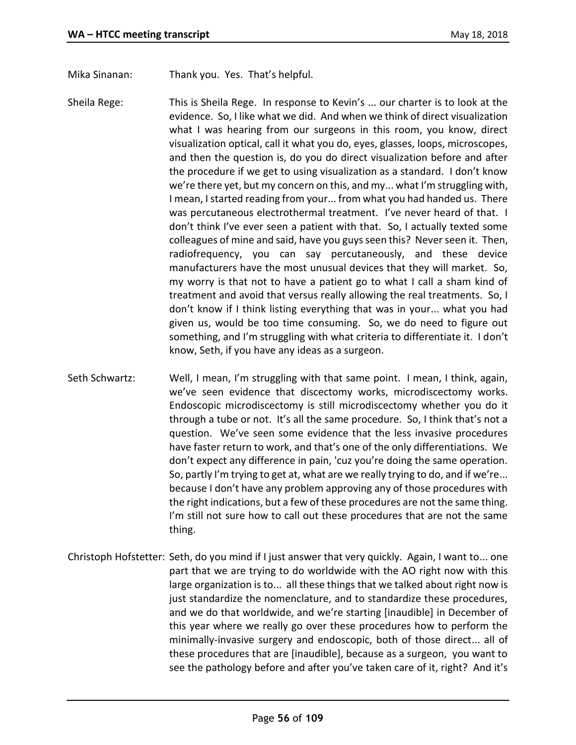Mika Sinanan: Thank you. Yes. That's helpful.

- Sheila Rege: This is Sheila Rege. In response to Kevin's ... our charter is to look at the evidence. So, I like what we did. And when we think of direct visualization what I was hearing from our surgeons in this room, you know, direct visualization optical, call it what you do, eyes, glasses, loops, microscopes, and then the question is, do you do direct visualization before and after the procedure if we get to using visualization as a standard. I don't know we're there yet, but my concern on this, and my... what I'm struggling with, I mean, I started reading from your... from what you had handed us. There was percutaneous electrothermal treatment. I've never heard of that. I don't think I've ever seen a patient with that. So, I actually texted some colleagues of mine and said, have you guys seen this? Never seen it. Then, radiofrequency, you can say percutaneously, and these device manufacturers have the most unusual devices that they will market. So, my worry is that not to have a patient go to what I call a sham kind of treatment and avoid that versus really allowing the real treatments. So, I don't know if I think listing everything that was in your... what you had given us, would be too time consuming. So, we do need to figure out something, and I'm struggling with what criteria to differentiate it. I don't know, Seth, if you have any ideas as a surgeon.
- Seth Schwartz: Well, I mean, I'm struggling with that same point. I mean, I think, again, we've seen evidence that discectomy works, microdiscectomy works. Endoscopic microdiscectomy is still microdiscectomy whether you do it through a tube or not. It's all the same procedure. So, I think that's not a question. We've seen some evidence that the less invasive procedures have faster return to work, and that's one of the only differentiations. We don't expect any difference in pain, 'cuz you're doing the same operation. So, partly I'm trying to get at, what are we really trying to do, and if we're... because I don't have any problem approving any of those procedures with the right indications, but a few of these procedures are not the same thing. I'm still not sure how to call out these procedures that are not the same thing.
- Christoph Hofstetter: Seth, do you mind if I just answer that very quickly. Again, I want to... one part that we are trying to do worldwide with the AO right now with this large organization is to... all these things that we talked about right now is just standardize the nomenclature, and to standardize these procedures, and we do that worldwide, and we're starting [inaudible] in December of this year where we really go over these procedures how to perform the minimally-invasive surgery and endoscopic, both of those direct... all of these procedures that are [inaudible], because as a surgeon, you want to see the pathology before and after you've taken care of it, right? And it's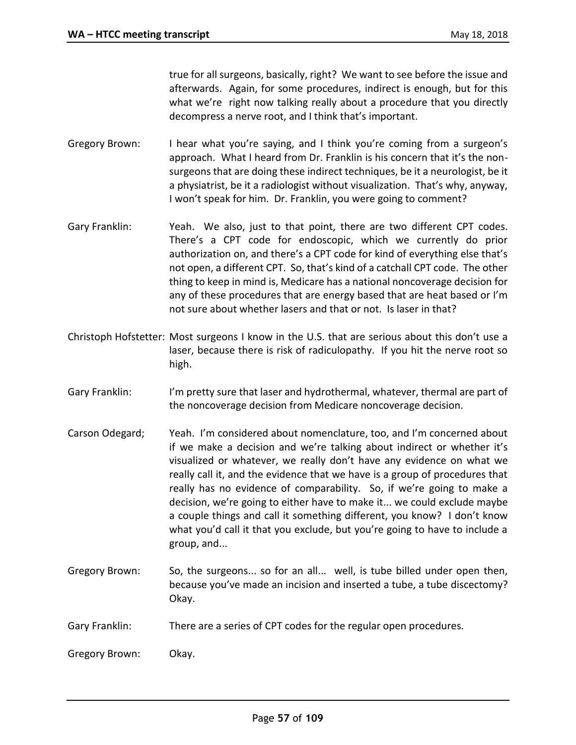true for all surgeons, basically, right? We want to see before the issue and afterwards. Again, for some procedures, indirect is enough, but for this what we're right now talking really about a procedure that you directly decompress a nerve root, and I think that's important.

- Gregory Brown: I hear what you're saying, and I think you're coming from a surgeon's approach. What I heard from Dr. Franklin is his concern that it's the nonsurgeons that are doing these indirect techniques, be it a neurologist, be it a physiatrist, be it a radiologist without visualization. That's why, anyway, I won't speak for him. Dr. Franklin, you were going to comment?
- Gary Franklin: Yeah. We also, just to that point, there are two different CPT codes. There's a CPT code for endoscopic, which we currently do prior authorization on, and there's a CPT code for kind of everything else that's not open, a different CPT. So, that's kind of a catchall CPT code. The other thing to keep in mind is, Medicare has a national noncoverage decision for any of these procedures that are energy based that are heat based or I'm not sure about whether lasers and that or not. Is laser in that?
- Christoph Hofstetter: Most surgeons I know in the U.S. that are serious about this don't use a laser, because there is risk of radiculopathy. If you hit the nerve root so high.
- Gary Franklin: I'm pretty sure that laser and hydrothermal, whatever, thermal are part of the noncoverage decision from Medicare noncoverage decision.
- Carson Odegard; Yeah. I'm considered about nomenclature, too, and I'm concerned about if we make a decision and we're talking about indirect or whether it's visualized or whatever, we really don't have any evidence on what we really call it, and the evidence that we have is a group of procedures that really has no evidence of comparability. So, if we're going to make a decision, we're going to either have to make it... we could exclude maybe a couple things and call it something different, you know? I don't know what you'd call it that you exclude, but you're going to have to include a group, and...
- Gregory Brown: So, the surgeons... so for an all... well, is tube billed under open then, because you've made an incision and inserted a tube, a tube discectomy? Okay.
- Gary Franklin: There are a series of CPT codes for the regular open procedures.
- Gregory Brown: Okay.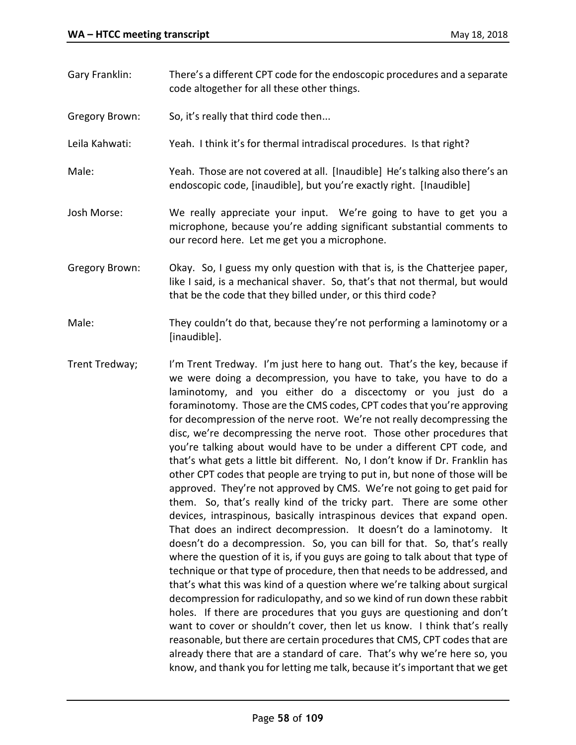- Gary Franklin: There's a different CPT code for the endoscopic procedures and a separate code altogether for all these other things. Gregory Brown: So, it's really that third code then... Leila Kahwati: Yeah. I think it's for thermal intradiscal procedures. Is that right? Male: Yeah. Those are not covered at all. [Inaudible] He's talking also there's an endoscopic code, [inaudible], but you're exactly right. [Inaudible] Josh Morse: We really appreciate your input. We're going to have to get you a microphone, because you're adding significant substantial comments to our record here. Let me get you a microphone. Gregory Brown: Okay. So, I guess my only question with that is, is the Chatterjee paper, like I said, is a mechanical shaver. So, that's that not thermal, but would that be the code that they billed under, or this third code?
- Male: They couldn't do that, because they're not performing a laminotomy or a [inaudible].
- Trent Tredway; I'm Trent Tredway. I'm just here to hang out. That's the key, because if we were doing a decompression, you have to take, you have to do a laminotomy, and you either do a discectomy or you just do a foraminotomy. Those are the CMS codes, CPT codes that you're approving for decompression of the nerve root. We're not really decompressing the disc, we're decompressing the nerve root. Those other procedures that you're talking about would have to be under a different CPT code, and that's what gets a little bit different. No, I don't know if Dr. Franklin has other CPT codes that people are trying to put in, but none of those will be approved. They're not approved by CMS. We're not going to get paid for them. So, that's really kind of the tricky part. There are some other devices, intraspinous, basically intraspinous devices that expand open. That does an indirect decompression. It doesn't do a laminotomy. It doesn't do a decompression. So, you can bill for that. So, that's really where the question of it is, if you guys are going to talk about that type of technique or that type of procedure, then that needs to be addressed, and that's what this was kind of a question where we're talking about surgical decompression for radiculopathy, and so we kind of run down these rabbit holes. If there are procedures that you guys are questioning and don't want to cover or shouldn't cover, then let us know. I think that's really reasonable, but there are certain procedures that CMS, CPT codes that are already there that are a standard of care. That's why we're here so, you know, and thank you for letting me talk, because it's important that we get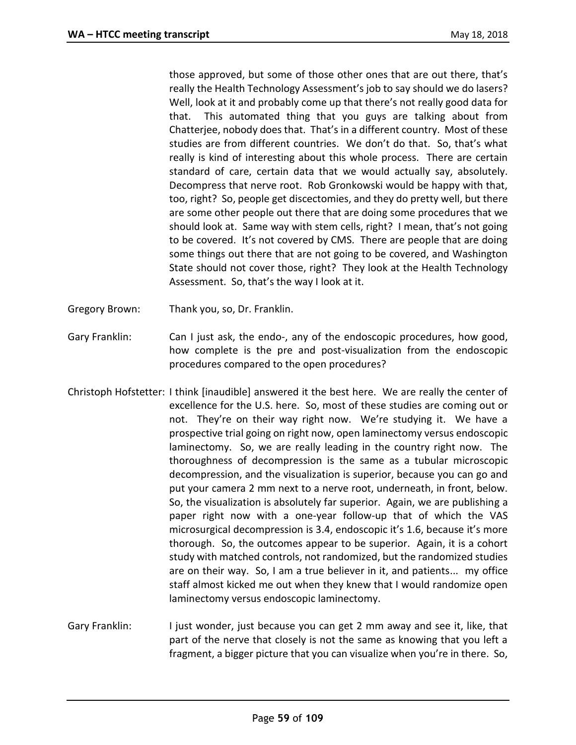those approved, but some of those other ones that are out there, that's really the Health Technology Assessment's job to say should we do lasers? Well, look at it and probably come up that there's not really good data for that. This automated thing that you guys are talking about from Chatterjee, nobody does that. That's in a different country. Most of these studies are from different countries. We don't do that. So, that's what really is kind of interesting about this whole process. There are certain standard of care, certain data that we would actually say, absolutely. Decompress that nerve root. Rob Gronkowski would be happy with that, too, right? So, people get discectomies, and they do pretty well, but there are some other people out there that are doing some procedures that we should look at. Same way with stem cells, right? I mean, that's not going to be covered. It's not covered by CMS. There are people that are doing some things out there that are not going to be covered, and Washington State should not cover those, right? They look at the Health Technology Assessment. So, that's the way I look at it.

- Gregory Brown: Thank you, so, Dr. Franklin.
- Gary Franklin: Can I just ask, the endo-, any of the endoscopic procedures, how good, how complete is the pre and post-visualization from the endoscopic procedures compared to the open procedures?
- Christoph Hofstetter: I think [inaudible] answered it the best here. We are really the center of excellence for the U.S. here. So, most of these studies are coming out or not. They're on their way right now. We're studying it. We have a prospective trial going on right now, open laminectomy versus endoscopic laminectomy. So, we are really leading in the country right now. The thoroughness of decompression is the same as a tubular microscopic decompression, and the visualization is superior, because you can go and put your camera 2 mm next to a nerve root, underneath, in front, below. So, the visualization is absolutely far superior. Again, we are publishing a paper right now with a one-year follow-up that of which the VAS microsurgical decompression is 3.4, endoscopic it's 1.6, because it's more thorough. So, the outcomes appear to be superior. Again, it is a cohort study with matched controls, not randomized, but the randomized studies are on their way. So, I am a true believer in it, and patients... my office staff almost kicked me out when they knew that I would randomize open laminectomy versus endoscopic laminectomy.
- Gary Franklin: I just wonder, just because you can get 2 mm away and see it, like, that part of the nerve that closely is not the same as knowing that you left a fragment, a bigger picture that you can visualize when you're in there. So,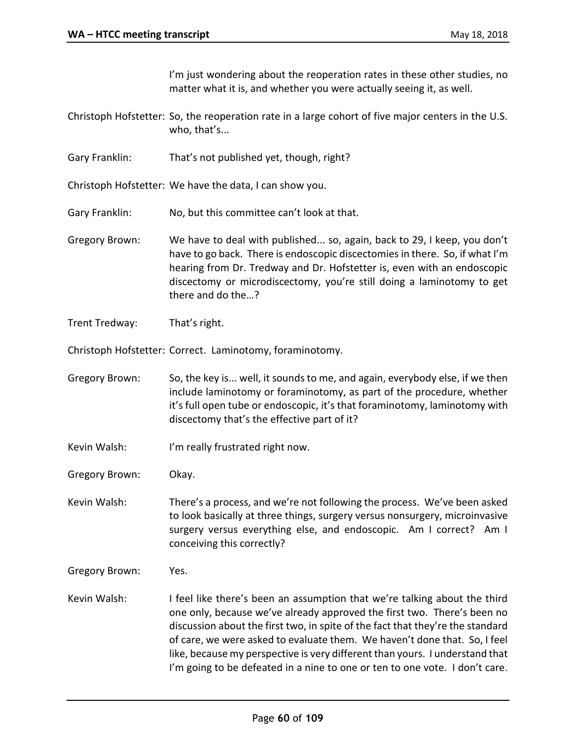I'm just wondering about the reoperation rates in these other studies, no matter what it is, and whether you were actually seeing it, as well.

Christoph Hofstetter: So, the reoperation rate in a large cohort of five major centers in the U.S. who, that's...

Gary Franklin: That's not published yet, though, right?

Christoph Hofstetter: We have the data, I can show you.

Gary Franklin: No, but this committee can't look at that.

- Gregory Brown: We have to deal with published... so, again, back to 29, I keep, you don't have to go back. There is endoscopic discectomies in there. So, if what I'm hearing from Dr. Tredway and Dr. Hofstetter is, even with an endoscopic discectomy or microdiscectomy, you're still doing a laminotomy to get there and do the…?
- Trent Tredway: That's right.

Christoph Hofstetter: Correct. Laminotomy, foraminotomy.

- Gregory Brown: So, the key is... well, it sounds to me, and again, everybody else, if we then include laminotomy or foraminotomy, as part of the procedure, whether it's full open tube or endoscopic, it's that foraminotomy, laminotomy with discectomy that's the effective part of it?
- Kevin Walsh: I'm really frustrated right now.
- Gregory Brown: Okay.

Kevin Walsh: There's a process, and we're not following the process. We've been asked to look basically at three things, surgery versus nonsurgery, microinvasive surgery versus everything else, and endoscopic. Am I correct? Am I conceiving this correctly?

Gregory Brown: Yes.

Kevin Walsh: I feel like there's been an assumption that we're talking about the third one only, because we've already approved the first two. There's been no discussion about the first two, in spite of the fact that they're the standard of care, we were asked to evaluate them. We haven't done that. So, I feel like, because my perspective is very different than yours. I understand that I'm going to be defeated in a nine to one or ten to one vote. I don't care.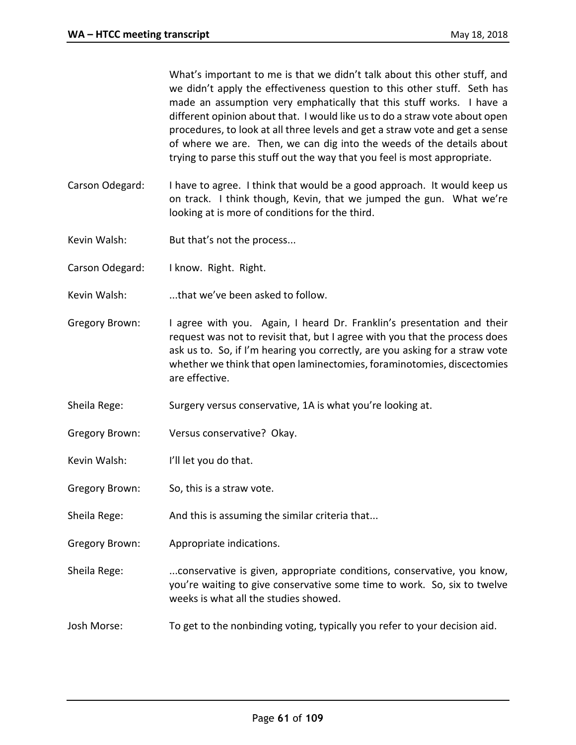What's important to me is that we didn't talk about this other stuff, and we didn't apply the effectiveness question to this other stuff. Seth has made an assumption very emphatically that this stuff works. I have a different opinion about that. I would like us to do a straw vote about open procedures, to look at all three levels and get a straw vote and get a sense of where we are. Then, we can dig into the weeds of the details about trying to parse this stuff out the way that you feel is most appropriate.

- Carson Odegard: I have to agree. I think that would be a good approach. It would keep us on track. I think though, Kevin, that we jumped the gun. What we're looking at is more of conditions for the third.
- Kevin Walsh: But that's not the process...
- Carson Odegard: I know. Right. Right.
- Kevin Walsh: ...that we've been asked to follow.
- Gregory Brown: I agree with you. Again, I heard Dr. Franklin's presentation and their request was not to revisit that, but I agree with you that the process does ask us to. So, if I'm hearing you correctly, are you asking for a straw vote whether we think that open laminectomies, foraminotomies, discectomies are effective.
- Sheila Rege: Surgery versus conservative, 1A is what you're looking at.
- Gregory Brown: Versus conservative? Okay.
- Kevin Walsh: I'll let you do that.
- Gregory Brown: So, this is a straw vote.
- Sheila Rege: And this is assuming the similar criteria that...
- Gregory Brown: Appropriate indications.
- Sheila Rege: ...conservative is given, appropriate conditions, conservative, you know, you're waiting to give conservative some time to work. So, six to twelve weeks is what all the studies showed.
- Josh Morse: To get to the nonbinding voting, typically you refer to your decision aid.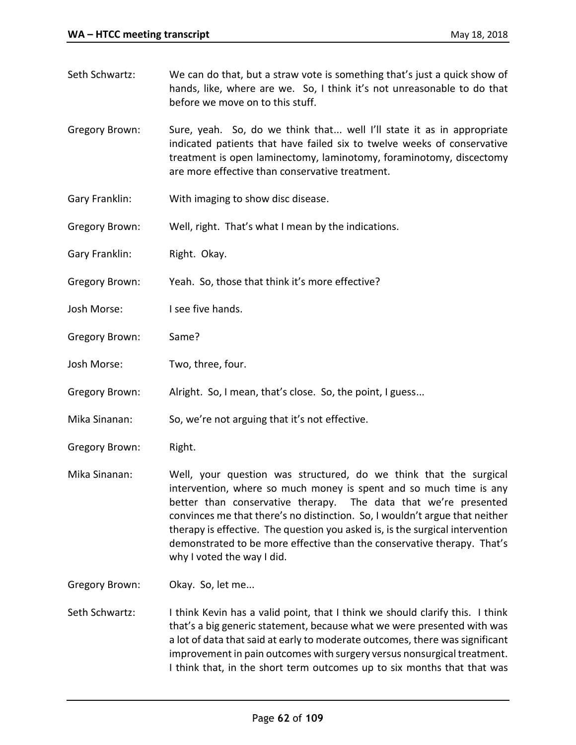- Seth Schwartz: We can do that, but a straw vote is something that's just a quick show of hands, like, where are we. So, I think it's not unreasonable to do that before we move on to this stuff.
- Gregory Brown: Sure, yeah. So, do we think that... well I'll state it as in appropriate indicated patients that have failed six to twelve weeks of conservative treatment is open laminectomy, laminotomy, foraminotomy, discectomy are more effective than conservative treatment.
- Gary Franklin: With imaging to show disc disease.
- Gregory Brown: Well, right. That's what I mean by the indications.
- Gary Franklin: Right. Okay.
- Gregory Brown: Yeah. So, those that think it's more effective?
- Josh Morse: I see five hands.
- Gregory Brown: Same?
- Josh Morse: Two, three, four.
- Gregory Brown: Alright. So, I mean, that's close. So, the point, I guess...
- Mika Sinanan: So, we're not arguing that it's not effective.
- Gregory Brown: Right.
- Mika Sinanan: Well, your question was structured, do we think that the surgical intervention, where so much money is spent and so much time is any better than conservative therapy. The data that we're presented convinces me that there's no distinction. So, I wouldn't argue that neither therapy is effective. The question you asked is, is the surgical intervention demonstrated to be more effective than the conservative therapy. That's why I voted the way I did.
- Gregory Brown: Okay. So, let me...
- Seth Schwartz: I think Kevin has a valid point, that I think we should clarify this. I think that's a big generic statement, because what we were presented with was a lot of data that said at early to moderate outcomes, there was significant improvement in pain outcomes with surgery versus nonsurgical treatment. I think that, in the short term outcomes up to six months that that was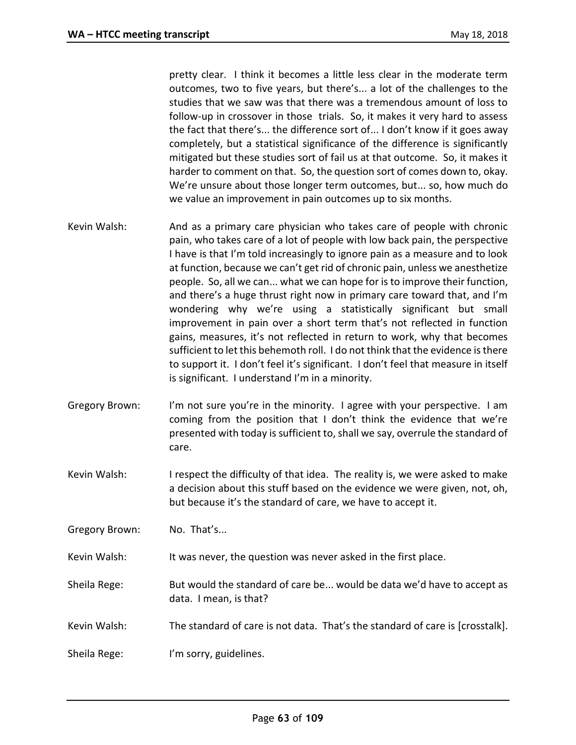pretty clear. I think it becomes a little less clear in the moderate term outcomes, two to five years, but there's... a lot of the challenges to the studies that we saw was that there was a tremendous amount of loss to follow-up in crossover in those trials. So, it makes it very hard to assess the fact that there's... the difference sort of... I don't know if it goes away completely, but a statistical significance of the difference is significantly mitigated but these studies sort of fail us at that outcome. So, it makes it harder to comment on that. So, the question sort of comes down to, okay. We're unsure about those longer term outcomes, but... so, how much do we value an improvement in pain outcomes up to six months.

- Kevin Walsh: And as a primary care physician who takes care of people with chronic pain, who takes care of a lot of people with low back pain, the perspective I have is that I'm told increasingly to ignore pain as a measure and to look at function, because we can't get rid of chronic pain, unless we anesthetize people. So, all we can... what we can hope for is to improve their function, and there's a huge thrust right now in primary care toward that, and I'm wondering why we're using a statistically significant but small improvement in pain over a short term that's not reflected in function gains, measures, it's not reflected in return to work, why that becomes sufficient to let this behemoth roll. I do not think that the evidence is there to support it. I don't feel it's significant. I don't feel that measure in itself is significant. I understand I'm in a minority.
- Gregory Brown: I'm not sure you're in the minority. I agree with your perspective. I am coming from the position that I don't think the evidence that we're presented with today is sufficient to, shall we say, overrule the standard of care.
- Kevin Walsh: I respect the difficulty of that idea. The reality is, we were asked to make a decision about this stuff based on the evidence we were given, not, oh, but because it's the standard of care, we have to accept it.
- Gregory Brown: No. That's...
- Kevin Walsh: It was never, the question was never asked in the first place.
- Sheila Rege: But would the standard of care be... would be data we'd have to accept as data. I mean, is that?
- Kevin Walsh: The standard of care is not data. That's the standard of care is [crosstalk].
- Sheila Rege: I'm sorry, guidelines.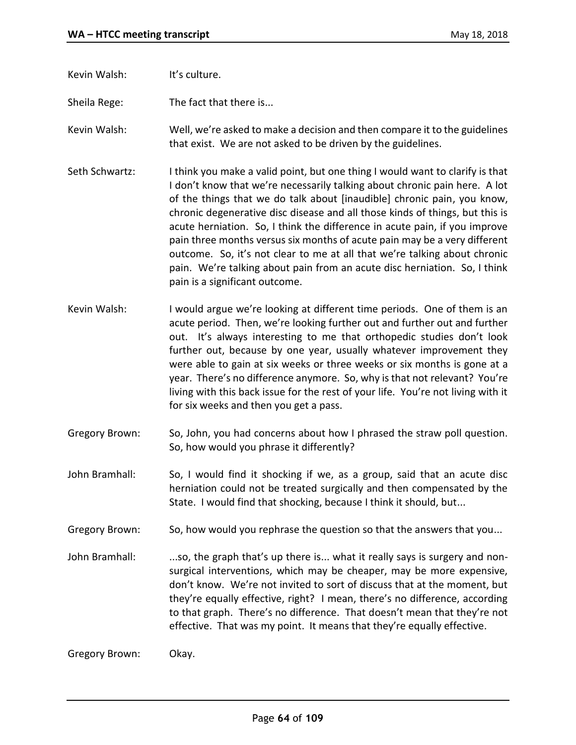Kevin Walsh: It's culture.

Sheila Rege: The fact that there is...

Kevin Walsh: Well, we're asked to make a decision and then compare it to the guidelines that exist. We are not asked to be driven by the guidelines.

- Seth Schwartz: I think you make a valid point, but one thing I would want to clarify is that I don't know that we're necessarily talking about chronic pain here. A lot of the things that we do talk about [inaudible] chronic pain, you know, chronic degenerative disc disease and all those kinds of things, but this is acute herniation. So, I think the difference in acute pain, if you improve pain three months versus six months of acute pain may be a very different outcome. So, it's not clear to me at all that we're talking about chronic pain. We're talking about pain from an acute disc herniation. So, I think pain is a significant outcome.
- Kevin Walsh: I would argue we're looking at different time periods. One of them is an acute period. Then, we're looking further out and further out and further out. It's always interesting to me that orthopedic studies don't look further out, because by one year, usually whatever improvement they were able to gain at six weeks or three weeks or six months is gone at a year. There's no difference anymore. So, why is that not relevant? You're living with this back issue for the rest of your life. You're not living with it for six weeks and then you get a pass.
- Gregory Brown: So, John, you had concerns about how I phrased the straw poll question. So, how would you phrase it differently?
- John Bramhall: So, I would find it shocking if we, as a group, said that an acute disc herniation could not be treated surgically and then compensated by the State. I would find that shocking, because I think it should, but...
- Gregory Brown: So, how would you rephrase the question so that the answers that you...
- John Bramhall: ...so, the graph that's up there is... what it really says is surgery and nonsurgical interventions, which may be cheaper, may be more expensive, don't know. We're not invited to sort of discuss that at the moment, but they're equally effective, right? I mean, there's no difference, according to that graph. There's no difference. That doesn't mean that they're not effective. That was my point. It means that they're equally effective.

Gregory Brown: Okay.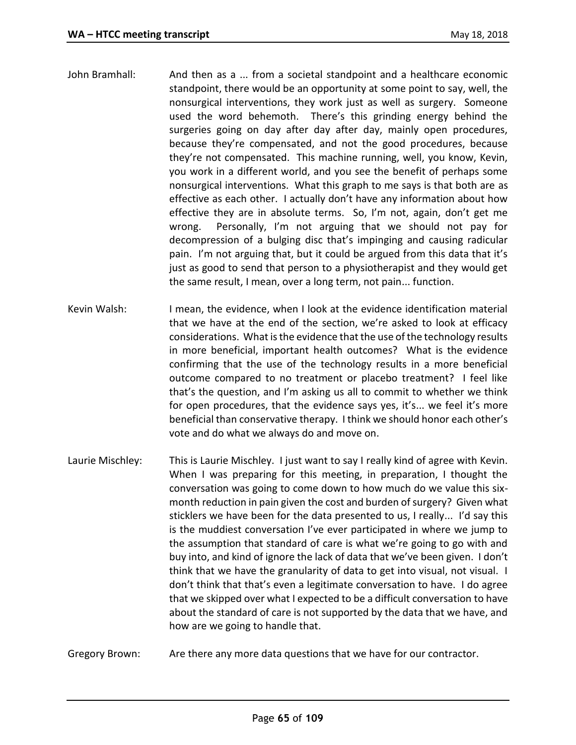- John Bramhall: And then as a ... from a societal standpoint and a healthcare economic standpoint, there would be an opportunity at some point to say, well, the nonsurgical interventions, they work just as well as surgery. Someone used the word behemoth. There's this grinding energy behind the surgeries going on day after day after day, mainly open procedures, because they're compensated, and not the good procedures, because they're not compensated. This machine running, well, you know, Kevin, you work in a different world, and you see the benefit of perhaps some nonsurgical interventions. What this graph to me says is that both are as effective as each other. I actually don't have any information about how effective they are in absolute terms. So, I'm not, again, don't get me wrong. Personally, I'm not arguing that we should not pay for decompression of a bulging disc that's impinging and causing radicular pain. I'm not arguing that, but it could be argued from this data that it's just as good to send that person to a physiotherapist and they would get the same result, I mean, over a long term, not pain... function.
- Kevin Walsh: I mean, the evidence, when I look at the evidence identification material that we have at the end of the section, we're asked to look at efficacy considerations. What is the evidence that the use of the technology results in more beneficial, important health outcomes? What is the evidence confirming that the use of the technology results in a more beneficial outcome compared to no treatment or placebo treatment? I feel like that's the question, and I'm asking us all to commit to whether we think for open procedures, that the evidence says yes, it's... we feel it's more beneficial than conservative therapy. I think we should honor each other's vote and do what we always do and move on.
- Laurie Mischley: This is Laurie Mischley. I just want to say I really kind of agree with Kevin. When I was preparing for this meeting, in preparation, I thought the conversation was going to come down to how much do we value this sixmonth reduction in pain given the cost and burden of surgery? Given what sticklers we have been for the data presented to us, I really... I'd say this is the muddiest conversation I've ever participated in where we jump to the assumption that standard of care is what we're going to go with and buy into, and kind of ignore the lack of data that we've been given. I don't think that we have the granularity of data to get into visual, not visual. I don't think that that's even a legitimate conversation to have. I do agree that we skipped over what I expected to be a difficult conversation to have about the standard of care is not supported by the data that we have, and how are we going to handle that.
- Gregory Brown: Are there any more data questions that we have for our contractor.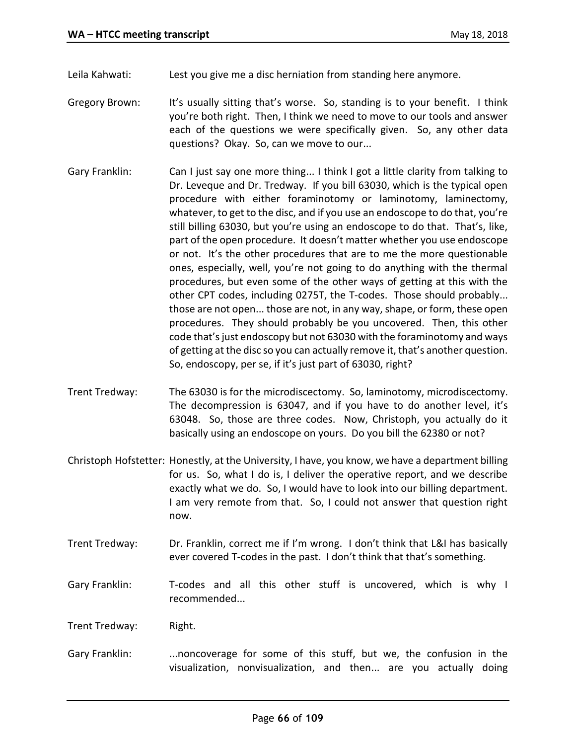Leila Kahwati: Lest you give me a disc herniation from standing here anymore.

- Gregory Brown: It's usually sitting that's worse. So, standing is to your benefit. I think you're both right. Then, I think we need to move to our tools and answer each of the questions we were specifically given. So, any other data questions? Okay. So, can we move to our...
- Gary Franklin: Can I just say one more thing... I think I got a little clarity from talking to Dr. Leveque and Dr. Tredway. If you bill 63030, which is the typical open procedure with either foraminotomy or laminotomy, laminectomy, whatever, to get to the disc, and if you use an endoscope to do that, you're still billing 63030, but you're using an endoscope to do that. That's, like, part of the open procedure. It doesn't matter whether you use endoscope or not. It's the other procedures that are to me the more questionable ones, especially, well, you're not going to do anything with the thermal procedures, but even some of the other ways of getting at this with the other CPT codes, including 0275T, the T-codes. Those should probably... those are not open... those are not, in any way, shape, or form, these open procedures. They should probably be you uncovered. Then, this other code that's just endoscopy but not 63030 with the foraminotomy and ways of getting at the disc so you can actually remove it, that's another question. So, endoscopy, per se, if it's just part of 63030, right?
- Trent Tredway: The 63030 is for the microdiscectomy. So, laminotomy, microdiscectomy. The decompression is 63047, and if you have to do another level, it's 63048. So, those are three codes. Now, Christoph, you actually do it basically using an endoscope on yours. Do you bill the 62380 or not?
- Christoph Hofstetter: Honestly, at the University, I have, you know, we have a department billing for us. So, what I do is, I deliver the operative report, and we describe exactly what we do. So, I would have to look into our billing department. I am very remote from that. So, I could not answer that question right now.
- Trent Tredway: Dr. Franklin, correct me if I'm wrong. I don't think that L&I has basically ever covered T-codes in the past. I don't think that that's something.
- Gary Franklin: T-codes and all this other stuff is uncovered, which is why I recommended...
- Trent Tredway: Right.
- Gary Franklin: ...noncoverage for some of this stuff, but we, the confusion in the visualization, nonvisualization, and then... are you actually doing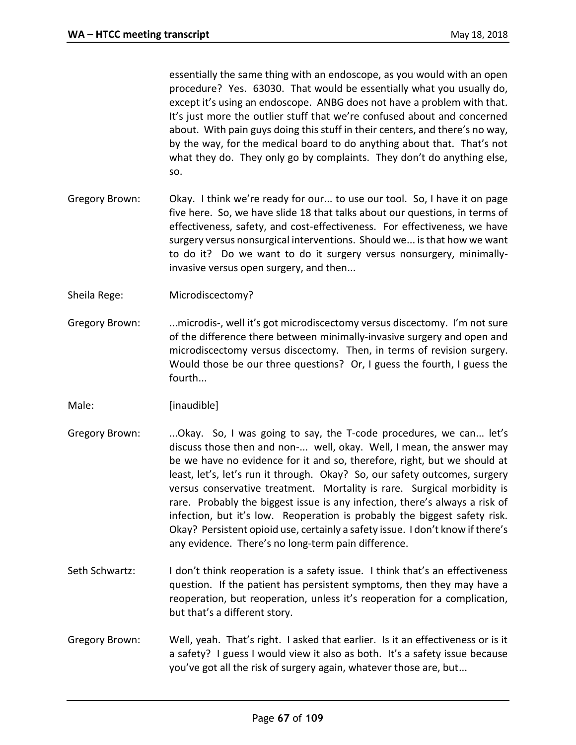essentially the same thing with an endoscope, as you would with an open procedure? Yes. 63030. That would be essentially what you usually do, except it's using an endoscope. ANBG does not have a problem with that. It's just more the outlier stuff that we're confused about and concerned about. With pain guys doing this stuff in their centers, and there's no way, by the way, for the medical board to do anything about that. That's not what they do. They only go by complaints. They don't do anything else, so.

- Gregory Brown: Okay. I think we're ready for our... to use our tool. So, I have it on page five here. So, we have slide 18 that talks about our questions, in terms of effectiveness, safety, and cost-effectiveness. For effectiveness, we have surgery versus nonsurgical interventions. Should we... is that how we want to do it? Do we want to do it surgery versus nonsurgery, minimallyinvasive versus open surgery, and then...
- Sheila Rege: Microdiscectomy?
- Gregory Brown: ...microdis-, well it's got microdiscectomy versus discectomy. I'm not sure of the difference there between minimally-invasive surgery and open and microdiscectomy versus discectomy. Then, in terms of revision surgery. Would those be our three questions? Or, I guess the fourth, I guess the fourth...
- Male: [inaudible]
- Gregory Brown: ...Okay. So, I was going to say, the T-code procedures, we can... let's discuss those then and non-... well, okay. Well, I mean, the answer may be we have no evidence for it and so, therefore, right, but we should at least, let's, let's run it through. Okay? So, our safety outcomes, surgery versus conservative treatment. Mortality is rare. Surgical morbidity is rare. Probably the biggest issue is any infection, there's always a risk of infection, but it's low. Reoperation is probably the biggest safety risk. Okay? Persistent opioid use, certainly a safety issue. I don't know if there's any evidence. There's no long-term pain difference.
- Seth Schwartz: I don't think reoperation is a safety issue. I think that's an effectiveness question. If the patient has persistent symptoms, then they may have a reoperation, but reoperation, unless it's reoperation for a complication, but that's a different story.
- Gregory Brown: Well, yeah. That's right. I asked that earlier. Is it an effectiveness or is it a safety? I guess I would view it also as both. It's a safety issue because you've got all the risk of surgery again, whatever those are, but...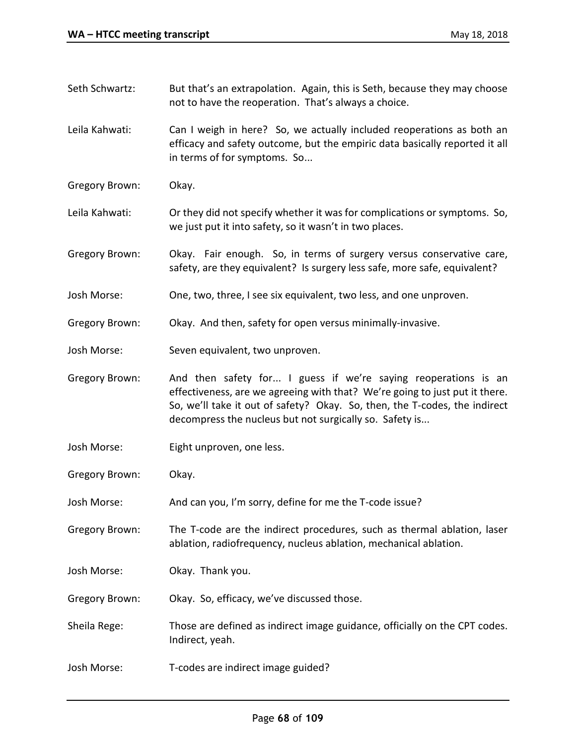- Seth Schwartz: But that's an extrapolation. Again, this is Seth, because they may choose not to have the reoperation. That's always a choice.
- Leila Kahwati: Can I weigh in here? So, we actually included reoperations as both an efficacy and safety outcome, but the empiric data basically reported it all in terms of for symptoms. So...
- Gregory Brown: Okay.
- Leila Kahwati: Or they did not specify whether it was for complications or symptoms. So, we just put it into safety, so it wasn't in two places.
- Gregory Brown: Okay. Fair enough. So, in terms of surgery versus conservative care, safety, are they equivalent? Is surgery less safe, more safe, equivalent?
- Josh Morse: One, two, three, I see six equivalent, two less, and one unproven.
- Gregory Brown: Okay. And then, safety for open versus minimally-invasive.
- Josh Morse: Seven equivalent, two unproven.
- Gregory Brown: And then safety for... I guess if we're saying reoperations is an effectiveness, are we agreeing with that? We're going to just put it there. So, we'll take it out of safety? Okay. So, then, the T-codes, the indirect decompress the nucleus but not surgically so. Safety is...
- Josh Morse: Eight unproven, one less.
- Gregory Brown: Okay.
- Josh Morse: And can you, I'm sorry, define for me the T-code issue?
- Gregory Brown: The T-code are the indirect procedures, such as thermal ablation, laser ablation, radiofrequency, nucleus ablation, mechanical ablation.
- Josh Morse: Okay. Thank you.
- Gregory Brown: Okay. So, efficacy, we've discussed those.
- Sheila Rege: Those are defined as indirect image guidance, officially on the CPT codes. Indirect, yeah.
- Josh Morse: T-codes are indirect image guided?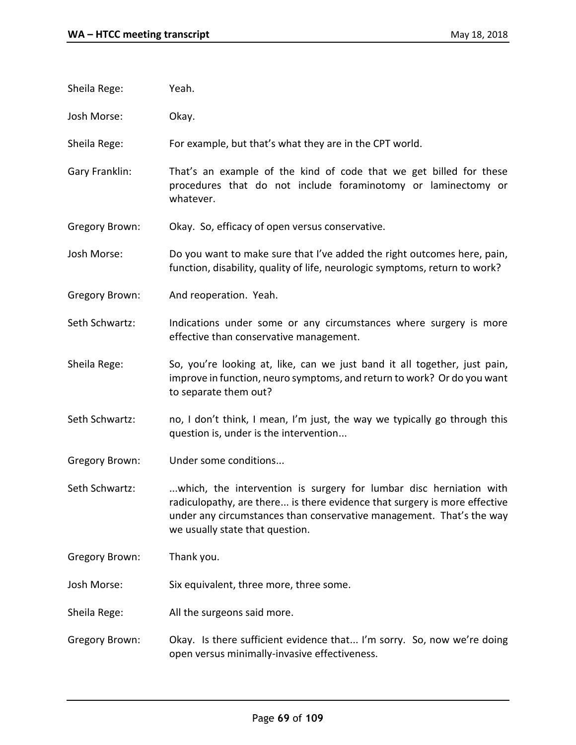- Sheila Rege: Yeah.
- Josh Morse: Okay.
- Sheila Rege: For example, but that's what they are in the CPT world.
- Gary Franklin: That's an example of the kind of code that we get billed for these procedures that do not include foraminotomy or laminectomy or whatever.
- Gregory Brown: Okay. So, efficacy of open versus conservative.
- Josh Morse: Do you want to make sure that I've added the right outcomes here, pain, function, disability, quality of life, neurologic symptoms, return to work?
- Gregory Brown: And reoperation. Yeah.
- Seth Schwartz: Indications under some or any circumstances where surgery is more effective than conservative management.
- Sheila Rege: So, you're looking at, like, can we just band it all together, just pain, improve in function, neuro symptoms, and return to work? Or do you want to separate them out?
- Seth Schwartz: no, I don't think, I mean, I'm just, the way we typically go through this question is, under is the intervention...
- Gregory Brown: Under some conditions...
- Seth Schwartz: ...which, the intervention is surgery for lumbar disc herniation with radiculopathy, are there... is there evidence that surgery is more effective under any circumstances than conservative management. That's the way we usually state that question.
- Gregory Brown: Thank you.
- Josh Morse: Six equivalent, three more, three some.
- Sheila Rege: All the surgeons said more.
- Gregory Brown: Okay. Is there sufficient evidence that... I'm sorry. So, now we're doing open versus minimally-invasive effectiveness.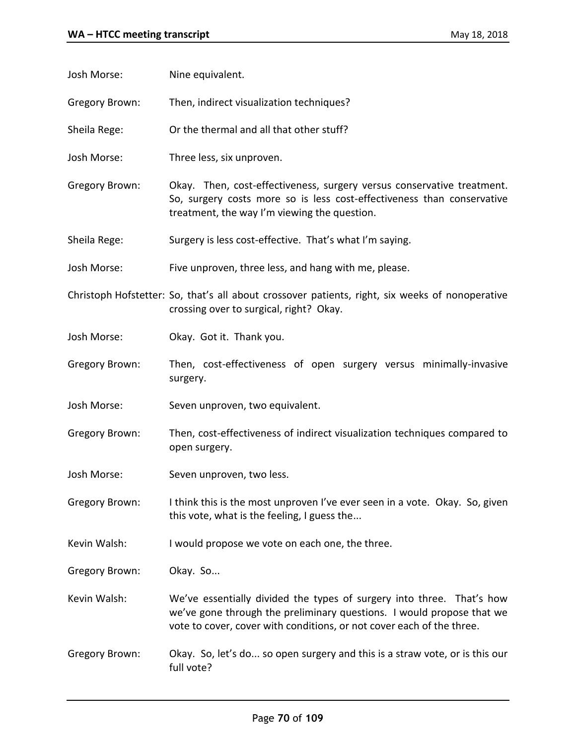| Josh Morse:           | Nine equivalent.                                                                                                                                                                                                        |
|-----------------------|-------------------------------------------------------------------------------------------------------------------------------------------------------------------------------------------------------------------------|
| <b>Gregory Brown:</b> | Then, indirect visualization techniques?                                                                                                                                                                                |
| Sheila Rege:          | Or the thermal and all that other stuff?                                                                                                                                                                                |
| Josh Morse:           | Three less, six unproven.                                                                                                                                                                                               |
| <b>Gregory Brown:</b> | Okay. Then, cost-effectiveness, surgery versus conservative treatment.<br>So, surgery costs more so is less cost-effectiveness than conservative<br>treatment, the way I'm viewing the question.                        |
| Sheila Rege:          | Surgery is less cost-effective. That's what I'm saying.                                                                                                                                                                 |
| Josh Morse:           | Five unproven, three less, and hang with me, please.                                                                                                                                                                    |
|                       | Christoph Hofstetter: So, that's all about crossover patients, right, six weeks of nonoperative<br>crossing over to surgical, right? Okay.                                                                              |
| Josh Morse:           | Okay. Got it. Thank you.                                                                                                                                                                                                |
| <b>Gregory Brown:</b> | Then, cost-effectiveness of open surgery versus minimally-invasive<br>surgery.                                                                                                                                          |
| Josh Morse:           | Seven unproven, two equivalent.                                                                                                                                                                                         |
| Gregory Brown:        | Then, cost-effectiveness of indirect visualization techniques compared to<br>open surgery.                                                                                                                              |
| Josh Morse:           | Seven unproven, two less.                                                                                                                                                                                               |
| Gregory Brown:        | I think this is the most unproven I've ever seen in a vote. Okay. So, given<br>this vote, what is the feeling, I guess the                                                                                              |
| Kevin Walsh:          | I would propose we vote on each one, the three.                                                                                                                                                                         |
| Gregory Brown:        | Okay. So                                                                                                                                                                                                                |
| Kevin Walsh:          | We've essentially divided the types of surgery into three. That's how<br>we've gone through the preliminary questions. I would propose that we<br>vote to cover, cover with conditions, or not cover each of the three. |
| Gregory Brown:        | Okay. So, let's do so open surgery and this is a straw vote, or is this our<br>full vote?                                                                                                                               |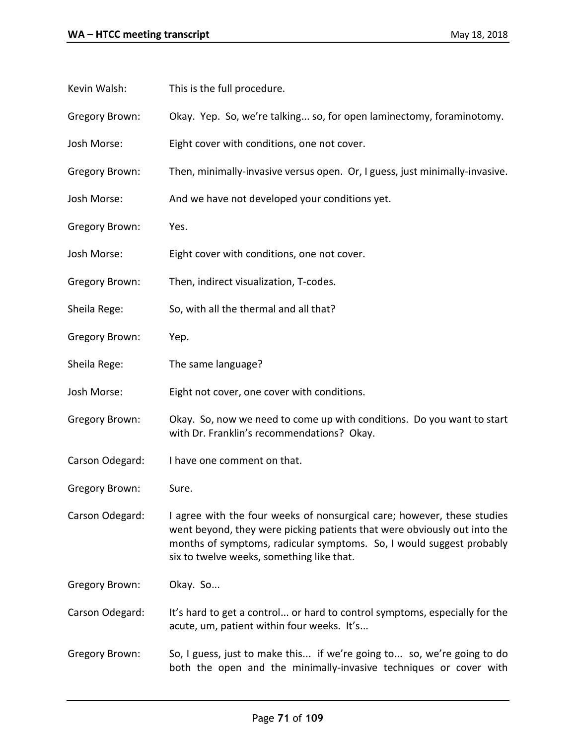- Kevin Walsh: This is the full procedure.
- Gregory Brown: Okay. Yep. So, we're talking... so, for open laminectomy, foraminotomy.
- Josh Morse: Eight cover with conditions, one not cover.
- Gregory Brown: Then, minimally-invasive versus open. Or, I guess, just minimally-invasive.
- Josh Morse: And we have not developed your conditions yet.
- Gregory Brown: Yes.
- Josh Morse: Eight cover with conditions, one not cover.
- Gregory Brown: Then, indirect visualization, T-codes.
- Sheila Rege: So, with all the thermal and all that?
- Gregory Brown: Yep.
- Sheila Rege: The same language?
- Josh Morse: Eight not cover, one cover with conditions.
- Gregory Brown: Okay. So, now we need to come up with conditions. Do you want to start with Dr. Franklin's recommendations? Okay.
- Carson Odegard: I have one comment on that.
- Gregory Brown: Sure.
- Carson Odegard: I agree with the four weeks of nonsurgical care; however, these studies went beyond, they were picking patients that were obviously out into the months of symptoms, radicular symptoms. So, I would suggest probably six to twelve weeks, something like that.
- Gregory Brown: Okay. So...
- Carson Odegard: It's hard to get a control... or hard to control symptoms, especially for the acute, um, patient within four weeks. It's...
- Gregory Brown: So, I guess, just to make this... if we're going to... so, we're going to do both the open and the minimally-invasive techniques or cover with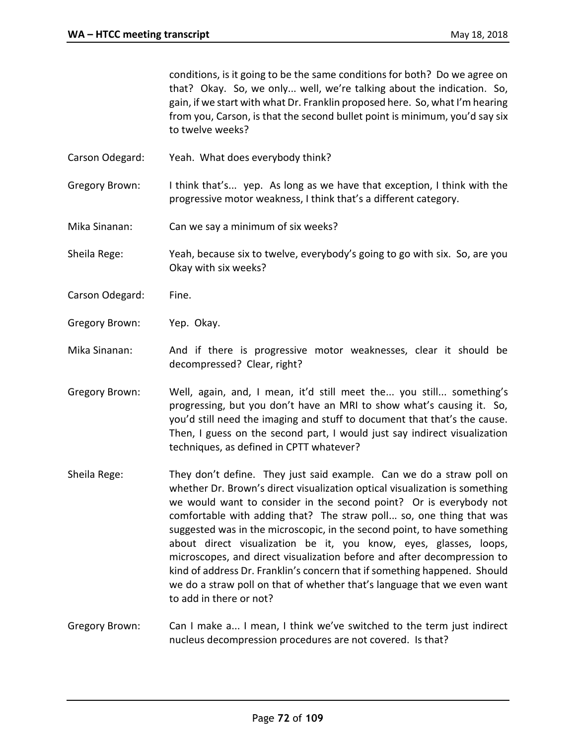conditions, is it going to be the same conditions for both? Do we agree on that? Okay. So, we only... well, we're talking about the indication. So, gain, if we start with what Dr. Franklin proposed here. So, what I'm hearing from you, Carson, is that the second bullet point is minimum, you'd say six to twelve weeks?

Carson Odegard: Yeah. What does everybody think?

Gregory Brown: I think that's... yep. As long as we have that exception, I think with the progressive motor weakness, I think that's a different category.

- Mika Sinanan: Can we say a minimum of six weeks?
- Sheila Rege: Yeah, because six to twelve, everybody's going to go with six. So, are you Okay with six weeks?
- Carson Odegard: Fine.
- Gregory Brown: Yep. Okay.

Mika Sinanan: And if there is progressive motor weaknesses, clear it should be decompressed? Clear, right?

- Gregory Brown: Well, again, and, I mean, it'd still meet the... you still... something's progressing, but you don't have an MRI to show what's causing it. So, you'd still need the imaging and stuff to document that that's the cause. Then, I guess on the second part, I would just say indirect visualization techniques, as defined in CPTT whatever?
- Sheila Rege: They don't define. They just said example. Can we do a straw poll on whether Dr. Brown's direct visualization optical visualization is something we would want to consider in the second point? Or is everybody not comfortable with adding that? The straw poll... so, one thing that was suggested was in the microscopic, in the second point, to have something about direct visualization be it, you know, eyes, glasses, loops, microscopes, and direct visualization before and after decompression to kind of address Dr. Franklin's concern that if something happened. Should we do a straw poll on that of whether that's language that we even want to add in there or not?
- Gregory Brown: Can I make a... I mean, I think we've switched to the term just indirect nucleus decompression procedures are not covered. Is that?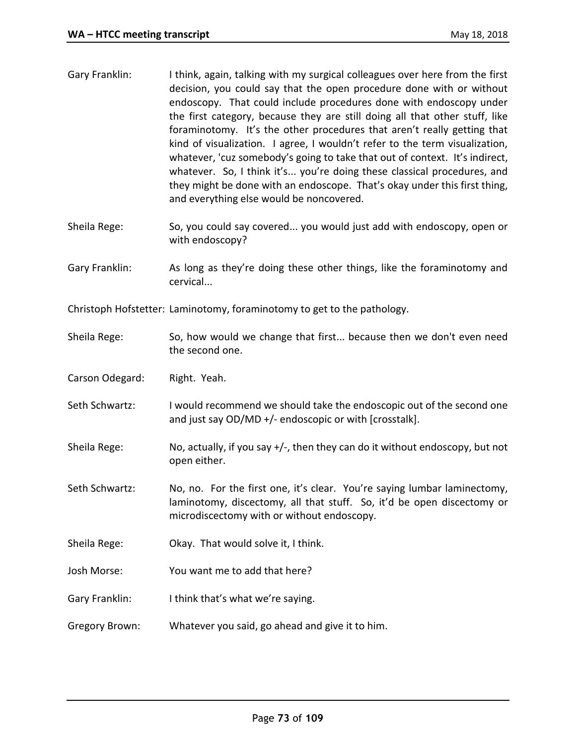| Gary Franklin:  | I think, again, talking with my surgical colleagues over here from the first<br>decision, you could say that the open procedure done with or without<br>endoscopy. That could include procedures done with endoscopy under<br>the first category, because they are still doing all that other stuff, like<br>foraminotomy. It's the other procedures that aren't really getting that<br>kind of visualization. I agree, I wouldn't refer to the term visualization,<br>whatever, 'cuz somebody's going to take that out of context. It's indirect,<br>whatever. So, I think it's you're doing these classical procedures, and<br>they might be done with an endoscope. That's okay under this first thing,<br>and everything else would be noncovered. |
|-----------------|--------------------------------------------------------------------------------------------------------------------------------------------------------------------------------------------------------------------------------------------------------------------------------------------------------------------------------------------------------------------------------------------------------------------------------------------------------------------------------------------------------------------------------------------------------------------------------------------------------------------------------------------------------------------------------------------------------------------------------------------------------|
| Sheila Rege:    | So, you could say covered you would just add with endoscopy, open or<br>with endoscopy?                                                                                                                                                                                                                                                                                                                                                                                                                                                                                                                                                                                                                                                                |
| Gary Franklin:  | As long as they're doing these other things, like the foraminotomy and<br>cervical                                                                                                                                                                                                                                                                                                                                                                                                                                                                                                                                                                                                                                                                     |
|                 | Christoph Hofstetter: Laminotomy, foraminotomy to get to the pathology.                                                                                                                                                                                                                                                                                                                                                                                                                                                                                                                                                                                                                                                                                |
| Sheila Rege:    | So, how would we change that first because then we don't even need<br>the second one.                                                                                                                                                                                                                                                                                                                                                                                                                                                                                                                                                                                                                                                                  |
| Carson Odegard: | Right. Yeah.                                                                                                                                                                                                                                                                                                                                                                                                                                                                                                                                                                                                                                                                                                                                           |
| Seth Schwartz:  | I would recommend we should take the endoscopic out of the second one<br>and just say OD/MD +/- endoscopic or with [crosstalk].                                                                                                                                                                                                                                                                                                                                                                                                                                                                                                                                                                                                                        |
| Sheila Rege:    | No, actually, if you say +/-, then they can do it without endoscopy, but not<br>open either.                                                                                                                                                                                                                                                                                                                                                                                                                                                                                                                                                                                                                                                           |
| Seth Schwartz:  | No, no. For the first one, it's clear. You're saying lumbar laminectomy,<br>laminotomy, discectomy, all that stuff. So, it'd be open discectomy or<br>microdiscectomy with or without endoscopy.                                                                                                                                                                                                                                                                                                                                                                                                                                                                                                                                                       |
| Sheila Rege:    | Okay. That would solve it, I think.                                                                                                                                                                                                                                                                                                                                                                                                                                                                                                                                                                                                                                                                                                                    |
| Josh Morse:     | You want me to add that here?                                                                                                                                                                                                                                                                                                                                                                                                                                                                                                                                                                                                                                                                                                                          |
| Gary Franklin:  | I think that's what we're saying.                                                                                                                                                                                                                                                                                                                                                                                                                                                                                                                                                                                                                                                                                                                      |
| Gregory Brown:  | Whatever you said, go ahead and give it to him.                                                                                                                                                                                                                                                                                                                                                                                                                                                                                                                                                                                                                                                                                                        |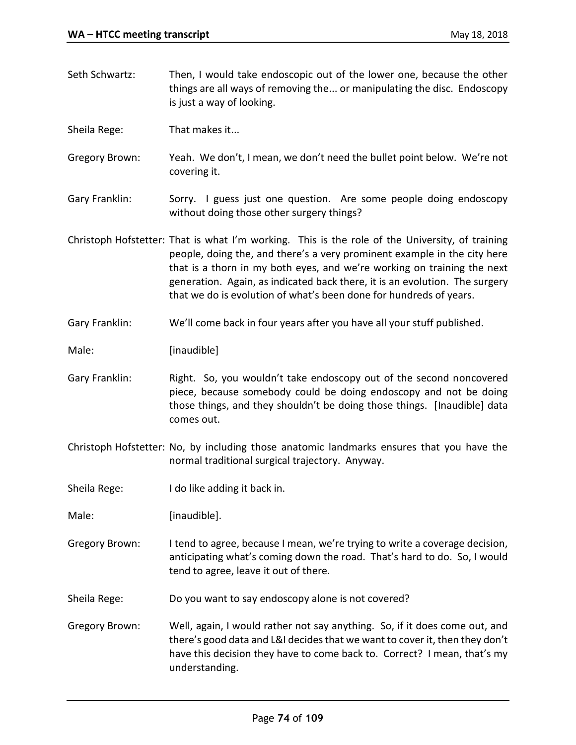things are all ways of removing the... or manipulating the disc. Endoscopy is just a way of looking. Sheila Rege: That makes it... Gregory Brown: Yeah. We don't, I mean, we don't need the bullet point below. We're not covering it. Gary Franklin: Sorry. I guess just one question. Are some people doing endoscopy without doing those other surgery things? Christoph Hofstetter: That is what I'm working. This is the role of the University, of training people, doing the, and there's a very prominent example in the city here that is a thorn in my both eyes, and we're working on training the next generation. Again, as indicated back there, it is an evolution. The surgery that we do is evolution of what's been done for hundreds of years. Gary Franklin: We'll come back in four years after you have all your stuff published. Male: [inaudible] Gary Franklin: Right. So, you wouldn't take endoscopy out of the second noncovered piece, because somebody could be doing endoscopy and not be doing those things, and they shouldn't be doing those things. [Inaudible] data comes out. Christoph Hofstetter: No, by including those anatomic landmarks ensures that you have the normal traditional surgical trajectory. Anyway. Sheila Rege: I do like adding it back in. Male: [inaudible]. Gregory Brown: I tend to agree, because I mean, we're trying to write a coverage decision, anticipating what's coming down the road. That's hard to do. So, I would tend to agree, leave it out of there. Sheila Rege: Do you want to say endoscopy alone is not covered? Gregory Brown: Well, again, I would rather not say anything. So, if it does come out, and there's good data and L&I decides that we want to cover it, then they don't have this decision they have to come back to. Correct? I mean, that's my understanding.

Seth Schwartz: Then, I would take endoscopic out of the lower one, because the other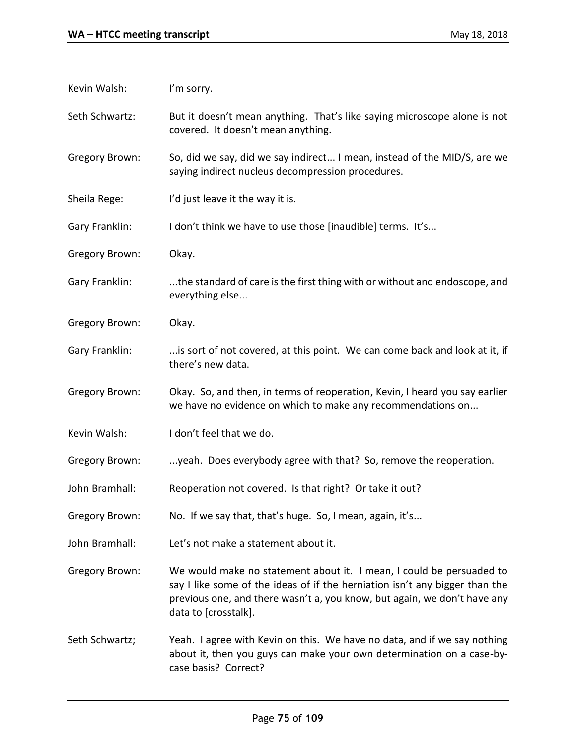| Kevin Walsh:   | I'm sorry.                                                                                                                                                                                                                                              |
|----------------|---------------------------------------------------------------------------------------------------------------------------------------------------------------------------------------------------------------------------------------------------------|
| Seth Schwartz: | But it doesn't mean anything. That's like saying microscope alone is not<br>covered. It doesn't mean anything.                                                                                                                                          |
| Gregory Brown: | So, did we say, did we say indirect I mean, instead of the MID/S, are we<br>saying indirect nucleus decompression procedures.                                                                                                                           |
| Sheila Rege:   | I'd just leave it the way it is.                                                                                                                                                                                                                        |
| Gary Franklin: | I don't think we have to use those [inaudible] terms. It's                                                                                                                                                                                              |
| Gregory Brown: | Okay.                                                                                                                                                                                                                                                   |
| Gary Franklin: | the standard of care is the first thing with or without and endoscope, and<br>everything else                                                                                                                                                           |
| Gregory Brown: | Okay.                                                                                                                                                                                                                                                   |
| Gary Franklin: | is sort of not covered, at this point. We can come back and look at it, if<br>there's new data.                                                                                                                                                         |
| Gregory Brown: | Okay. So, and then, in terms of reoperation, Kevin, I heard you say earlier<br>we have no evidence on which to make any recommendations on                                                                                                              |
| Kevin Walsh:   | I don't feel that we do.                                                                                                                                                                                                                                |
| Gregory Brown: | yeah. Does everybody agree with that? So, remove the reoperation.                                                                                                                                                                                       |
| John Bramhall: | Reoperation not covered. Is that right? Or take it out?                                                                                                                                                                                                 |
| Gregory Brown: | No. If we say that, that's huge. So, I mean, again, it's                                                                                                                                                                                                |
| John Bramhall: | Let's not make a statement about it.                                                                                                                                                                                                                    |
| Gregory Brown: | We would make no statement about it. I mean, I could be persuaded to<br>say I like some of the ideas of if the herniation isn't any bigger than the<br>previous one, and there wasn't a, you know, but again, we don't have any<br>data to [crosstalk]. |
| Seth Schwartz; | Yeah. I agree with Kevin on this. We have no data, and if we say nothing<br>about it, then you guys can make your own determination on a case-by-<br>case basis? Correct?                                                                               |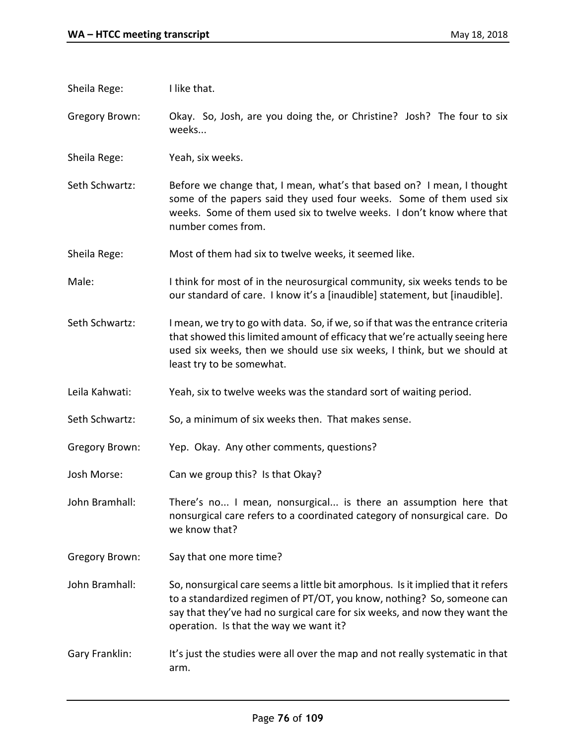| Sheila Rege:          | I like that.                                                                                                                                                                                                                                                                      |
|-----------------------|-----------------------------------------------------------------------------------------------------------------------------------------------------------------------------------------------------------------------------------------------------------------------------------|
| <b>Gregory Brown:</b> | Okay. So, Josh, are you doing the, or Christine? Josh? The four to six<br>weeks                                                                                                                                                                                                   |
| Sheila Rege:          | Yeah, six weeks.                                                                                                                                                                                                                                                                  |
| Seth Schwartz:        | Before we change that, I mean, what's that based on? I mean, I thought<br>some of the papers said they used four weeks. Some of them used six<br>weeks. Some of them used six to twelve weeks. I don't know where that<br>number comes from.                                      |
| Sheila Rege:          | Most of them had six to twelve weeks, it seemed like.                                                                                                                                                                                                                             |
| Male:                 | I think for most of in the neurosurgical community, six weeks tends to be<br>our standard of care. I know it's a [inaudible] statement, but [inaudible].                                                                                                                          |
| Seth Schwartz:        | I mean, we try to go with data. So, if we, so if that was the entrance criteria<br>that showed this limited amount of efficacy that we're actually seeing here<br>used six weeks, then we should use six weeks, I think, but we should at<br>least try to be somewhat.            |
| Leila Kahwati:        | Yeah, six to twelve weeks was the standard sort of waiting period.                                                                                                                                                                                                                |
| Seth Schwartz:        | So, a minimum of six weeks then. That makes sense.                                                                                                                                                                                                                                |
| <b>Gregory Brown:</b> | Yep. Okay. Any other comments, questions?                                                                                                                                                                                                                                         |
| Josh Morse:           | Can we group this? Is that Okay?                                                                                                                                                                                                                                                  |
| John Bramhall:        | There's no I mean, nonsurgical is there an assumption here that<br>nonsurgical care refers to a coordinated category of nonsurgical care. Do<br>we know that?                                                                                                                     |
| <b>Gregory Brown:</b> | Say that one more time?                                                                                                                                                                                                                                                           |
| John Bramhall:        | So, nonsurgical care seems a little bit amorphous. Is it implied that it refers<br>to a standardized regimen of PT/OT, you know, nothing? So, someone can<br>say that they've had no surgical care for six weeks, and now they want the<br>operation. Is that the way we want it? |
| Gary Franklin:        | It's just the studies were all over the map and not really systematic in that<br>arm.                                                                                                                                                                                             |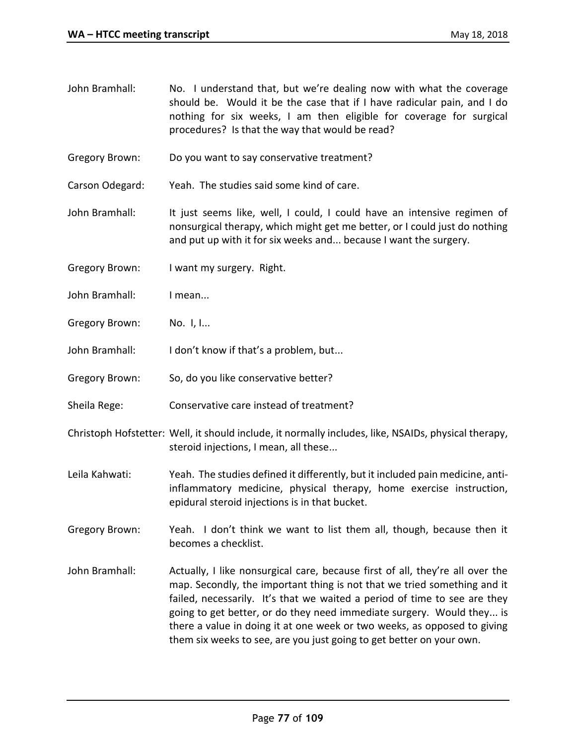- John Bramhall: No. I understand that, but we're dealing now with what the coverage should be. Would it be the case that if I have radicular pain, and I do nothing for six weeks, I am then eligible for coverage for surgical procedures? Is that the way that would be read?
- Gregory Brown: Do you want to say conservative treatment?
- Carson Odegard: Yeah. The studies said some kind of care.
- John Bramhall: It just seems like, well, I could, I could have an intensive regimen of nonsurgical therapy, which might get me better, or I could just do nothing and put up with it for six weeks and... because I want the surgery.
- Gregory Brown: I want my surgery. Right.
- John Bramhall: I mean...
- Gregory Brown: No. I, I...
- John Bramhall: I don't know if that's a problem, but...
- Gregory Brown: So, do you like conservative better?
- Sheila Rege: Conservative care instead of treatment?
- Christoph Hofstetter: Well, it should include, it normally includes, like, NSAIDs, physical therapy, steroid injections, I mean, all these...
- Leila Kahwati: Yeah. The studies defined it differently, but it included pain medicine, antiinflammatory medicine, physical therapy, home exercise instruction, epidural steroid injections is in that bucket.
- Gregory Brown: Yeah. I don't think we want to list them all, though, because then it becomes a checklist.
- John Bramhall: Actually, I like nonsurgical care, because first of all, they're all over the map. Secondly, the important thing is not that we tried something and it failed, necessarily. It's that we waited a period of time to see are they going to get better, or do they need immediate surgery. Would they... is there a value in doing it at one week or two weeks, as opposed to giving them six weeks to see, are you just going to get better on your own.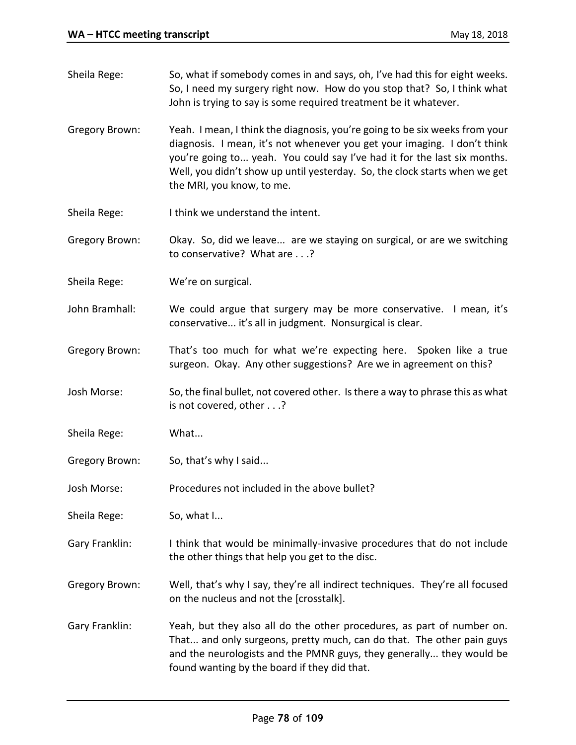Sheila Rege: So, what if somebody comes in and says, oh, I've had this for eight weeks. So, I need my surgery right now. How do you stop that? So, I think what John is trying to say is some required treatment be it whatever. Gregory Brown: Yeah. I mean, I think the diagnosis, you're going to be six weeks from your diagnosis. I mean, it's not whenever you get your imaging. I don't think you're going to... yeah. You could say I've had it for the last six months. Well, you didn't show up until yesterday. So, the clock starts when we get the MRI, you know, to me. Sheila Rege: I think we understand the intent. Gregory Brown: Okay. So, did we leave... are we staying on surgical, or are we switching to conservative? What are . . .? Sheila Rege: We're on surgical. John Bramhall: We could argue that surgery may be more conservative. I mean, it's conservative... it's all in judgment. Nonsurgical is clear. Gregory Brown: That's too much for what we're expecting here. Spoken like a true surgeon. Okay. Any other suggestions? Are we in agreement on this? Josh Morse: So, the final bullet, not covered other. Is there a way to phrase this as what is not covered, other . . .? Sheila Rege: What... Gregory Brown: So, that's why I said... Josh Morse: Procedures not included in the above bullet? Sheila Rege: So, what I... Gary Franklin: I think that would be minimally-invasive procedures that do not include the other things that help you get to the disc. Gregory Brown: Well, that's why I say, they're all indirect techniques. They're all focused on the nucleus and not the [crosstalk]. Gary Franklin: Yeah, but they also all do the other procedures, as part of number on. That... and only surgeons, pretty much, can do that. The other pain guys and the neurologists and the PMNR guys, they generally... they would be found wanting by the board if they did that.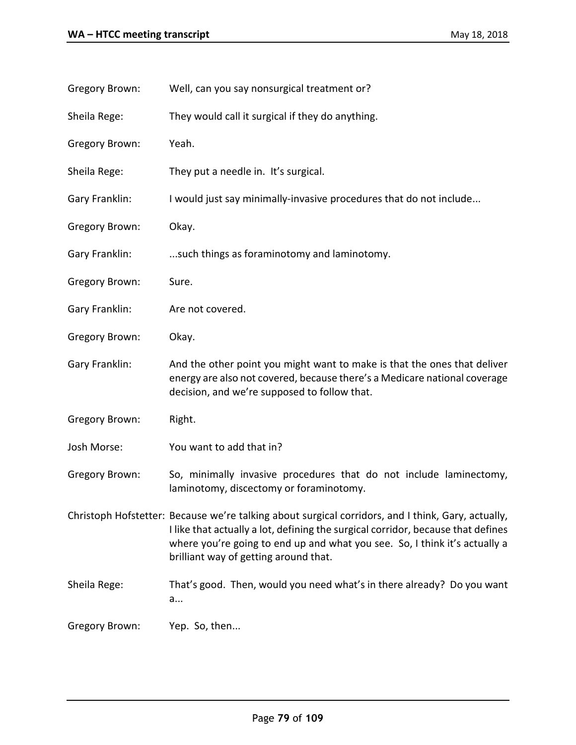| <b>Gregory Brown:</b> | Well, can you say nonsurgical treatment or?                                                                                                                                                                                                                                                                   |
|-----------------------|---------------------------------------------------------------------------------------------------------------------------------------------------------------------------------------------------------------------------------------------------------------------------------------------------------------|
| Sheila Rege:          | They would call it surgical if they do anything.                                                                                                                                                                                                                                                              |
| <b>Gregory Brown:</b> | Yeah.                                                                                                                                                                                                                                                                                                         |
| Sheila Rege:          | They put a needle in. It's surgical.                                                                                                                                                                                                                                                                          |
| Gary Franklin:        | I would just say minimally-invasive procedures that do not include                                                                                                                                                                                                                                            |
| <b>Gregory Brown:</b> | Okay.                                                                                                                                                                                                                                                                                                         |
| Gary Franklin:        | such things as foraminotomy and laminotomy.                                                                                                                                                                                                                                                                   |
| <b>Gregory Brown:</b> | Sure.                                                                                                                                                                                                                                                                                                         |
| Gary Franklin:        | Are not covered.                                                                                                                                                                                                                                                                                              |
| Gregory Brown:        | Okay.                                                                                                                                                                                                                                                                                                         |
| Gary Franklin:        | And the other point you might want to make is that the ones that deliver<br>energy are also not covered, because there's a Medicare national coverage<br>decision, and we're supposed to follow that.                                                                                                         |
| <b>Gregory Brown:</b> | Right.                                                                                                                                                                                                                                                                                                        |
| Josh Morse:           | You want to add that in?                                                                                                                                                                                                                                                                                      |
| <b>Gregory Brown:</b> | So, minimally invasive procedures that do not include laminectomy,<br>laminotomy, discectomy or foraminotomy.                                                                                                                                                                                                 |
|                       | Christoph Hofstetter: Because we're talking about surgical corridors, and I think, Gary, actually,<br>I like that actually a lot, defining the surgical corridor, because that defines<br>where you're going to end up and what you see. So, I think it's actually a<br>brilliant way of getting around that. |
| Sheila Rege:          | That's good. Then, would you need what's in there already? Do you want<br>a                                                                                                                                                                                                                                   |
| Gregory Brown:        | Yep. So, then                                                                                                                                                                                                                                                                                                 |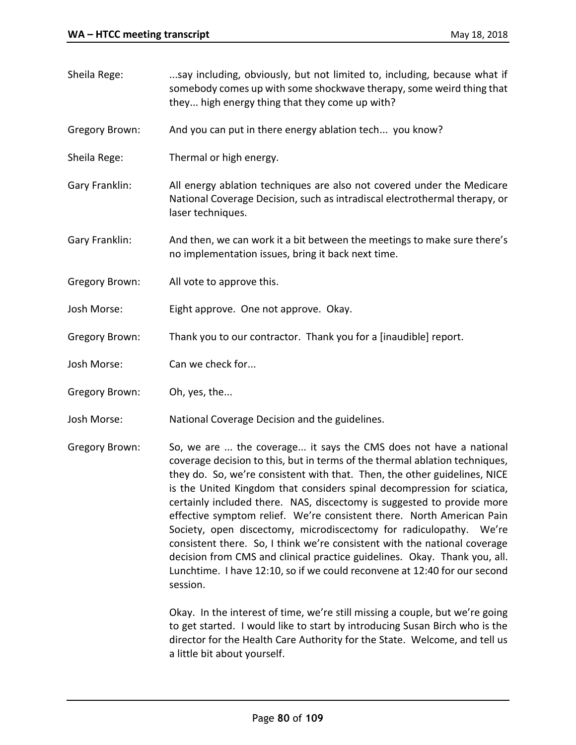- Sheila Rege: ...say including, obviously, but not limited to, including, because what if somebody comes up with some shockwave therapy, some weird thing that they... high energy thing that they come up with? Gregory Brown: And you can put in there energy ablation tech... you know? Sheila Rege: Thermal or high energy. Gary Franklin: All energy ablation techniques are also not covered under the Medicare National Coverage Decision, such as intradiscal electrothermal therapy, or laser techniques. Gary Franklin: And then, we can work it a bit between the meetings to make sure there's no implementation issues, bring it back next time. Gregory Brown: All vote to approve this. Josh Morse: Eight approve. One not approve. Okay. Gregory Brown: Thank you to our contractor. Thank you for a [inaudible] report. Josh Morse: Can we check for... Gregory Brown: Oh, yes, the... Josh Morse: National Coverage Decision and the guidelines.
- Gregory Brown: So, we are ... the coverage... it says the CMS does not have a national coverage decision to this, but in terms of the thermal ablation techniques, they do. So, we're consistent with that. Then, the other guidelines, NICE is the United Kingdom that considers spinal decompression for sciatica, certainly included there. NAS, discectomy is suggested to provide more effective symptom relief. We're consistent there. North American Pain Society, open discectomy, microdiscectomy for radiculopathy. We're consistent there. So, I think we're consistent with the national coverage decision from CMS and clinical practice guidelines. Okay. Thank you, all. Lunchtime. I have 12:10, so if we could reconvene at 12:40 for our second session.

Okay. In the interest of time, we're still missing a couple, but we're going to get started. I would like to start by introducing Susan Birch who is the director for the Health Care Authority for the State. Welcome, and tell us a little bit about yourself.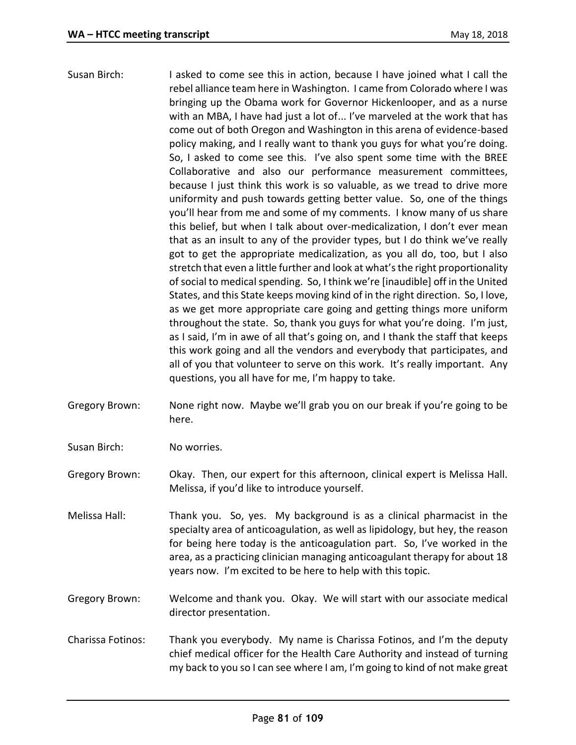- Susan Birch: I asked to come see this in action, because I have joined what I call the rebel alliance team here in Washington. I came from Colorado where I was bringing up the Obama work for Governor Hickenlooper, and as a nurse with an MBA, I have had just a lot of... I've marveled at the work that has come out of both Oregon and Washington in this arena of evidence-based policy making, and I really want to thank you guys for what you're doing. So, I asked to come see this. I've also spent some time with the BREE Collaborative and also our performance measurement committees, because I just think this work is so valuable, as we tread to drive more uniformity and push towards getting better value. So, one of the things you'll hear from me and some of my comments. I know many of us share this belief, but when I talk about over-medicalization, I don't ever mean that as an insult to any of the provider types, but I do think we've really got to get the appropriate medicalization, as you all do, too, but I also stretch that even a little further and look at what's the right proportionality of social to medical spending. So, I think we're [inaudible] off in the United States, and this State keeps moving kind of in the right direction. So, I love, as we get more appropriate care going and getting things more uniform throughout the state. So, thank you guys for what you're doing. I'm just, as I said, I'm in awe of all that's going on, and I thank the staff that keeps this work going and all the vendors and everybody that participates, and all of you that volunteer to serve on this work. It's really important. Any questions, you all have for me, I'm happy to take.
- Gregory Brown: None right now. Maybe we'll grab you on our break if you're going to be here.
- Susan Birch: No worries.

Gregory Brown: Okay. Then, our expert for this afternoon, clinical expert is Melissa Hall. Melissa, if you'd like to introduce yourself.

Melissa Hall: Thank you. So, yes. My background is as a clinical pharmacist in the specialty area of anticoagulation, as well as lipidology, but hey, the reason for being here today is the anticoagulation part. So, I've worked in the area, as a practicing clinician managing anticoagulant therapy for about 18 years now. I'm excited to be here to help with this topic.

Gregory Brown: Welcome and thank you. Okay. We will start with our associate medical director presentation.

Charissa Fotinos: Thank you everybody. My name is Charissa Fotinos, and I'm the deputy chief medical officer for the Health Care Authority and instead of turning my back to you so I can see where I am, I'm going to kind of not make great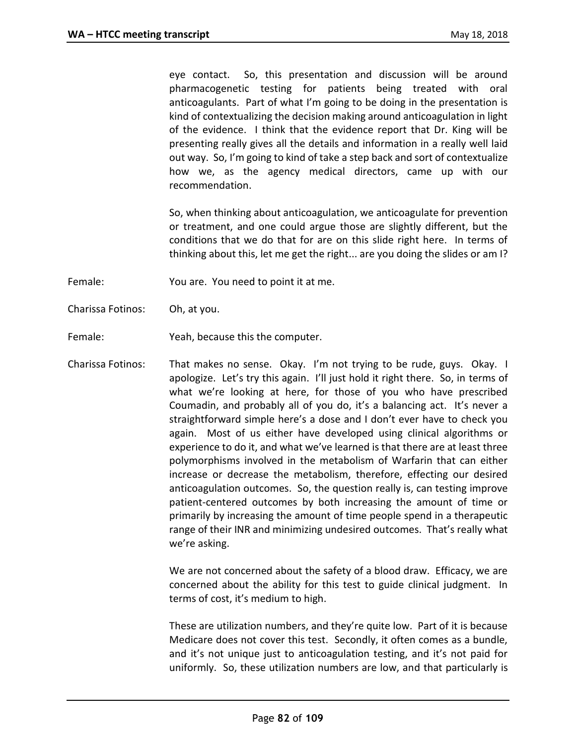eye contact. So, this presentation and discussion will be around pharmacogenetic testing for patients being treated with oral anticoagulants. Part of what I'm going to be doing in the presentation is kind of contextualizing the decision making around anticoagulation in light of the evidence. I think that the evidence report that Dr. King will be presenting really gives all the details and information in a really well laid out way. So, I'm going to kind of take a step back and sort of contextualize how we, as the agency medical directors, came up with our recommendation.

So, when thinking about anticoagulation, we anticoagulate for prevention or treatment, and one could argue those are slightly different, but the conditions that we do that for are on this slide right here. In terms of thinking about this, let me get the right... are you doing the slides or am I?

Female: You are. You need to point it at me.

- Charissa Fotinos: Oh, at you.
- Female: Yeah, because this the computer.
- Charissa Fotinos: That makes no sense. Okay. I'm not trying to be rude, guys. Okay. I apologize. Let's try this again. I'll just hold it right there. So, in terms of what we're looking at here, for those of you who have prescribed Coumadin, and probably all of you do, it's a balancing act. It's never a straightforward simple here's a dose and I don't ever have to check you again. Most of us either have developed using clinical algorithms or experience to do it, and what we've learned is that there are at least three polymorphisms involved in the metabolism of Warfarin that can either increase or decrease the metabolism, therefore, effecting our desired anticoagulation outcomes. So, the question really is, can testing improve patient-centered outcomes by both increasing the amount of time or primarily by increasing the amount of time people spend in a therapeutic range of their INR and minimizing undesired outcomes. That's really what we're asking.

We are not concerned about the safety of a blood draw. Efficacy, we are concerned about the ability for this test to guide clinical judgment. In terms of cost, it's medium to high.

These are utilization numbers, and they're quite low. Part of it is because Medicare does not cover this test. Secondly, it often comes as a bundle, and it's not unique just to anticoagulation testing, and it's not paid for uniformly. So, these utilization numbers are low, and that particularly is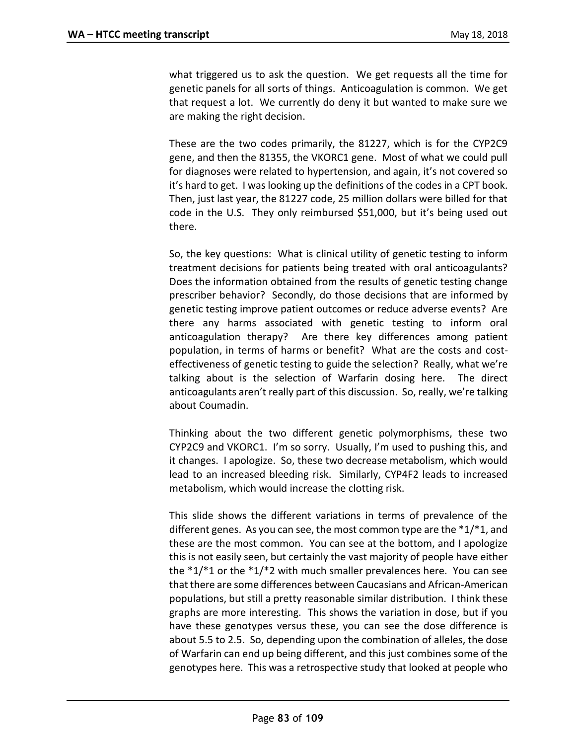what triggered us to ask the question. We get requests all the time for genetic panels for all sorts of things. Anticoagulation is common. We get that request a lot. We currently do deny it but wanted to make sure we are making the right decision.

These are the two codes primarily, the 81227, which is for the CYP2C9 gene, and then the 81355, the VKORC1 gene. Most of what we could pull for diagnoses were related to hypertension, and again, it's not covered so it's hard to get. I was looking up the definitions of the codes in a CPT book. Then, just last year, the 81227 code, 25 million dollars were billed for that code in the U.S. They only reimbursed \$51,000, but it's being used out there.

So, the key questions: What is clinical utility of genetic testing to inform treatment decisions for patients being treated with oral anticoagulants? Does the information obtained from the results of genetic testing change prescriber behavior? Secondly, do those decisions that are informed by genetic testing improve patient outcomes or reduce adverse events? Are there any harms associated with genetic testing to inform oral anticoagulation therapy? Are there key differences among patient population, in terms of harms or benefit? What are the costs and costeffectiveness of genetic testing to guide the selection? Really, what we're talking about is the selection of Warfarin dosing here. The direct anticoagulants aren't really part of this discussion. So, really, we're talking about Coumadin.

Thinking about the two different genetic polymorphisms, these two CYP2C9 and VKORC1. I'm so sorry. Usually, I'm used to pushing this, and it changes. I apologize. So, these two decrease metabolism, which would lead to an increased bleeding risk. Similarly, CYP4F2 leads to increased metabolism, which would increase the clotting risk.

This slide shows the different variations in terms of prevalence of the different genes. As you can see, the most common type are the \*1/\*1, and these are the most common. You can see at the bottom, and I apologize this is not easily seen, but certainly the vast majority of people have either the  $*1/*1$  or the  $*1/*2$  with much smaller prevalences here. You can see that there are some differences between Caucasians and African-American populations, but still a pretty reasonable similar distribution. I think these graphs are more interesting. This shows the variation in dose, but if you have these genotypes versus these, you can see the dose difference is about 5.5 to 2.5. So, depending upon the combination of alleles, the dose of Warfarin can end up being different, and this just combines some of the genotypes here. This was a retrospective study that looked at people who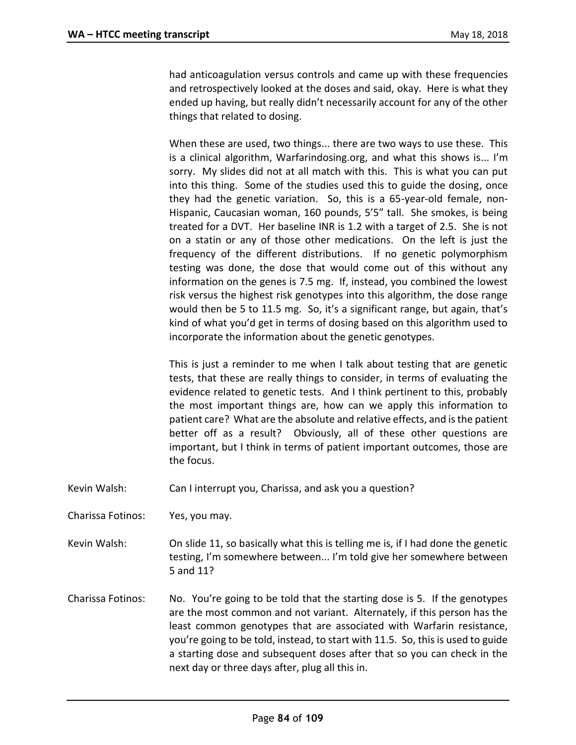had anticoagulation versus controls and came up with these frequencies and retrospectively looked at the doses and said, okay. Here is what they ended up having, but really didn't necessarily account for any of the other things that related to dosing.

When these are used, two things... there are two ways to use these. This is a clinical algorithm, Warfarindosing.org, and what this shows is... I'm sorry. My slides did not at all match with this. This is what you can put into this thing. Some of the studies used this to guide the dosing, once they had the genetic variation. So, this is a 65-year-old female, non-Hispanic, Caucasian woman, 160 pounds, 5'5" tall. She smokes, is being treated for a DVT. Her baseline INR is 1.2 with a target of 2.5. She is not on a statin or any of those other medications. On the left is just the frequency of the different distributions. If no genetic polymorphism testing was done, the dose that would come out of this without any information on the genes is 7.5 mg. If, instead, you combined the lowest risk versus the highest risk genotypes into this algorithm, the dose range would then be 5 to 11.5 mg. So, it's a significant range, but again, that's kind of what you'd get in terms of dosing based on this algorithm used to incorporate the information about the genetic genotypes.

This is just a reminder to me when I talk about testing that are genetic tests, that these are really things to consider, in terms of evaluating the evidence related to genetic tests. And I think pertinent to this, probably the most important things are, how can we apply this information to patient care? What are the absolute and relative effects, and is the patient better off as a result? Obviously, all of these other questions are important, but I think in terms of patient important outcomes, those are the focus.

- Kevin Walsh: Can I interrupt you, Charissa, and ask you a question?
- Charissa Fotinos: Yes, you may.
- Kevin Walsh: On slide 11, so basically what this is telling me is, if I had done the genetic testing, I'm somewhere between... I'm told give her somewhere between 5 and 11?
- Charissa Fotinos: No. You're going to be told that the starting dose is 5. If the genotypes are the most common and not variant. Alternately, if this person has the least common genotypes that are associated with Warfarin resistance, you're going to be told, instead, to start with 11.5. So, this is used to guide a starting dose and subsequent doses after that so you can check in the next day or three days after, plug all this in.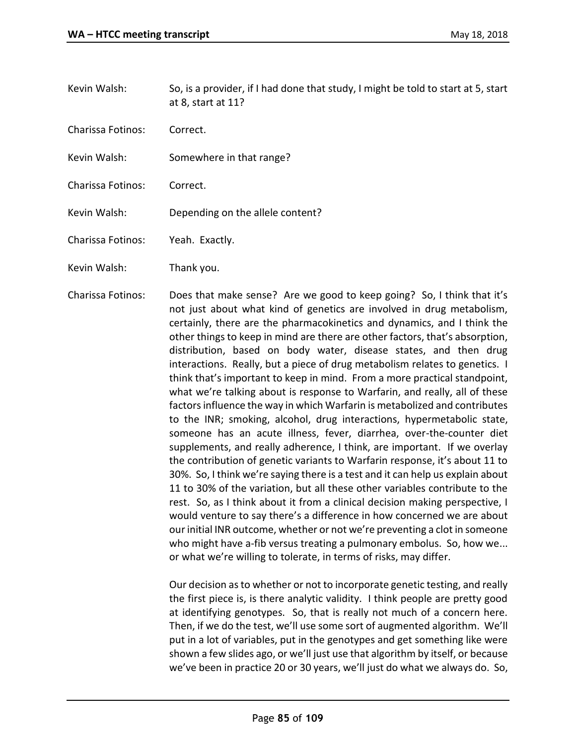- Kevin Walsh: So, is a provider, if I had done that study, I might be told to start at 5, start at 8, start at 11?
- Charissa Fotinos: Correct.
- Kevin Walsh: Somewhere in that range?
- Charissa Fotinos: Correct.
- Kevin Walsh: Depending on the allele content?
- Charissa Fotinos: Yeah. Exactly.
- Kevin Walsh: Thank you.
- Charissa Fotinos: Does that make sense? Are we good to keep going? So, I think that it's not just about what kind of genetics are involved in drug metabolism, certainly, there are the pharmacokinetics and dynamics, and I think the other things to keep in mind are there are other factors, that's absorption, distribution, based on body water, disease states, and then drug interactions. Really, but a piece of drug metabolism relates to genetics. I think that's important to keep in mind. From a more practical standpoint, what we're talking about is response to Warfarin, and really, all of these factors influence the way in which Warfarin is metabolized and contributes to the INR; smoking, alcohol, drug interactions, hypermetabolic state, someone has an acute illness, fever, diarrhea, over-the-counter diet supplements, and really adherence, I think, are important. If we overlay the contribution of genetic variants to Warfarin response, it's about 11 to 30%. So, I think we're saying there is a test and it can help us explain about 11 to 30% of the variation, but all these other variables contribute to the rest. So, as I think about it from a clinical decision making perspective, I would venture to say there's a difference in how concerned we are about our initial INR outcome, whether or not we're preventing a clot in someone who might have a-fib versus treating a pulmonary embolus. So, how we... or what we're willing to tolerate, in terms of risks, may differ.

Our decision as to whether or not to incorporate genetic testing, and really the first piece is, is there analytic validity. I think people are pretty good at identifying genotypes. So, that is really not much of a concern here. Then, if we do the test, we'll use some sort of augmented algorithm. We'll put in a lot of variables, put in the genotypes and get something like were shown a few slides ago, or we'll just use that algorithm by itself, or because we've been in practice 20 or 30 years, we'll just do what we always do. So,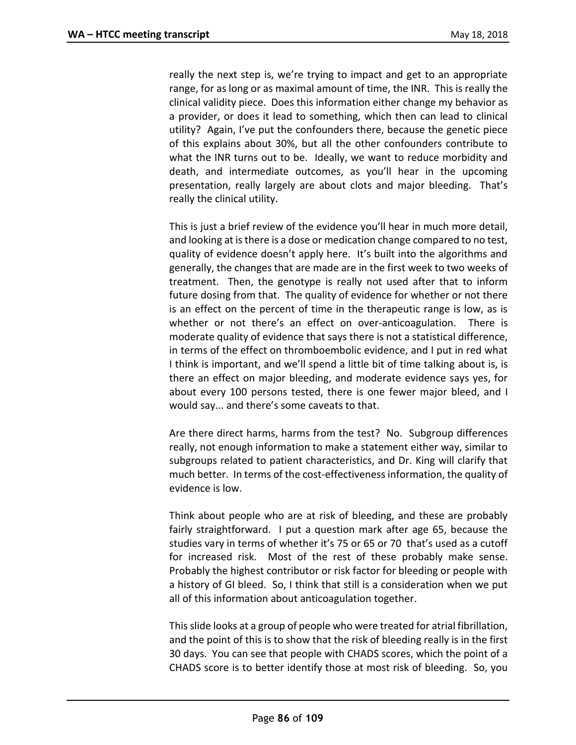really the next step is, we're trying to impact and get to an appropriate range, for as long or as maximal amount of time, the INR. This is really the clinical validity piece. Does this information either change my behavior as a provider, or does it lead to something, which then can lead to clinical utility? Again, I've put the confounders there, because the genetic piece of this explains about 30%, but all the other confounders contribute to what the INR turns out to be. Ideally, we want to reduce morbidity and death, and intermediate outcomes, as you'll hear in the upcoming presentation, really largely are about clots and major bleeding. That's really the clinical utility.

This is just a brief review of the evidence you'll hear in much more detail, and looking at is there is a dose or medication change compared to no test, quality of evidence doesn't apply here. It's built into the algorithms and generally, the changes that are made are in the first week to two weeks of treatment. Then, the genotype is really not used after that to inform future dosing from that. The quality of evidence for whether or not there is an effect on the percent of time in the therapeutic range is low, as is whether or not there's an effect on over-anticoagulation. There is moderate quality of evidence that says there is not a statistical difference, in terms of the effect on thromboembolic evidence, and I put in red what I think is important, and we'll spend a little bit of time talking about is, is there an effect on major bleeding, and moderate evidence says yes, for about every 100 persons tested, there is one fewer major bleed, and I would say... and there's some caveats to that.

Are there direct harms, harms from the test? No. Subgroup differences really, not enough information to make a statement either way, similar to subgroups related to patient characteristics, and Dr. King will clarify that much better. In terms of the cost-effectiveness information, the quality of evidence is low.

Think about people who are at risk of bleeding, and these are probably fairly straightforward. I put a question mark after age 65, because the studies vary in terms of whether it's 75 or 65 or 70 that's used as a cutoff for increased risk. Most of the rest of these probably make sense. Probably the highest contributor or risk factor for bleeding or people with a history of GI bleed. So, I think that still is a consideration when we put all of this information about anticoagulation together.

This slide looks at a group of people who were treated for atrial fibrillation, and the point of this is to show that the risk of bleeding really is in the first 30 days. You can see that people with CHADS scores, which the point of a CHADS score is to better identify those at most risk of bleeding. So, you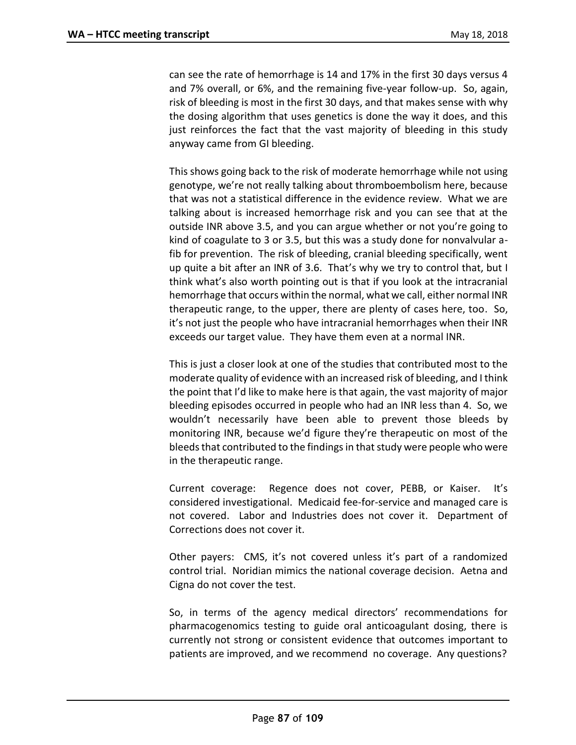can see the rate of hemorrhage is 14 and 17% in the first 30 days versus 4 and 7% overall, or 6%, and the remaining five-year follow-up. So, again, risk of bleeding is most in the first 30 days, and that makes sense with why the dosing algorithm that uses genetics is done the way it does, and this just reinforces the fact that the vast majority of bleeding in this study anyway came from GI bleeding.

This shows going back to the risk of moderate hemorrhage while not using genotype, we're not really talking about thromboembolism here, because that was not a statistical difference in the evidence review. What we are talking about is increased hemorrhage risk and you can see that at the outside INR above 3.5, and you can argue whether or not you're going to kind of coagulate to 3 or 3.5, but this was a study done for nonvalvular afib for prevention. The risk of bleeding, cranial bleeding specifically, went up quite a bit after an INR of 3.6. That's why we try to control that, but I think what's also worth pointing out is that if you look at the intracranial hemorrhage that occurs within the normal, what we call, either normal INR therapeutic range, to the upper, there are plenty of cases here, too. So, it's not just the people who have intracranial hemorrhages when their INR exceeds our target value. They have them even at a normal INR.

This is just a closer look at one of the studies that contributed most to the moderate quality of evidence with an increased risk of bleeding, and I think the point that I'd like to make here is that again, the vast majority of major bleeding episodes occurred in people who had an INR less than 4. So, we wouldn't necessarily have been able to prevent those bleeds by monitoring INR, because we'd figure they're therapeutic on most of the bleeds that contributed to the findings in that study were people who were in the therapeutic range.

Current coverage: Regence does not cover, PEBB, or Kaiser. It's considered investigational. Medicaid fee-for-service and managed care is not covered. Labor and Industries does not cover it. Department of Corrections does not cover it.

Other payers: CMS, it's not covered unless it's part of a randomized control trial. Noridian mimics the national coverage decision. Aetna and Cigna do not cover the test.

So, in terms of the agency medical directors' recommendations for pharmacogenomics testing to guide oral anticoagulant dosing, there is currently not strong or consistent evidence that outcomes important to patients are improved, and we recommend no coverage. Any questions?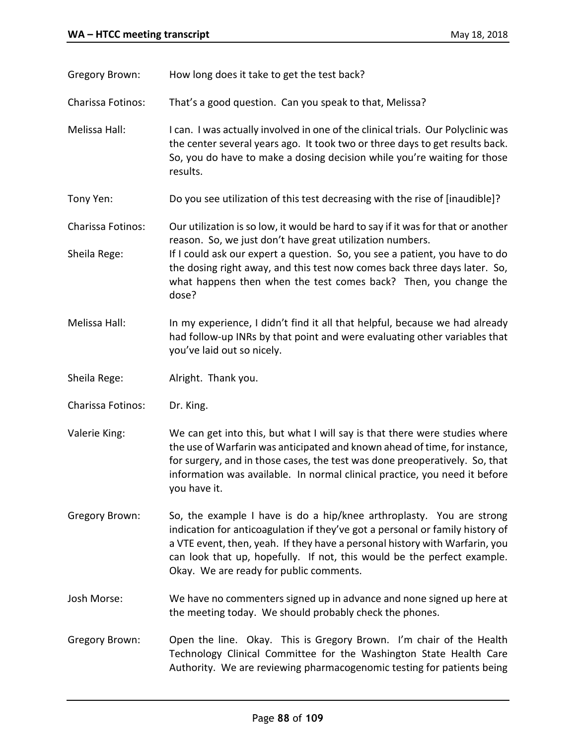Gregory Brown: How long does it take to get the test back?

Charissa Fotinos: That's a good question. Can you speak to that, Melissa?

Melissa Hall: I can. I was actually involved in one of the clinical trials. Our Polyclinic was the center several years ago. It took two or three days to get results back. So, you do have to make a dosing decision while you're waiting for those results.

Tony Yen: Do you see utilization of this test decreasing with the rise of [inaudible]?

Charissa Fotinos: Our utilization is so low, it would be hard to say if it was for that or another reason. So, we just don't have great utilization numbers.

Sheila Rege: If I could ask our expert a question. So, you see a patient, you have to do the dosing right away, and this test now comes back three days later. So, what happens then when the test comes back? Then, you change the dose?

- Melissa Hall: In my experience, I didn't find it all that helpful, because we had already had follow-up INRs by that point and were evaluating other variables that you've laid out so nicely.
- Sheila Rege: Alright. Thank you.
- Charissa Fotinos: Dr. King.
- Valerie King: We can get into this, but what I will say is that there were studies where the use of Warfarin was anticipated and known ahead of time, for instance, for surgery, and in those cases, the test was done preoperatively. So, that information was available. In normal clinical practice, you need it before you have it.
- Gregory Brown: So, the example I have is do a hip/knee arthroplasty. You are strong indication for anticoagulation if they've got a personal or family history of a VTE event, then, yeah. If they have a personal history with Warfarin, you can look that up, hopefully. If not, this would be the perfect example. Okay. We are ready for public comments.

Josh Morse: We have no commenters signed up in advance and none signed up here at the meeting today. We should probably check the phones.

Gregory Brown: Open the line. Okay. This is Gregory Brown. I'm chair of the Health Technology Clinical Committee for the Washington State Health Care Authority. We are reviewing pharmacogenomic testing for patients being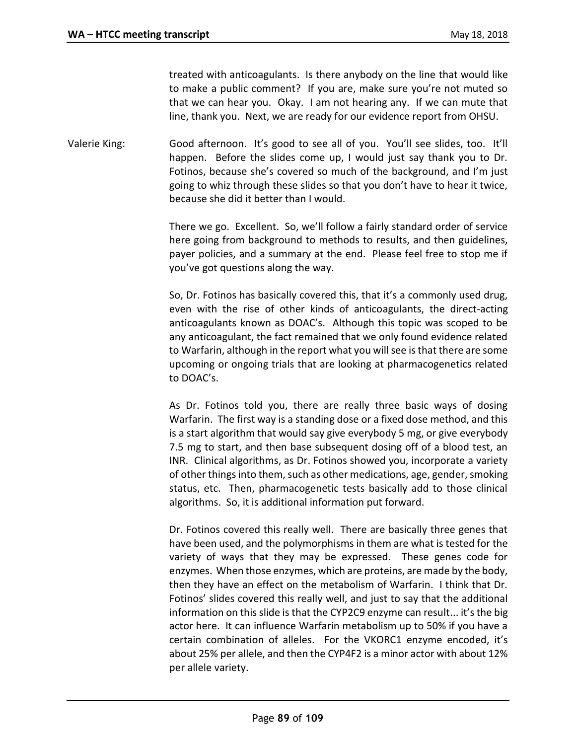treated with anticoagulants. Is there anybody on the line that would like to make a public comment? If you are, make sure you're not muted so that we can hear you. Okay. I am not hearing any. If we can mute that line, thank you. Next, we are ready for our evidence report from OHSU.

Valerie King: Good afternoon. It's good to see all of you. You'll see slides, too. It'll happen. Before the slides come up, I would just say thank you to Dr. Fotinos, because she's covered so much of the background, and I'm just going to whiz through these slides so that you don't have to hear it twice, because she did it better than I would.

> There we go. Excellent. So, we'll follow a fairly standard order of service here going from background to methods to results, and then guidelines, payer policies, and a summary at the end. Please feel free to stop me if you've got questions along the way.

> So, Dr. Fotinos has basically covered this, that it's a commonly used drug, even with the rise of other kinds of anticoagulants, the direct-acting anticoagulants known as DOAC's. Although this topic was scoped to be any anticoagulant, the fact remained that we only found evidence related to Warfarin, although in the report what you will see is that there are some upcoming or ongoing trials that are looking at pharmacogenetics related to DOAC's.

> As Dr. Fotinos told you, there are really three basic ways of dosing Warfarin. The first way is a standing dose or a fixed dose method, and this is a start algorithm that would say give everybody 5 mg, or give everybody 7.5 mg to start, and then base subsequent dosing off of a blood test, an INR. Clinical algorithms, as Dr. Fotinos showed you, incorporate a variety of other things into them, such as other medications, age, gender, smoking status, etc. Then, pharmacogenetic tests basically add to those clinical algorithms. So, it is additional information put forward.

> Dr. Fotinos covered this really well. There are basically three genes that have been used, and the polymorphisms in them are what is tested for the variety of ways that they may be expressed. These genes code for enzymes. When those enzymes, which are proteins, are made by the body, then they have an effect on the metabolism of Warfarin. I think that Dr. Fotinos' slides covered this really well, and just to say that the additional information on this slide is that the CYP2C9 enzyme can result... it's the big actor here. It can influence Warfarin metabolism up to 50% if you have a certain combination of alleles. For the VKORC1 enzyme encoded, it's about 25% per allele, and then the CYP4F2 is a minor actor with about 12% per allele variety.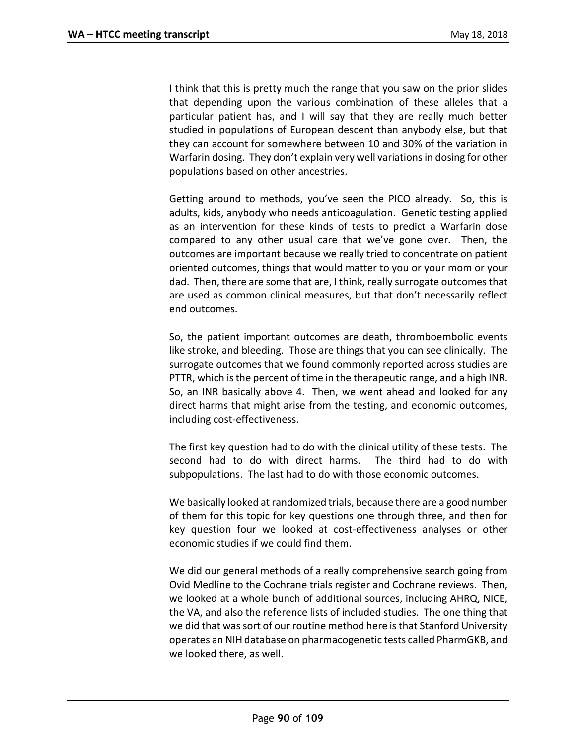I think that this is pretty much the range that you saw on the prior slides that depending upon the various combination of these alleles that a particular patient has, and I will say that they are really much better studied in populations of European descent than anybody else, but that they can account for somewhere between 10 and 30% of the variation in Warfarin dosing. They don't explain very well variations in dosing for other populations based on other ancestries.

Getting around to methods, you've seen the PICO already. So, this is adults, kids, anybody who needs anticoagulation. Genetic testing applied as an intervention for these kinds of tests to predict a Warfarin dose compared to any other usual care that we've gone over. Then, the outcomes are important because we really tried to concentrate on patient oriented outcomes, things that would matter to you or your mom or your dad. Then, there are some that are, I think, really surrogate outcomes that are used as common clinical measures, but that don't necessarily reflect end outcomes.

So, the patient important outcomes are death, thromboembolic events like stroke, and bleeding. Those are things that you can see clinically. The surrogate outcomes that we found commonly reported across studies are PTTR, which is the percent of time in the therapeutic range, and a high INR. So, an INR basically above 4. Then, we went ahead and looked for any direct harms that might arise from the testing, and economic outcomes, including cost-effectiveness.

The first key question had to do with the clinical utility of these tests. The second had to do with direct harms. The third had to do with subpopulations. The last had to do with those economic outcomes.

We basically looked at randomized trials, because there are a good number of them for this topic for key questions one through three, and then for key question four we looked at cost-effectiveness analyses or other economic studies if we could find them.

We did our general methods of a really comprehensive search going from Ovid Medline to the Cochrane trials register and Cochrane reviews. Then, we looked at a whole bunch of additional sources, including AHRQ, NICE, the VA, and also the reference lists of included studies. The one thing that we did that was sort of our routine method here is that Stanford University operates an NIH database on pharmacogenetic tests called PharmGKB, and we looked there, as well.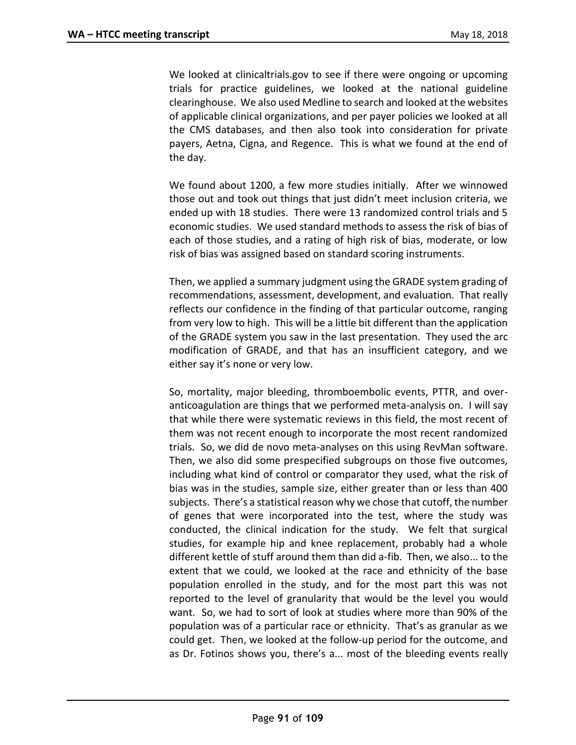We looked at clinicaltrials.gov to see if there were ongoing or upcoming trials for practice guidelines, we looked at the national guideline clearinghouse. We also used Medline to search and looked at the websites of applicable clinical organizations, and per payer policies we looked at all the CMS databases, and then also took into consideration for private payers, Aetna, Cigna, and Regence. This is what we found at the end of the day.

We found about 1200, a few more studies initially. After we winnowed those out and took out things that just didn't meet inclusion criteria, we ended up with 18 studies. There were 13 randomized control trials and 5 economic studies. We used standard methods to assess the risk of bias of each of those studies, and a rating of high risk of bias, moderate, or low risk of bias was assigned based on standard scoring instruments.

Then, we applied a summary judgment using the GRADE system grading of recommendations, assessment, development, and evaluation. That really reflects our confidence in the finding of that particular outcome, ranging from very low to high. This will be a little bit different than the application of the GRADE system you saw in the last presentation. They used the arc modification of GRADE, and that has an insufficient category, and we either say it's none or very low.

So, mortality, major bleeding, thromboembolic events, PTTR, and overanticoagulation are things that we performed meta-analysis on. I will say that while there were systematic reviews in this field, the most recent of them was not recent enough to incorporate the most recent randomized trials. So, we did de novo meta-analyses on this using RevMan software. Then, we also did some prespecified subgroups on those five outcomes, including what kind of control or comparator they used, what the risk of bias was in the studies, sample size, either greater than or less than 400 subjects. There's a statistical reason why we chose that cutoff, the number of genes that were incorporated into the test, where the study was conducted, the clinical indication for the study. We felt that surgical studies, for example hip and knee replacement, probably had a whole different kettle of stuff around them than did a-fib. Then, we also... to the extent that we could, we looked at the race and ethnicity of the base population enrolled in the study, and for the most part this was not reported to the level of granularity that would be the level you would want. So, we had to sort of look at studies where more than 90% of the population was of a particular race or ethnicity. That's as granular as we could get. Then, we looked at the follow-up period for the outcome, and as Dr. Fotinos shows you, there's a... most of the bleeding events really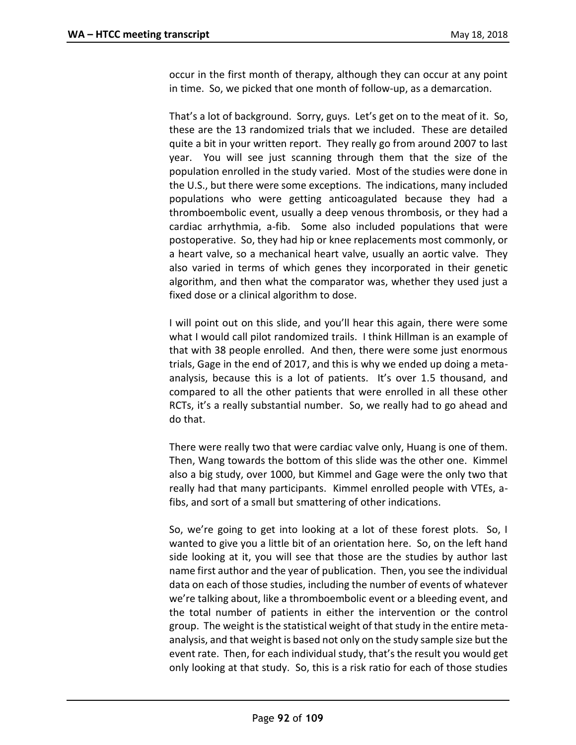occur in the first month of therapy, although they can occur at any point in time. So, we picked that one month of follow-up, as a demarcation.

That's a lot of background. Sorry, guys. Let's get on to the meat of it. So, these are the 13 randomized trials that we included. These are detailed quite a bit in your written report. They really go from around 2007 to last year. You will see just scanning through them that the size of the population enrolled in the study varied. Most of the studies were done in the U.S., but there were some exceptions. The indications, many included populations who were getting anticoagulated because they had a thromboembolic event, usually a deep venous thrombosis, or they had a cardiac arrhythmia, a-fib. Some also included populations that were postoperative. So, they had hip or knee replacements most commonly, or a heart valve, so a mechanical heart valve, usually an aortic valve. They also varied in terms of which genes they incorporated in their genetic algorithm, and then what the comparator was, whether they used just a fixed dose or a clinical algorithm to dose.

I will point out on this slide, and you'll hear this again, there were some what I would call pilot randomized trails. I think Hillman is an example of that with 38 people enrolled. And then, there were some just enormous trials, Gage in the end of 2017, and this is why we ended up doing a metaanalysis, because this is a lot of patients. It's over 1.5 thousand, and compared to all the other patients that were enrolled in all these other RCTs, it's a really substantial number. So, we really had to go ahead and do that.

There were really two that were cardiac valve only, Huang is one of them. Then, Wang towards the bottom of this slide was the other one. Kimmel also a big study, over 1000, but Kimmel and Gage were the only two that really had that many participants. Kimmel enrolled people with VTEs, afibs, and sort of a small but smattering of other indications.

So, we're going to get into looking at a lot of these forest plots. So, I wanted to give you a little bit of an orientation here. So, on the left hand side looking at it, you will see that those are the studies by author last name first author and the year of publication. Then, you see the individual data on each of those studies, including the number of events of whatever we're talking about, like a thromboembolic event or a bleeding event, and the total number of patients in either the intervention or the control group. The weight is the statistical weight of that study in the entire metaanalysis, and that weight is based not only on the study sample size but the event rate. Then, for each individual study, that's the result you would get only looking at that study. So, this is a risk ratio for each of those studies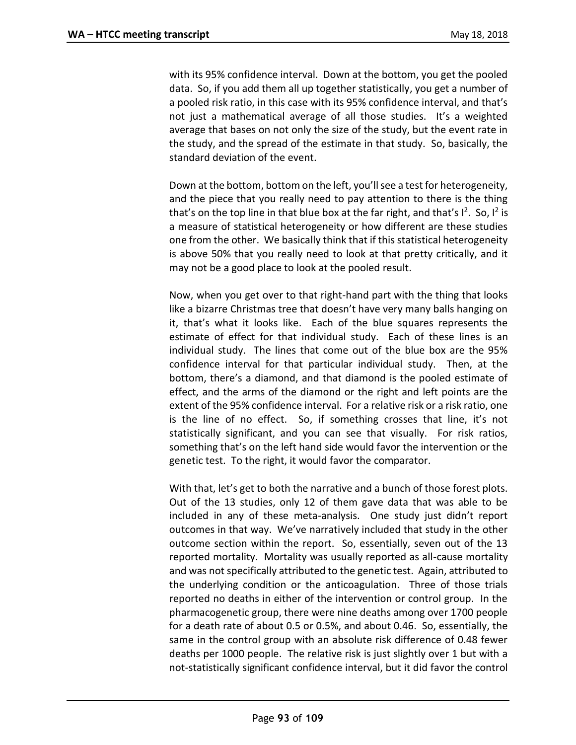with its 95% confidence interval. Down at the bottom, you get the pooled data. So, if you add them all up together statistically, you get a number of a pooled risk ratio, in this case with its 95% confidence interval, and that's not just a mathematical average of all those studies. It's a weighted average that bases on not only the size of the study, but the event rate in the study, and the spread of the estimate in that study. So, basically, the standard deviation of the event.

Down at the bottom, bottom on the left, you'll see a test for heterogeneity, and the piece that you really need to pay attention to there is the thing that's on the top line in that blue box at the far right, and that's  $I^2$ . So,  $I^2$  is a measure of statistical heterogeneity or how different are these studies one from the other. We basically think that if this statistical heterogeneity is above 50% that you really need to look at that pretty critically, and it may not be a good place to look at the pooled result.

Now, when you get over to that right-hand part with the thing that looks like a bizarre Christmas tree that doesn't have very many balls hanging on it, that's what it looks like. Each of the blue squares represents the estimate of effect for that individual study. Each of these lines is an individual study. The lines that come out of the blue box are the 95% confidence interval for that particular individual study. Then, at the bottom, there's a diamond, and that diamond is the pooled estimate of effect, and the arms of the diamond or the right and left points are the extent of the 95% confidence interval. For a relative risk or a risk ratio, one is the line of no effect. So, if something crosses that line, it's not statistically significant, and you can see that visually. For risk ratios, something that's on the left hand side would favor the intervention or the genetic test. To the right, it would favor the comparator.

With that, let's get to both the narrative and a bunch of those forest plots. Out of the 13 studies, only 12 of them gave data that was able to be included in any of these meta-analysis. One study just didn't report outcomes in that way. We've narratively included that study in the other outcome section within the report. So, essentially, seven out of the 13 reported mortality. Mortality was usually reported as all-cause mortality and was not specifically attributed to the genetic test. Again, attributed to the underlying condition or the anticoagulation. Three of those trials reported no deaths in either of the intervention or control group. In the pharmacogenetic group, there were nine deaths among over 1700 people for a death rate of about 0.5 or 0.5%, and about 0.46. So, essentially, the same in the control group with an absolute risk difference of 0.48 fewer deaths per 1000 people. The relative risk is just slightly over 1 but with a not-statistically significant confidence interval, but it did favor the control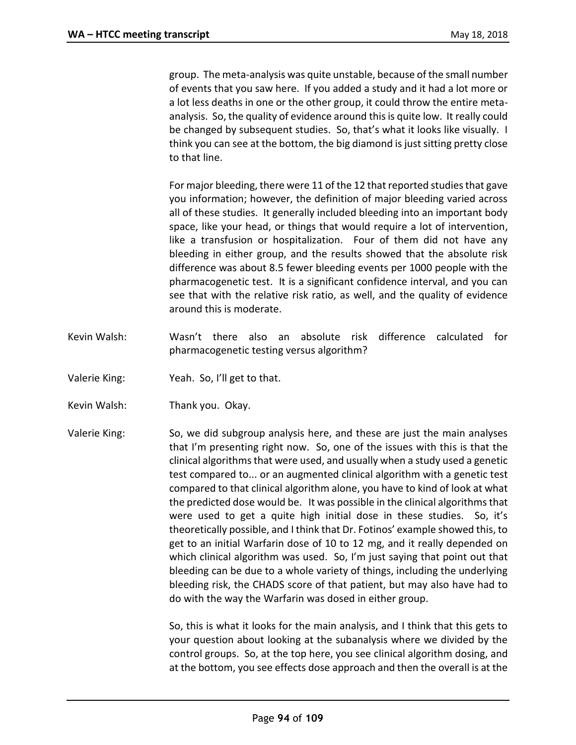group. The meta-analysis was quite unstable, because of the small number of events that you saw here. If you added a study and it had a lot more or a lot less deaths in one or the other group, it could throw the entire metaanalysis. So, the quality of evidence around this is quite low. It really could be changed by subsequent studies. So, that's what it looks like visually. I think you can see at the bottom, the big diamond is just sitting pretty close to that line.

For major bleeding, there were 11 of the 12 that reported studies that gave you information; however, the definition of major bleeding varied across all of these studies. It generally included bleeding into an important body space, like your head, or things that would require a lot of intervention, like a transfusion or hospitalization. Four of them did not have any bleeding in either group, and the results showed that the absolute risk difference was about 8.5 fewer bleeding events per 1000 people with the pharmacogenetic test. It is a significant confidence interval, and you can see that with the relative risk ratio, as well, and the quality of evidence around this is moderate.

- Kevin Walsh: Wasn't there also an absolute risk difference calculated for pharmacogenetic testing versus algorithm?
- Valerie King: Yeah. So, I'll get to that.
- Kevin Walsh: Thank you. Okay.

Valerie King: So, we did subgroup analysis here, and these are just the main analyses that I'm presenting right now. So, one of the issues with this is that the clinical algorithms that were used, and usually when a study used a genetic test compared to... or an augmented clinical algorithm with a genetic test compared to that clinical algorithm alone, you have to kind of look at what the predicted dose would be. It was possible in the clinical algorithms that were used to get a quite high initial dose in these studies. So, it's theoretically possible, and I think that Dr. Fotinos' example showed this, to get to an initial Warfarin dose of 10 to 12 mg, and it really depended on which clinical algorithm was used. So, I'm just saying that point out that bleeding can be due to a whole variety of things, including the underlying bleeding risk, the CHADS score of that patient, but may also have had to do with the way the Warfarin was dosed in either group.

> So, this is what it looks for the main analysis, and I think that this gets to your question about looking at the subanalysis where we divided by the control groups. So, at the top here, you see clinical algorithm dosing, and at the bottom, you see effects dose approach and then the overall is at the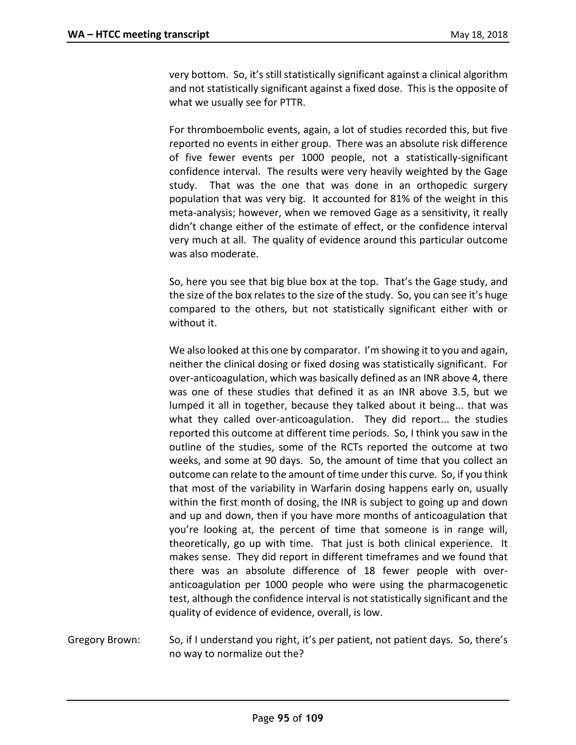very bottom. So, it's still statistically significant against a clinical algorithm and not statistically significant against a fixed dose. This is the opposite of what we usually see for PTTR.

For thromboembolic events, again, a lot of studies recorded this, but five reported no events in either group. There was an absolute risk difference of five fewer events per 1000 people, not a statistically-significant confidence interval. The results were very heavily weighted by the Gage study. That was the one that was done in an orthopedic surgery population that was very big. It accounted for 81% of the weight in this meta-analysis; however, when we removed Gage as a sensitivity, it really didn't change either of the estimate of effect, or the confidence interval very much at all. The quality of evidence around this particular outcome was also moderate.

So, here you see that big blue box at the top. That's the Gage study, and the size of the box relates to the size of the study. So, you can see it's huge compared to the others, but not statistically significant either with or without it.

We also looked at this one by comparator. I'm showing it to you and again, neither the clinical dosing or fixed dosing was statistically significant. For over-anticoagulation, which was basically defined as an INR above 4, there was one of these studies that defined it as an INR above 3.5, but we lumped it all in together, because they talked about it being... that was what they called over-anticoagulation. They did report... the studies reported this outcome at different time periods. So, I think you saw in the outline of the studies, some of the RCTs reported the outcome at two weeks, and some at 90 days. So, the amount of time that you collect an outcome can relate to the amount of time under this curve. So, if you think that most of the variability in Warfarin dosing happens early on, usually within the first month of dosing, the INR is subject to going up and down and up and down, then if you have more months of anticoagulation that you're looking at, the percent of time that someone is in range will, theoretically, go up with time. That just is both clinical experience. It makes sense. They did report in different timeframes and we found that there was an absolute difference of 18 fewer people with overanticoagulation per 1000 people who were using the pharmacogenetic test, although the confidence interval is not statistically significant and the quality of evidence of evidence, overall, is low.

Gregory Brown: So, if I understand you right, it's per patient, not patient days. So, there's no way to normalize out the?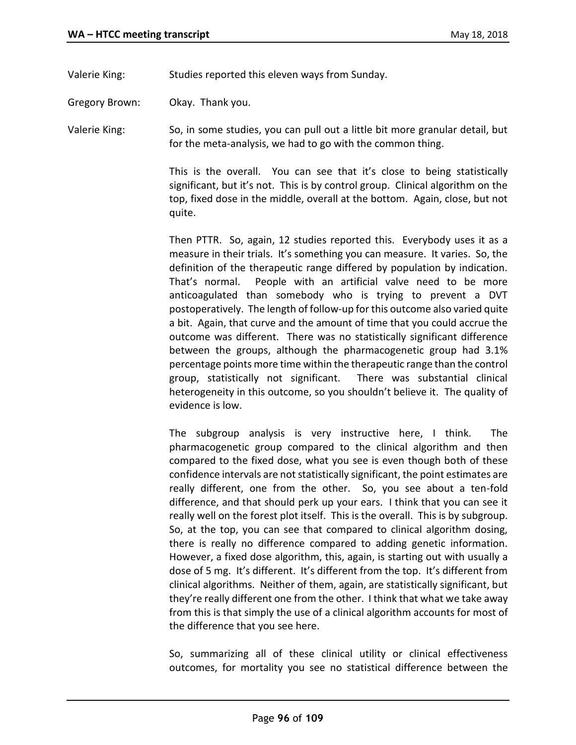Valerie King: Studies reported this eleven ways from Sunday.

Gregory Brown: Okay. Thank you.

Valerie King: So, in some studies, you can pull out a little bit more granular detail, but for the meta-analysis, we had to go with the common thing.

> This is the overall. You can see that it's close to being statistically significant, but it's not. This is by control group. Clinical algorithm on the top, fixed dose in the middle, overall at the bottom. Again, close, but not quite.

> Then PTTR. So, again, 12 studies reported this. Everybody uses it as a measure in their trials. It's something you can measure. It varies. So, the definition of the therapeutic range differed by population by indication. That's normal. People with an artificial valve need to be more anticoagulated than somebody who is trying to prevent a DVT postoperatively. The length of follow-up for this outcome also varied quite a bit. Again, that curve and the amount of time that you could accrue the outcome was different. There was no statistically significant difference between the groups, although the pharmacogenetic group had 3.1% percentage points more time within the therapeutic range than the control group, statistically not significant. There was substantial clinical heterogeneity in this outcome, so you shouldn't believe it. The quality of evidence is low.

> The subgroup analysis is very instructive here, I think. The pharmacogenetic group compared to the clinical algorithm and then compared to the fixed dose, what you see is even though both of these confidence intervals are not statistically significant, the point estimates are really different, one from the other. So, you see about a ten-fold difference, and that should perk up your ears. I think that you can see it really well on the forest plot itself. This is the overall. This is by subgroup. So, at the top, you can see that compared to clinical algorithm dosing, there is really no difference compared to adding genetic information. However, a fixed dose algorithm, this, again, is starting out with usually a dose of 5 mg. It's different. It's different from the top. It's different from clinical algorithms. Neither of them, again, are statistically significant, but they're really different one from the other. I think that what we take away from this is that simply the use of a clinical algorithm accounts for most of the difference that you see here.

> So, summarizing all of these clinical utility or clinical effectiveness outcomes, for mortality you see no statistical difference between the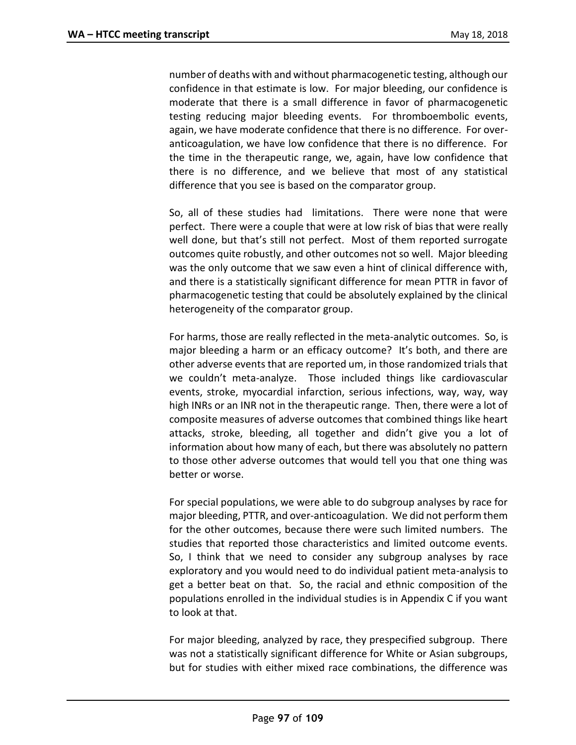number of deaths with and without pharmacogenetic testing, although our confidence in that estimate is low. For major bleeding, our confidence is moderate that there is a small difference in favor of pharmacogenetic testing reducing major bleeding events. For thromboembolic events, again, we have moderate confidence that there is no difference. For overanticoagulation, we have low confidence that there is no difference. For the time in the therapeutic range, we, again, have low confidence that there is no difference, and we believe that most of any statistical difference that you see is based on the comparator group.

So, all of these studies had limitations. There were none that were perfect. There were a couple that were at low risk of bias that were really well done, but that's still not perfect. Most of them reported surrogate outcomes quite robustly, and other outcomes not so well. Major bleeding was the only outcome that we saw even a hint of clinical difference with, and there is a statistically significant difference for mean PTTR in favor of pharmacogenetic testing that could be absolutely explained by the clinical heterogeneity of the comparator group.

For harms, those are really reflected in the meta-analytic outcomes. So, is major bleeding a harm or an efficacy outcome? It's both, and there are other adverse events that are reported um, in those randomized trials that we couldn't meta-analyze. Those included things like cardiovascular events, stroke, myocardial infarction, serious infections, way, way, way high INRs or an INR not in the therapeutic range. Then, there were a lot of composite measures of adverse outcomes that combined things like heart attacks, stroke, bleeding, all together and didn't give you a lot of information about how many of each, but there was absolutely no pattern to those other adverse outcomes that would tell you that one thing was better or worse.

For special populations, we were able to do subgroup analyses by race for major bleeding, PTTR, and over-anticoagulation. We did not perform them for the other outcomes, because there were such limited numbers. The studies that reported those characteristics and limited outcome events. So, I think that we need to consider any subgroup analyses by race exploratory and you would need to do individual patient meta-analysis to get a better beat on that. So, the racial and ethnic composition of the populations enrolled in the individual studies is in Appendix C if you want to look at that.

For major bleeding, analyzed by race, they prespecified subgroup. There was not a statistically significant difference for White or Asian subgroups, but for studies with either mixed race combinations, the difference was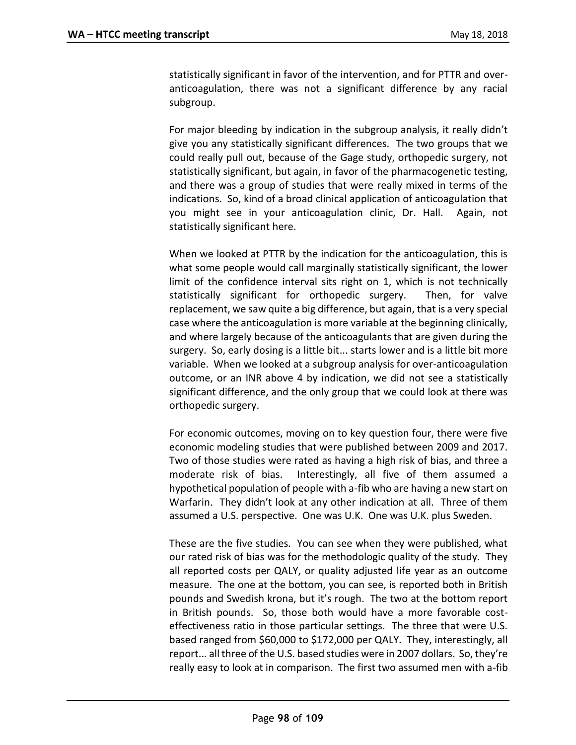statistically significant in favor of the intervention, and for PTTR and overanticoagulation, there was not a significant difference by any racial subgroup.

For major bleeding by indication in the subgroup analysis, it really didn't give you any statistically significant differences. The two groups that we could really pull out, because of the Gage study, orthopedic surgery, not statistically significant, but again, in favor of the pharmacogenetic testing, and there was a group of studies that were really mixed in terms of the indications. So, kind of a broad clinical application of anticoagulation that you might see in your anticoagulation clinic, Dr. Hall. Again, not statistically significant here.

When we looked at PTTR by the indication for the anticoagulation, this is what some people would call marginally statistically significant, the lower limit of the confidence interval sits right on 1, which is not technically statistically significant for orthopedic surgery. Then, for valve replacement, we saw quite a big difference, but again, that is a very special case where the anticoagulation is more variable at the beginning clinically, and where largely because of the anticoagulants that are given during the surgery. So, early dosing is a little bit... starts lower and is a little bit more variable. When we looked at a subgroup analysis for over-anticoagulation outcome, or an INR above 4 by indication, we did not see a statistically significant difference, and the only group that we could look at there was orthopedic surgery.

For economic outcomes, moving on to key question four, there were five economic modeling studies that were published between 2009 and 2017. Two of those studies were rated as having a high risk of bias, and three a moderate risk of bias. Interestingly, all five of them assumed a hypothetical population of people with a-fib who are having a new start on Warfarin. They didn't look at any other indication at all. Three of them assumed a U.S. perspective. One was U.K. One was U.K. plus Sweden.

These are the five studies. You can see when they were published, what our rated risk of bias was for the methodologic quality of the study. They all reported costs per QALY, or quality adjusted life year as an outcome measure. The one at the bottom, you can see, is reported both in British pounds and Swedish krona, but it's rough. The two at the bottom report in British pounds. So, those both would have a more favorable costeffectiveness ratio in those particular settings. The three that were U.S. based ranged from \$60,000 to \$172,000 per QALY. They, interestingly, all report... all three of the U.S. based studies were in 2007 dollars. So, they're really easy to look at in comparison. The first two assumed men with a-fib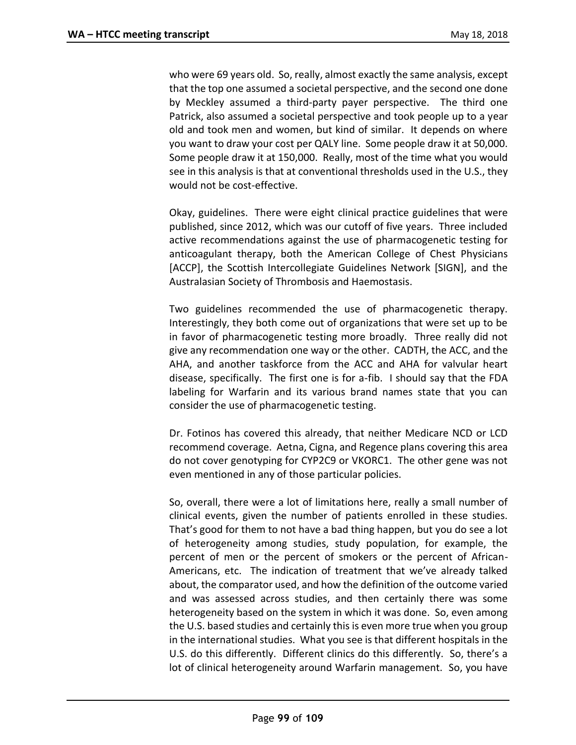who were 69 years old. So, really, almost exactly the same analysis, except that the top one assumed a societal perspective, and the second one done by Meckley assumed a third-party payer perspective. The third one Patrick, also assumed a societal perspective and took people up to a year old and took men and women, but kind of similar. It depends on where you want to draw your cost per QALY line. Some people draw it at 50,000. Some people draw it at 150,000. Really, most of the time what you would see in this analysis is that at conventional thresholds used in the U.S., they would not be cost-effective.

Okay, guidelines. There were eight clinical practice guidelines that were published, since 2012, which was our cutoff of five years. Three included active recommendations against the use of pharmacogenetic testing for anticoagulant therapy, both the American College of Chest Physicians [ACCP], the Scottish Intercollegiate Guidelines Network [SIGN], and the Australasian Society of Thrombosis and Haemostasis.

Two guidelines recommended the use of pharmacogenetic therapy. Interestingly, they both come out of organizations that were set up to be in favor of pharmacogenetic testing more broadly. Three really did not give any recommendation one way or the other. CADTH, the ACC, and the AHA, and another taskforce from the ACC and AHA for valvular heart disease, specifically. The first one is for a-fib. I should say that the FDA labeling for Warfarin and its various brand names state that you can consider the use of pharmacogenetic testing.

Dr. Fotinos has covered this already, that neither Medicare NCD or LCD recommend coverage. Aetna, Cigna, and Regence plans covering this area do not cover genotyping for CYP2C9 or VKORC1. The other gene was not even mentioned in any of those particular policies.

So, overall, there were a lot of limitations here, really a small number of clinical events, given the number of patients enrolled in these studies. That's good for them to not have a bad thing happen, but you do see a lot of heterogeneity among studies, study population, for example, the percent of men or the percent of smokers or the percent of African-Americans, etc. The indication of treatment that we've already talked about, the comparator used, and how the definition of the outcome varied and was assessed across studies, and then certainly there was some heterogeneity based on the system in which it was done. So, even among the U.S. based studies and certainly this is even more true when you group in the international studies. What you see is that different hospitals in the U.S. do this differently. Different clinics do this differently. So, there's a lot of clinical heterogeneity around Warfarin management. So, you have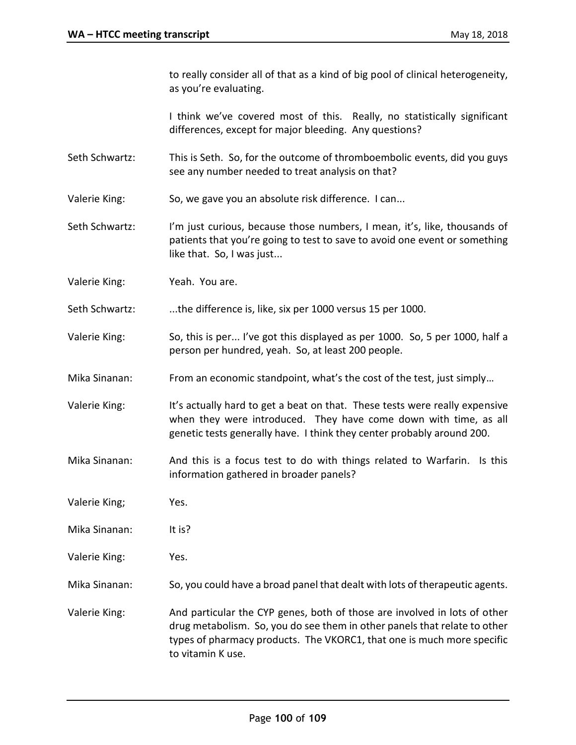to really consider all of that as a kind of big pool of clinical heterogeneity, as you're evaluating.

I think we've covered most of this. Really, no statistically significant differences, except for major bleeding. Any questions?

- Seth Schwartz: This is Seth. So, for the outcome of thromboembolic events, did you guys see any number needed to treat analysis on that?
- Valerie King: So, we gave you an absolute risk difference. I can...
- Seth Schwartz: I'm just curious, because those numbers, I mean, it's, like, thousands of patients that you're going to test to save to avoid one event or something like that. So, I was just...
- Valerie King: Yeah. You are.
- Seth Schwartz: ....the difference is, like, six per 1000 versus 15 per 1000.
- Valerie King: So, this is per... I've got this displayed as per 1000. So, 5 per 1000, half a person per hundred, yeah. So, at least 200 people.
- Mika Sinanan: From an economic standpoint, what's the cost of the test, just simply...
- Valerie King: It's actually hard to get a beat on that. These tests were really expensive when they were introduced. They have come down with time, as all genetic tests generally have. I think they center probably around 200.
- Mika Sinanan: And this is a focus test to do with things related to Warfarin. Is this information gathered in broader panels?
- Valerie King; Yes.
- Mika Sinanan: It is?
- Valerie King: Yes.
- Mika Sinanan: So, you could have a broad panel that dealt with lots of therapeutic agents.
- Valerie King: And particular the CYP genes, both of those are involved in lots of other drug metabolism. So, you do see them in other panels that relate to other types of pharmacy products. The VKORC1, that one is much more specific to vitamin K use.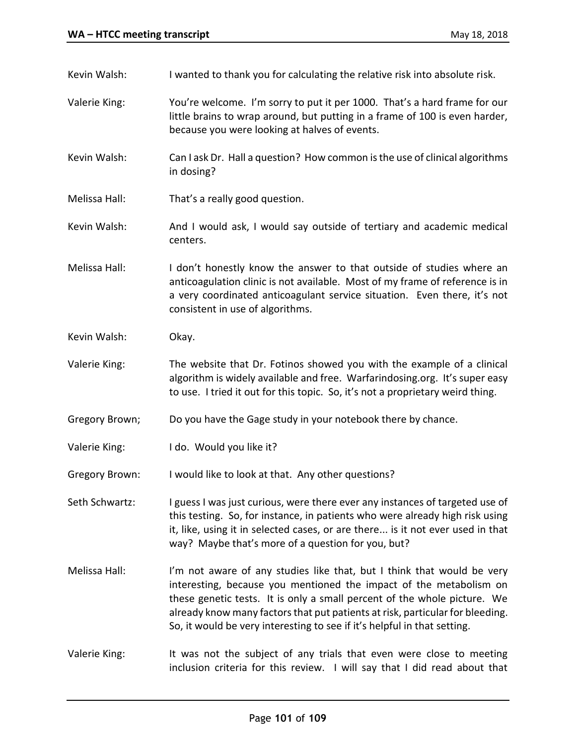- Kevin Walsh: I wanted to thank you for calculating the relative risk into absolute risk.
- Valerie King: You're welcome. I'm sorry to put it per 1000. That's a hard frame for our little brains to wrap around, but putting in a frame of 100 is even harder, because you were looking at halves of events.
- Kevin Walsh: Can I ask Dr. Hall a question? How common is the use of clinical algorithms in dosing?
- Melissa Hall: That's a really good question.
- Kevin Walsh: And I would ask, I would say outside of tertiary and academic medical centers.
- Melissa Hall: I don't honestly know the answer to that outside of studies where an anticoagulation clinic is not available. Most of my frame of reference is in a very coordinated anticoagulant service situation. Even there, it's not consistent in use of algorithms.
- Kevin Walsh: Okay.
- Valerie King: The website that Dr. Fotinos showed you with the example of a clinical algorithm is widely available and free. Warfarindosing.org. It's super easy to use. I tried it out for this topic. So, it's not a proprietary weird thing.
- Gregory Brown; Do you have the Gage study in your notebook there by chance.
- Valerie King: I do. Would you like it?

Gregory Brown: I would like to look at that. Any other questions?

- Seth Schwartz: I guess I was just curious, were there ever any instances of targeted use of this testing. So, for instance, in patients who were already high risk using it, like, using it in selected cases, or are there... is it not ever used in that way? Maybe that's more of a question for you, but?
- Melissa Hall: I'm not aware of any studies like that, but I think that would be very interesting, because you mentioned the impact of the metabolism on these genetic tests. It is only a small percent of the whole picture. We already know many factors that put patients at risk, particular for bleeding. So, it would be very interesting to see if it's helpful in that setting.
- Valerie King: It was not the subject of any trials that even were close to meeting inclusion criteria for this review. I will say that I did read about that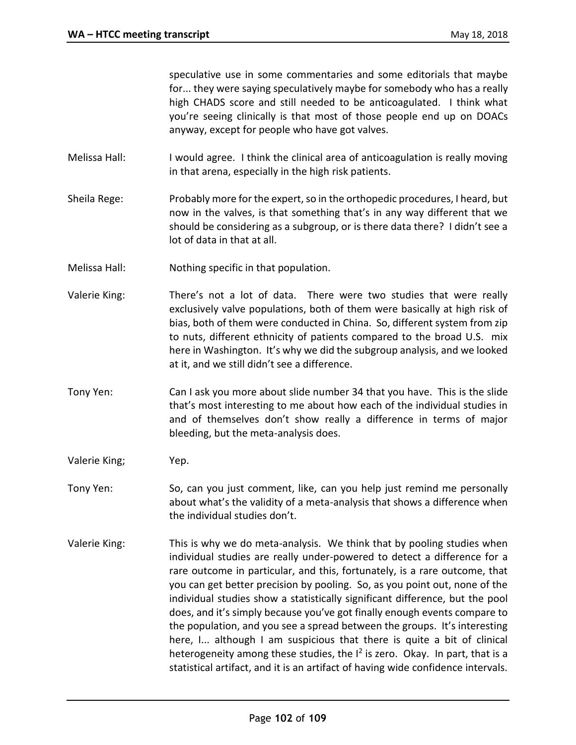speculative use in some commentaries and some editorials that maybe for... they were saying speculatively maybe for somebody who has a really high CHADS score and still needed to be anticoagulated. I think what you're seeing clinically is that most of those people end up on DOACs anyway, except for people who have got valves.

- Melissa Hall: I would agree. I think the clinical area of anticoagulation is really moving in that arena, especially in the high risk patients.
- Sheila Rege: Probably more for the expert, so in the orthopedic procedures, I heard, but now in the valves, is that something that's in any way different that we should be considering as a subgroup, or is there data there? I didn't see a lot of data in that at all.
- Melissa Hall: Nothing specific in that population.
- Valerie King: There's not a lot of data. There were two studies that were really exclusively valve populations, both of them were basically at high risk of bias, both of them were conducted in China. So, different system from zip to nuts, different ethnicity of patients compared to the broad U.S. mix here in Washington. It's why we did the subgroup analysis, and we looked at it, and we still didn't see a difference.
- Tony Yen: Can I ask you more about slide number 34 that you have. This is the slide that's most interesting to me about how each of the individual studies in and of themselves don't show really a difference in terms of major bleeding, but the meta-analysis does.
- Valerie King; Yep.
- Tony Yen: So, can you just comment, like, can you help just remind me personally about what's the validity of a meta-analysis that shows a difference when the individual studies don't.
- Valerie King: This is why we do meta-analysis. We think that by pooling studies when individual studies are really under-powered to detect a difference for a rare outcome in particular, and this, fortunately, is a rare outcome, that you can get better precision by pooling. So, as you point out, none of the individual studies show a statistically significant difference, but the pool does, and it's simply because you've got finally enough events compare to the population, and you see a spread between the groups. It's interesting here, I... although I am suspicious that there is quite a bit of clinical heterogeneity among these studies, the I<sup>2</sup> is zero. Okay. In part, that is a statistical artifact, and it is an artifact of having wide confidence intervals.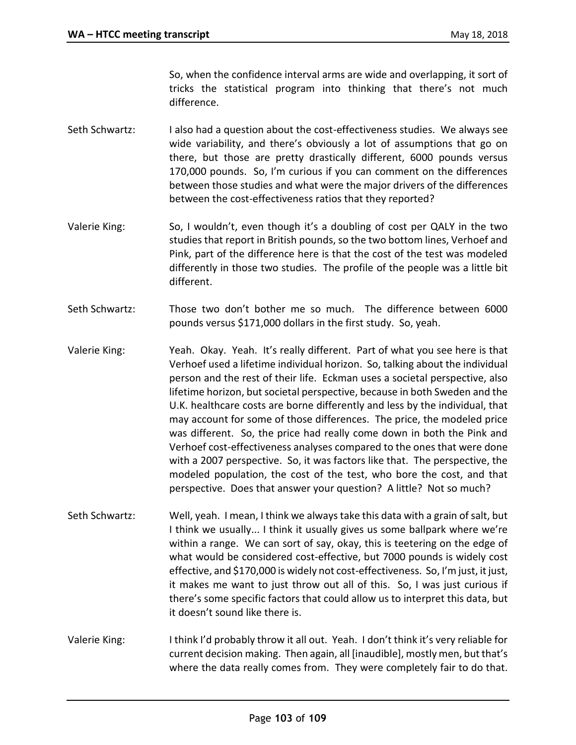So, when the confidence interval arms are wide and overlapping, it sort of tricks the statistical program into thinking that there's not much difference.

- Seth Schwartz: I also had a question about the cost-effectiveness studies. We always see wide variability, and there's obviously a lot of assumptions that go on there, but those are pretty drastically different, 6000 pounds versus 170,000 pounds. So, I'm curious if you can comment on the differences between those studies and what were the major drivers of the differences between the cost-effectiveness ratios that they reported?
- Valerie King: So, I wouldn't, even though it's a doubling of cost per QALY in the two studies that report in British pounds, so the two bottom lines, Verhoef and Pink, part of the difference here is that the cost of the test was modeled differently in those two studies. The profile of the people was a little bit different.
- Seth Schwartz: Those two don't bother me so much. The difference between 6000 pounds versus \$171,000 dollars in the first study. So, yeah.
- Valerie King: Yeah. Okay. Yeah. It's really different. Part of what you see here is that Verhoef used a lifetime individual horizon. So, talking about the individual person and the rest of their life. Eckman uses a societal perspective, also lifetime horizon, but societal perspective, because in both Sweden and the U.K. healthcare costs are borne differently and less by the individual, that may account for some of those differences. The price, the modeled price was different. So, the price had really come down in both the Pink and Verhoef cost-effectiveness analyses compared to the ones that were done with a 2007 perspective. So, it was factors like that. The perspective, the modeled population, the cost of the test, who bore the cost, and that perspective. Does that answer your question? A little? Not so much?
- Seth Schwartz: Well, yeah. I mean, I think we always take this data with a grain of salt, but I think we usually... I think it usually gives us some ballpark where we're within a range. We can sort of say, okay, this is teetering on the edge of what would be considered cost-effective, but 7000 pounds is widely cost effective, and \$170,000 is widely not cost-effectiveness. So, I'm just, it just, it makes me want to just throw out all of this. So, I was just curious if there's some specific factors that could allow us to interpret this data, but it doesn't sound like there is.
- Valerie King: I think I'd probably throw it all out. Yeah. I don't think it's very reliable for current decision making. Then again, all [inaudible], mostly men, but that's where the data really comes from. They were completely fair to do that.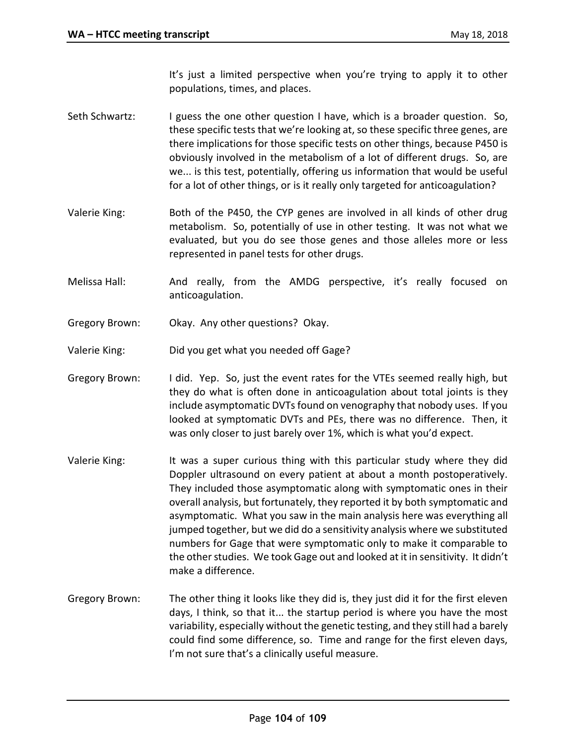It's just a limited perspective when you're trying to apply it to other populations, times, and places.

- Seth Schwartz: I guess the one other question I have, which is a broader question. So, these specific tests that we're looking at, so these specific three genes, are there implications for those specific tests on other things, because P450 is obviously involved in the metabolism of a lot of different drugs. So, are we... is this test, potentially, offering us information that would be useful for a lot of other things, or is it really only targeted for anticoagulation?
- Valerie King: Both of the P450, the CYP genes are involved in all kinds of other drug metabolism. So, potentially of use in other testing. It was not what we evaluated, but you do see those genes and those alleles more or less represented in panel tests for other drugs.
- Melissa Hall: And really, from the AMDG perspective, it's really focused on anticoagulation.
- Gregory Brown: Okay. Any other questions? Okay.
- Valerie King: Did you get what you needed off Gage?
- Gregory Brown: I did. Yep. So, just the event rates for the VTEs seemed really high, but they do what is often done in anticoagulation about total joints is they include asymptomatic DVTs found on venography that nobody uses. If you looked at symptomatic DVTs and PEs, there was no difference. Then, it was only closer to just barely over 1%, which is what you'd expect.
- Valerie King: It was a super curious thing with this particular study where they did Doppler ultrasound on every patient at about a month postoperatively. They included those asymptomatic along with symptomatic ones in their overall analysis, but fortunately, they reported it by both symptomatic and asymptomatic. What you saw in the main analysis here was everything all jumped together, but we did do a sensitivity analysis where we substituted numbers for Gage that were symptomatic only to make it comparable to the other studies. We took Gage out and looked at it in sensitivity. It didn't make a difference.
- Gregory Brown: The other thing it looks like they did is, they just did it for the first eleven days, I think, so that it... the startup period is where you have the most variability, especially without the genetic testing, and they still had a barely could find some difference, so. Time and range for the first eleven days, I'm not sure that's a clinically useful measure.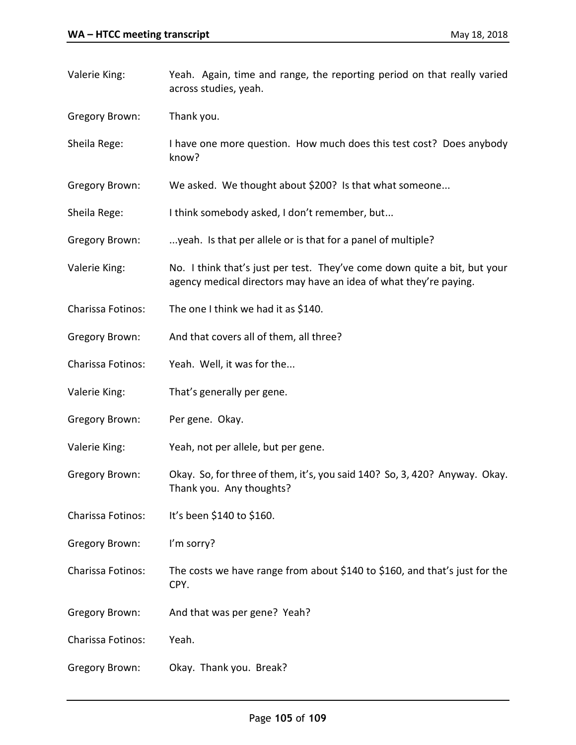| Valerie King:         | Yeah. Again, time and range, the reporting period on that really varied<br>across studies, yeah.                                               |
|-----------------------|------------------------------------------------------------------------------------------------------------------------------------------------|
| <b>Gregory Brown:</b> | Thank you.                                                                                                                                     |
| Sheila Rege:          | I have one more question. How much does this test cost? Does anybody<br>know?                                                                  |
| <b>Gregory Brown:</b> | We asked. We thought about \$200? Is that what someone                                                                                         |
| Sheila Rege:          | I think somebody asked, I don't remember, but                                                                                                  |
| <b>Gregory Brown:</b> | yeah. Is that per allele or is that for a panel of multiple?                                                                                   |
| Valerie King:         | No. I think that's just per test. They've come down quite a bit, but your<br>agency medical directors may have an idea of what they're paying. |
| Charissa Fotinos:     | The one I think we had it as \$140.                                                                                                            |
| Gregory Brown:        | And that covers all of them, all three?                                                                                                        |
| Charissa Fotinos:     | Yeah. Well, it was for the                                                                                                                     |
| Valerie King:         | That's generally per gene.                                                                                                                     |
| <b>Gregory Brown:</b> | Per gene. Okay.                                                                                                                                |
| Valerie King:         | Yeah, not per allele, but per gene.                                                                                                            |
| <b>Gregory Brown:</b> | Okay. So, for three of them, it's, you said 140? So, 3, 420? Anyway. Okay.<br>Thank you. Any thoughts?                                         |
| Charissa Fotinos:     | It's been \$140 to \$160.                                                                                                                      |
| <b>Gregory Brown:</b> | I'm sorry?                                                                                                                                     |
| Charissa Fotinos:     | The costs we have range from about \$140 to \$160, and that's just for the<br>CPY.                                                             |
| <b>Gregory Brown:</b> | And that was per gene? Yeah?                                                                                                                   |
| Charissa Fotinos:     | Yeah.                                                                                                                                          |
| Gregory Brown:        | Okay. Thank you. Break?                                                                                                                        |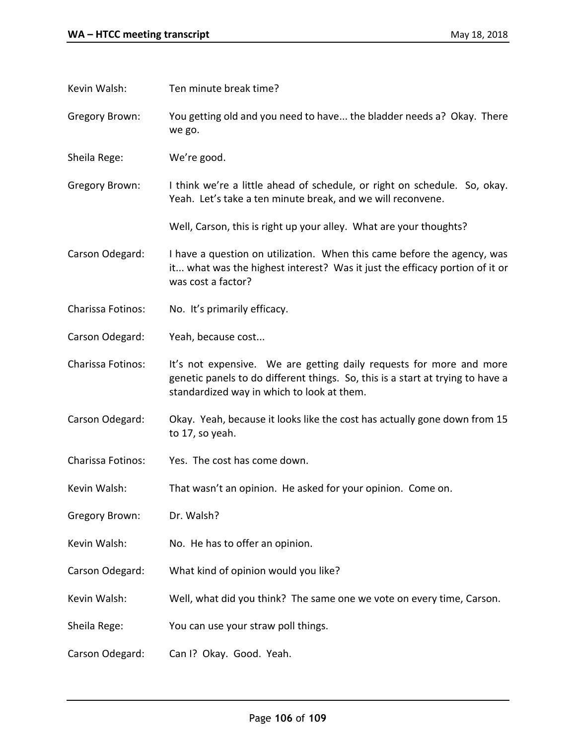| Kevin Walsh:          | Ten minute break time?                                                                                                                                                                              |
|-----------------------|-----------------------------------------------------------------------------------------------------------------------------------------------------------------------------------------------------|
| Gregory Brown:        | You getting old and you need to have the bladder needs a? Okay. There<br>we go.                                                                                                                     |
| Sheila Rege:          | We're good.                                                                                                                                                                                         |
| <b>Gregory Brown:</b> | I think we're a little ahead of schedule, or right on schedule. So, okay.<br>Yeah. Let's take a ten minute break, and we will reconvene.                                                            |
|                       | Well, Carson, this is right up your alley. What are your thoughts?                                                                                                                                  |
| Carson Odegard:       | I have a question on utilization. When this came before the agency, was<br>it what was the highest interest? Was it just the efficacy portion of it or<br>was cost a factor?                        |
| Charissa Fotinos:     | No. It's primarily efficacy.                                                                                                                                                                        |
| Carson Odegard:       | Yeah, because cost                                                                                                                                                                                  |
| Charissa Fotinos:     | It's not expensive. We are getting daily requests for more and more<br>genetic panels to do different things. So, this is a start at trying to have a<br>standardized way in which to look at them. |
| Carson Odegard:       | Okay. Yeah, because it looks like the cost has actually gone down from 15<br>to 17, so yeah.                                                                                                        |
| Charissa Fotinos:     | Yes. The cost has come down.                                                                                                                                                                        |
| Kevin Walsh:          | That wasn't an opinion. He asked for your opinion. Come on.                                                                                                                                         |
| <b>Gregory Brown:</b> | Dr. Walsh?                                                                                                                                                                                          |
| Kevin Walsh:          | No. He has to offer an opinion.                                                                                                                                                                     |
| Carson Odegard:       | What kind of opinion would you like?                                                                                                                                                                |
| Kevin Walsh:          | Well, what did you think? The same one we vote on every time, Carson.                                                                                                                               |
| Sheila Rege:          | You can use your straw poll things.                                                                                                                                                                 |
| Carson Odegard:       | Can I? Okay. Good. Yeah.                                                                                                                                                                            |
|                       |                                                                                                                                                                                                     |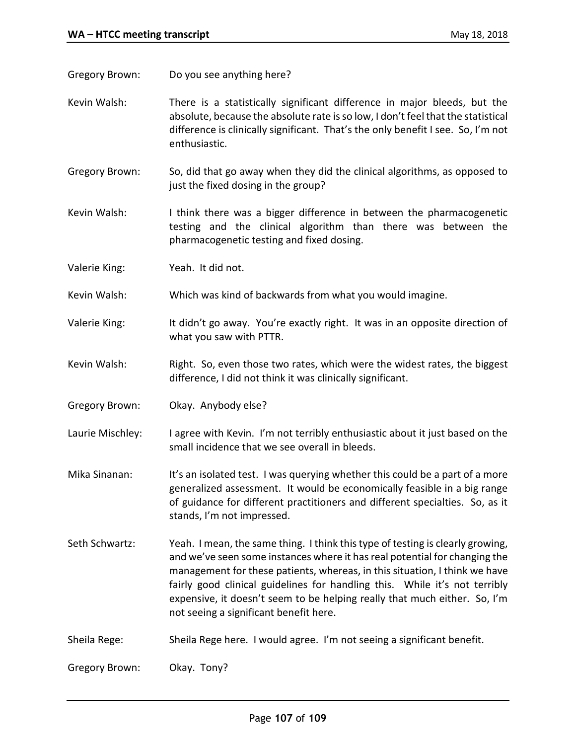Gregory Brown: Do you see anything here?

- Kevin Walsh: There is a statistically significant difference in major bleeds, but the absolute, because the absolute rate is so low, I don't feel that the statistical difference is clinically significant. That's the only benefit I see. So, I'm not enthusiastic.
- Gregory Brown: So, did that go away when they did the clinical algorithms, as opposed to just the fixed dosing in the group?
- Kevin Walsh: I think there was a bigger difference in between the pharmacogenetic testing and the clinical algorithm than there was between the pharmacogenetic testing and fixed dosing.
- Valerie King: Yeah. It did not.
- Kevin Walsh: Which was kind of backwards from what you would imagine.
- Valerie King: It didn't go away. You're exactly right. It was in an opposite direction of what you saw with PTTR.
- Kevin Walsh: Right. So, even those two rates, which were the widest rates, the biggest difference, I did not think it was clinically significant.
- Gregory Brown: Okay. Anybody else?
- Laurie Mischley: I agree with Kevin. I'm not terribly enthusiastic about it just based on the small incidence that we see overall in bleeds.
- Mika Sinanan: It's an isolated test. I was querying whether this could be a part of a more generalized assessment. It would be economically feasible in a big range of guidance for different practitioners and different specialties. So, as it stands, I'm not impressed.
- Seth Schwartz: Yeah. I mean, the same thing. I think this type of testing is clearly growing, and we've seen some instances where it has real potential for changing the management for these patients, whereas, in this situation, I think we have fairly good clinical guidelines for handling this. While it's not terribly expensive, it doesn't seem to be helping really that much either. So, I'm not seeing a significant benefit here.
- Sheila Rege: Sheila Rege here. I would agree. I'm not seeing a significant benefit.

Gregory Brown: Okay. Tony?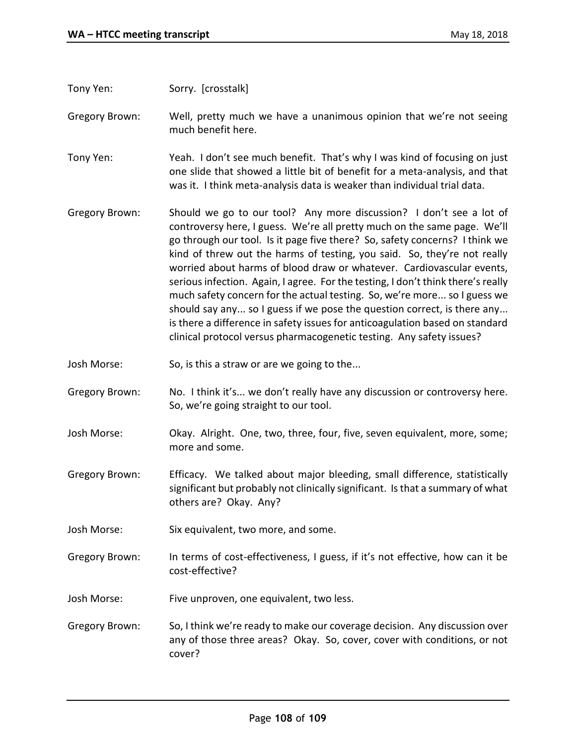Tony Yen: Sorry. [crosstalk]

Gregory Brown: Well, pretty much we have a unanimous opinion that we're not seeing much benefit here.

Tony Yen: Yeah. I don't see much benefit. That's why I was kind of focusing on just one slide that showed a little bit of benefit for a meta-analysis, and that was it. I think meta-analysis data is weaker than individual trial data.

- Gregory Brown: Should we go to our tool? Any more discussion? I don't see a lot of controversy here, I guess. We're all pretty much on the same page. We'll go through our tool. Is it page five there? So, safety concerns? I think we kind of threw out the harms of testing, you said. So, they're not really worried about harms of blood draw or whatever. Cardiovascular events, serious infection. Again, I agree. For the testing, I don't think there's really much safety concern for the actual testing. So, we're more... so I guess we should say any... so I guess if we pose the question correct, is there any... is there a difference in safety issues for anticoagulation based on standard clinical protocol versus pharmacogenetic testing. Any safety issues?
- Josh Morse: So, is this a straw or are we going to the...
- Gregory Brown: No. I think it's... we don't really have any discussion or controversy here. So, we're going straight to our tool.
- Josh Morse: Okay. Alright. One, two, three, four, five, seven equivalent, more, some; more and some.
- Gregory Brown: Efficacy. We talked about major bleeding, small difference, statistically significant but probably not clinically significant. Is that a summary of what others are? Okay. Any?
- Josh Morse: Six equivalent, two more, and some.
- Gregory Brown: In terms of cost-effectiveness, I guess, if it's not effective, how can it be cost-effective?
- Josh Morse: Five unproven, one equivalent, two less.
- Gregory Brown: So, I think we're ready to make our coverage decision. Any discussion over any of those three areas? Okay. So, cover, cover with conditions, or not cover?